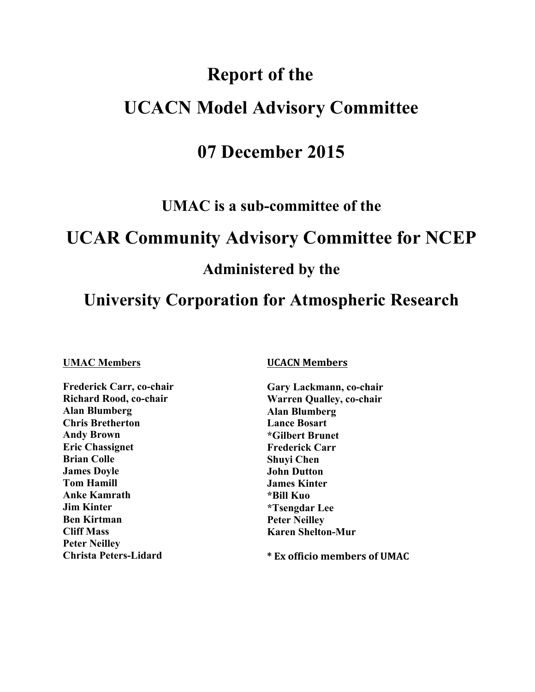# **Report of the UCACN Model Advisory Committee**

## **07 December 2015**

**UMAC is a sub-committee of the**

## **UCAR Community Advisory Committee for NCEP**

## **Administered by the**

## **University Corporation for Atmospheric Research**

#### **UMAC Members**

**Andy Brown Ben Kirtman Cliff Mass Frederick Carr, co-chair Richard Rood, co-chair Alan Blumberg Chris Bretherton**  *<u>Eric Chassignet</u>* **Brian Colle James Doyle Tom Hamill Anke Kamrath Jim Kinter Peter Neilley Christa Peters-Lidard** 

#### **UCACN Members**

**Gary Lackmann, co-chair Warren Qualley, co-chair Alan Blumberg Lance Bosart \*Gilbert Brunet Frederick Carr Shuyi Chen John Dutton James Kinter \*Bill Kuo \*Tsengdar Lee Peter Neilley Karen Shelton-Mur** 

 **\* Ex officio members of UMAC**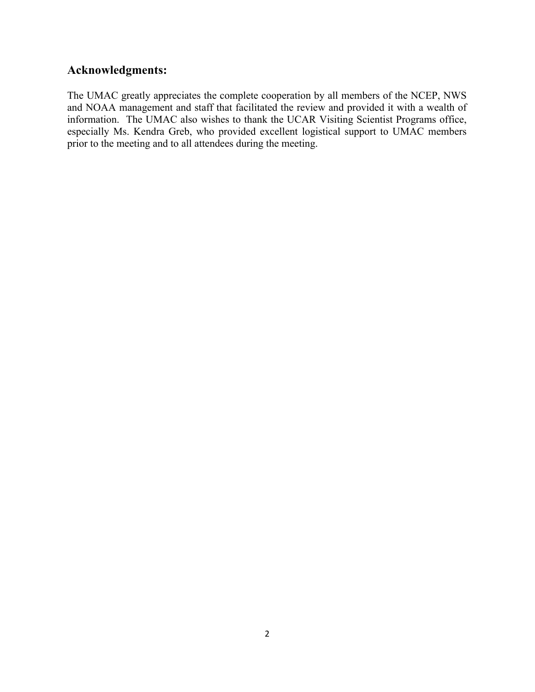## **Acknowledgments:**

 The UMAC greatly appreciates the complete cooperation by all members of the NCEP, NWS and NOAA management and staff that facilitated the review and provided it with a wealth of information. The UMAC also wishes to thank the UCAR Visiting Scientist Programs office, especially Ms. Kendra Greb, who provided excellent logistical support to UMAC members prior to the meeting and to all attendees during the meeting.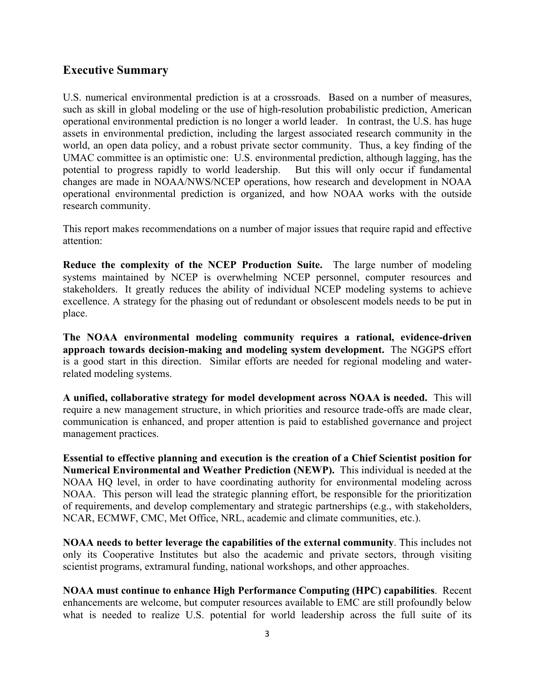## **Executive Summary**

 U.S. numerical environmental prediction is at a crossroads. Based on a number of measures, such as skill in global modeling or the use of high-resolution probabilistic prediction, American operational environmental prediction is no longer a world leader. In contrast, the U.S. has huge assets in environmental prediction, including the largest associated research community in the world, an open data policy, and a robust private sector community. Thus, a key finding of the UMAC committee is an optimistic one: U.S. environmental prediction, although lagging, has the potential to progress rapidly to world leadership. But this will only occur if fundamental changes are made in NOAA/NWS/NCEP operations, how research and development in NOAA operational environmental prediction is organized, and how NOAA works with the outside research community.

 This report makes recommendations on a number of major issues that require rapid and effective attention:

 **Reduce the complexity of the NCEP Production Suite.** The large number of modeling systems maintained by NCEP is overwhelming NCEP personnel, computer resources and stakeholders. It greatly reduces the ability of individual NCEP modeling systems to achieve excellence. A strategy for the phasing out of redundant or obsolescent models needs to be put in place.

 **The NOAA environmental modeling community requires a rational, evidence-driven approach towards decision-making and modeling system development.** The NGGPS effort is a good start in this direction. Similar efforts are needed for regional modeling and waterrelated modeling systems.

 **A unified, collaborative strategy for model development across NOAA is needed.** This will require a new management structure, in which priorities and resource trade-offs are made clear, communication is enhanced, and proper attention is paid to established governance and project management practices.

 **Essential to effective planning and execution is the creation of a Chief Scientist position for Numerical Environmental and Weather Prediction (NEWP).** This individual is needed at the NOAA HQ level, in order to have coordinating authority for environmental modeling across NOAA. This person will lead the strategic planning effort, be responsible for the prioritization of requirements, and develop complementary and strategic partnerships (e.g., with stakeholders, NCAR, ECMWF, CMC, Met Office, NRL, academic and climate communities, etc.).

 **NOAA needs to better leverage the capabilities of the external community**. This includes not only its Cooperative Institutes but also the academic and private sectors, through visiting scientist programs, extramural funding, national workshops, and other approaches.

 **NOAA must continue to enhance High Performance Computing (HPC) capabilities**. Recent enhancements are welcome, but computer resources available to EMC are still profoundly below what is needed to realize U.S. potential for world leadership across the full suite of its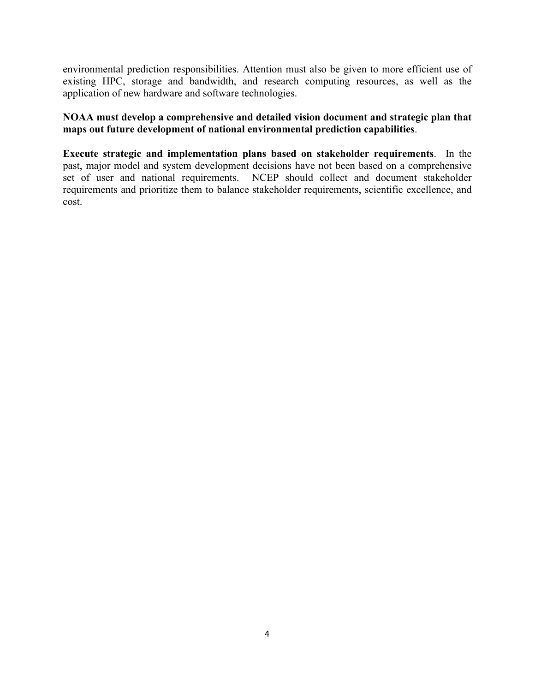environmental prediction responsibilities. Attention must also be given to more efficient use of existing HPC, storage and bandwidth, and research computing resources, as well as the application of new hardware and software technologies.

## **NOAA must develop a comprehensive and detailed vision document and strategic plan that maps out future development of national environmental prediction capabilities**.

 **Execute strategic and implementation plans based on stakeholder requirements**. In the past, major model and system development decisions have not been based on a comprehensive set of user and national requirements. NCEP should collect and document stakeholder requirements and prioritize them to balance stakeholder requirements, scientific excellence, and cost.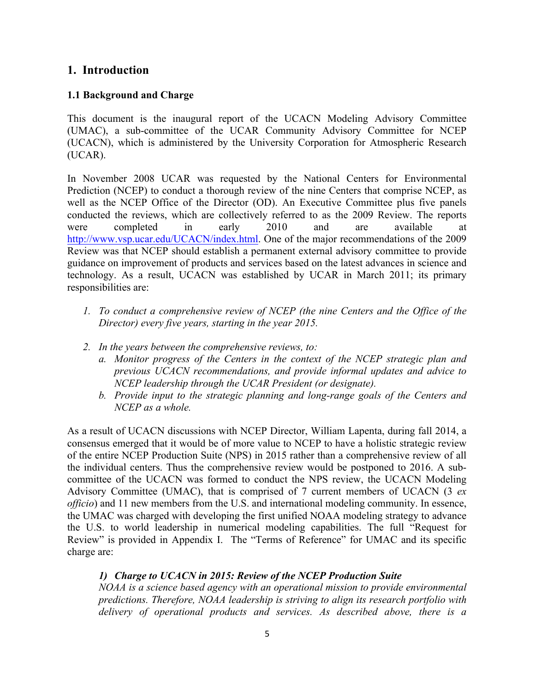## **1. Introduction**

### **1.1 Background and Charge**

 This document is the inaugural report of the UCACN Modeling Advisory Committee (UMAC), a sub-committee of the UCAR Community Advisory Committee for NCEP (UCACN), which is administered by the University Corporation for Atmospheric Research (UCAR).

 In November 2008 UCAR was requested by the National Centers for Environmental Prediction (NCEP) to conduct a thorough review of the nine Centers that comprise NCEP, as well as the NCEP Office of the Director (OD). An Executive Committee plus five panels conducted the reviews, which are collectively referred to as the 2009 Review. The reports available http://www.vsp.ucar.edu/UCACN/index.html. One of the major recommendations of the 2009 Review was that NCEP should establish a permanent external advisory committee to provide guidance on improvement of products and services based on the latest advances in science and technology. As a result, UCACN was established by UCAR in March 2011; its primary were completed in early 2010 and are available at responsibilities are:

- *1. To conduct a comprehensive review of NCEP (the nine Centers and the Office of the Director) every five years, starting in the year 2015.*
- *2. In the years between the comprehensive reviews, to:* 
	- *a. Monitor progress of the Centers in the context of the NCEP strategic plan and previous UCACN recommendations, and provide informal updates and advice to NCEP leadership through the UCAR President (or designate).*
	- *b.* Provide input to the strategic planning and long-range goals of the Centers and *NCEP as a whole.*

 As a result of UCACN discussions with NCEP Director, William Lapenta, during fall 2014, a consensus emerged that it would be of more value to NCEP to have a holistic strategic review of the entire NCEP Production Suite (NPS) in 2015 rather than a comprehensive review of all the individual centers. Thus the comprehensive review would be postponed to 2016. A sub- committee of the UCACN was formed to conduct the NPS review, the UCACN Modeling Advisory Committee (UMAC), that is comprised of 7 current members of UCACN (3 *ex officio*) and 11 new members from the U.S. and international modeling community. In essence, the UMAC was charged with developing the first unified NOAA modeling strategy to advance the U.S. to world leadership in numerical modeling capabilities. The full "Request for Review" is provided in Appendix I. The "Terms of Reference" for UMAC and its specific charge are:

#### *1) Charge to UCACN in 2015: Review of the NCEP Production Suite*

 *NOAA is a science based agency with an operational mission to provide environmental delivery of operational products and services. As described above, there is a predictions. Therefore, NOAA leadership is striving to align its research portfolio with*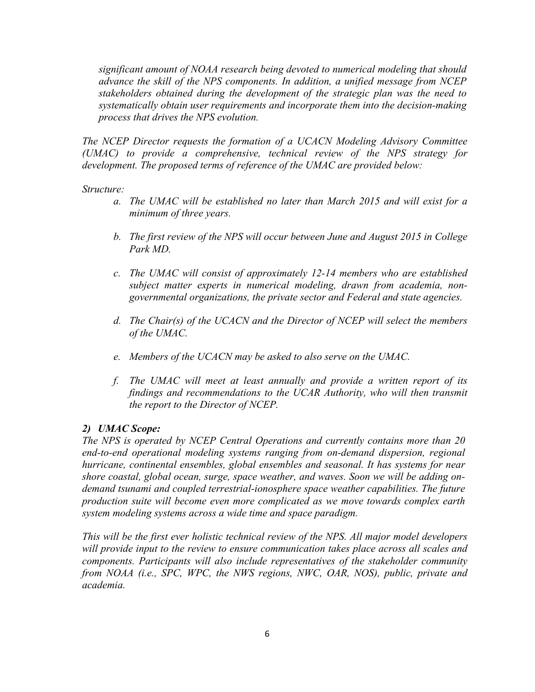*significant amount of NOAA research being devoted to numerical modeling that should*  advance the skill of the NPS components. In addition, a unified message from NCEP  *stakeholders obtained during the development of the strategic plan was the need to systematically obtain user requirements and incorporate them into the decision-making process that drives the NPS evolution.* 

 *The NCEP Director requests the formation of a UCACN Modeling Advisory Committee (UMAC) to provide a comprehensive, technical review of the NPS strategy for development. The proposed terms of reference of the UMAC are provided below:* 

*Structure:* 

- a. The UMAC will be established no later than March 2015 and will exist for a *minimum of three years.*
- *b. The first review of the NPS will occur between June and August 2015 in College Park MD.*
- *c. The UMAC will consist of approximately 12-14 members who are established*  subject matter experts in numerical modeling, drawn from academia, non*governmental organizations, the private sector and Federal and state agencies.*
- *d. The Chair(s) of the UCACN and the Director of NCEP will select the members of the UMAC.*
- *e. Members of the UCACN may be asked to also serve on the UMAC.*
- *f. The UMAC will meet at least annually and provide a written report of its*  findings and recommendations to the UCAR Authority, who will then transmit *the report to the Director of NCEP.*

#### *2) UMAC Scope:*

 *The NPS is operated by NCEP Central Operations and currently contains more than 20*  hurricane, continental ensembles, global ensembles and seasonal. It has systems for near shore coastal, global ocean, surge, space weather, and waves. Soon we will be adding ondemand tsunami and coupled terrestrial-ionosphere space weather capabilities. The future  *production suite will become even more complicated as we move towards complex earth end-to-end operational modeling systems ranging from on-demand dispersion, regional system modeling systems across a wide time and space paradigm.* 

 *This will be the first ever holistic technical review of the NPS. All major model developers*  will provide input to the review to ensure communication takes place across all scales and  *components. Participants will also include representatives of the stakeholder community from NOAA (i.e., SPC, WPC, the NWS regions, NWC, OAR, NOS), public, private and academia.*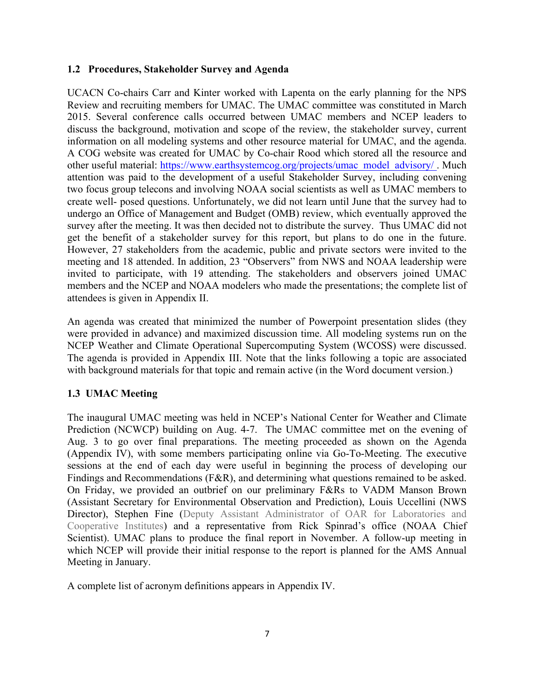## **1.2 Procedures, Stakeholder Survey and Agenda**

 UCACN Co-chairs Carr and Kinter worked with Lapenta on the early planning for the NPS Review and recruiting members for UMAC. The UMAC committee was constituted in March 2015. Several conference calls occurred between UMAC members and NCEP leaders to discuss the background, motivation and scope of the review, the stakeholder survey, current information on all modeling systems and other resource material for UMAC, and the agenda. A COG website was created for UMAC by Co-chair Rood which stored all the resource and other useful material: https://www.earthsystemcog.org/projects/umac\_model\_advisory/. Much attention was paid to the development of a useful Stakeholder Survey, including convening two focus group telecons and involving NOAA social scientists as well as UMAC members to create well- posed questions. Unfortunately, we did not learn until June that the survey had to undergo an Office of Management and Budget (OMB) review, which eventually approved the survey after the meeting. It was then decided not to distribute the survey. Thus UMAC did not get the benefit of a stakeholder survey for this report, but plans to do one in the future. However, 27 stakeholders from the academic, public and private sectors were invited to the meeting and 18 attended. In addition, 23 "Observers" from NWS and NOAA leadership were members and the NCEP and NOAA modelers who made the presentations; the complete list of invited to participate, with 19 attending. The stakeholders and observers joined UMAC attendees is given in Appendix II.

 An agenda was created that minimized the number of Powerpoint presentation slides (they were provided in advance) and maximized discussion time. All modeling systems run on the NCEP Weather and Climate Operational Supercomputing System (WCOSS) were discussed. The agenda is provided in Appendix III. Note that the links following a topic are associated with background materials for that topic and remain active (in the Word document version.)

## **1.3 UMAC Meeting**

 The inaugural UMAC meeting was held in NCEP's National Center for Weather and Climate Prediction (NCWCP) building on Aug. 4-7. The UMAC committee met on the evening of Aug. 3 to go over final preparations. The meeting proceeded as shown on the Agenda (Appendix IV), with some members participating online via Go-To-Meeting. The executive sessions at the end of each day were useful in beginning the process of developing our Findings and Recommendations (F&R), and determining what questions remained to be asked. On Friday, we provided an outbrief on our preliminary F&Rs to VADM Manson Brown (Assistant Secretary for Environmental Observation and Prediction), Louis Uccellini (NWS Cooperative Institutes) and a representative from Rick Spinrad's office (NOAA Chief Scientist). UMAC plans to produce the final report in November. A follow-up meeting in which NCEP will provide their initial response to the report is planned for the AMS Annual Director), Stephen Fine (Deputy Assistant Administrator of OAR for Laboratories and Meeting in January.

A complete list of acronym definitions appears in Appendix IV.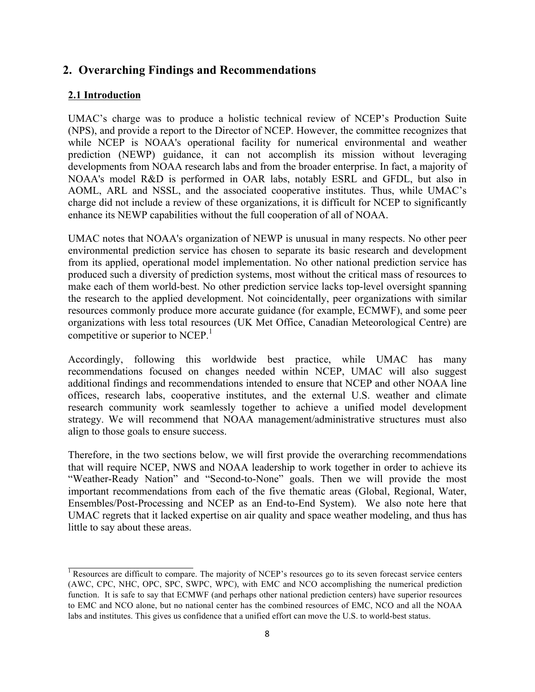## **2. Overarching Findings and Recommendations**

#### **2.1 Introduction**

 UMAC's charge was to produce a holistic technical review of NCEP's Production Suite (NPS), and provide a report to the Director of NCEP. However, the committee recognizes that while NCEP is NOAA's operational facility for numerical environmental and weather prediction (NEWP) guidance, it can not accomplish its mission without leveraging developments from NOAA research labs and from the broader enterprise. In fact, a majority of NOAA's model R&D is performed in OAR labs, notably ESRL and GFDL, but also in AOML, ARL and NSSL, and the associated cooperative institutes. Thus, while UMAC's charge did not include a review of these organizations, it is difficult for NCEP to significantly enhance its NEWP capabilities without the full cooperation of all of NOAA.

 UMAC notes that NOAA's organization of NEWP is unusual in many respects. No other peer environmental prediction service has chosen to separate its basic research and development from its applied, operational model implementation. No other national prediction service has produced such a diversity of prediction systems, most without the critical mass of resources to make each of them world-best. No other prediction service lacks top-level oversight spanning resources commonly produce more accurate guidance (for example, ECMWF), and some peer organizations with less total resources (UK Met Office, Canadian Meteorological Centre) are the research to the applied development. Not coincidentally, peer organizations with similar competitive or superior to NCEP. $<sup>1</sup>$ </sup>

 Accordingly, following this worldwide best practice, while UMAC has many additional findings and recommendations intended to ensure that NCEP and other NOAA line offices, research labs, cooperative institutes, and the external U.S. weather and climate research community work seamlessly together to achieve a unified model development strategy. We will recommend that NOAA management/administrative structures must also recommendations focused on changes needed within NCEP, UMAC will also suggest align to those goals to ensure success.

 Therefore, in the two sections below, we will first provide the overarching recommendations that will require NCEP, NWS and NOAA leadership to work together in order to achieve its "Weather-Ready Nation" and "Second-to-None" goals. Then we will provide the most important recommendations from each of the five thematic areas (Global, Regional, Water, Ensembles/Post-Processing and NCEP as an End-to-End System). We also note here that UMAC regrets that it lacked expertise on air quality and space weather modeling, and thus has little to say about these areas.

<sup>&</sup>lt;sup>1</sup> Resources are difficult to compare. The majority of NCEP's resources go to its seven forecast service centers (AWC, CPC, NHC, OPC, SPC, SWPC, WPC), with EMC and NCO accomplishing the numerical prediction function. It is safe to say that ECMWF (and perhaps other national prediction centers) have superior resources to EMC and NCO alone, but no national center has the combined resources of EMC, NCO and all the NOAA labs and institutes. This gives us confidence that a unified effort can move the U.S. to world-best status.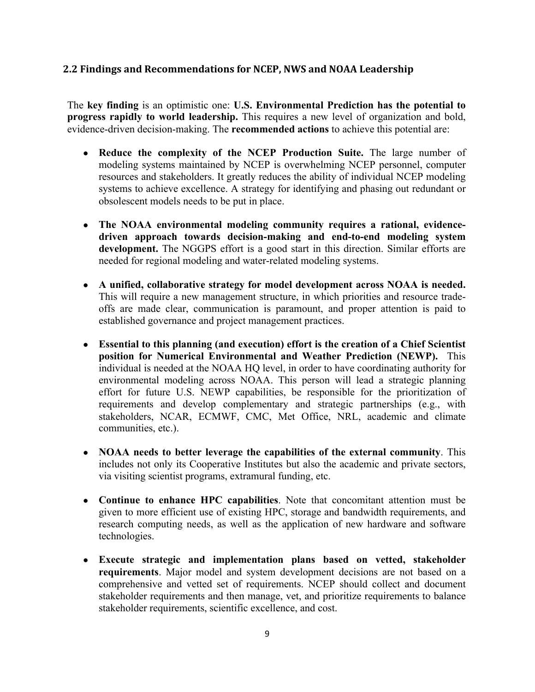## **2.2 Findings and Recommendations for NCEP, NWS and NOAA Leadership**

 The **key finding** is an optimistic one: **U.S. Environmental Prediction has the potential to progress rapidly to world leadership.** This requires a new level of organization and bold, evidence-driven decision-making. The **recommended actions** to achieve this potential are:

- ● **Reduce the complexity of the NCEP Production Suite.** The large number of modeling systems maintained by NCEP is overwhelming NCEP personnel, computer resources and stakeholders. It greatly reduces the ability of individual NCEP modeling systems to achieve excellence. A strategy for identifying and phasing out redundant or obsolescent models needs to be put in place.
- **•** The NOAA environmental modeling community requires a rational, evidence- **driven approach towards decision-making and end-to-end modeling system development.** The NGGPS effort is a good start in this direction. Similar efforts are needed for regional modeling and water-related modeling systems.
- ● **A unified, collaborative strategy for model development across NOAA is needed.**  This will require a new management structure, in which priorities and resource trade- offs are made clear, communication is paramount, and proper attention is paid to established governance and project management practices.
- ● **Essential to this planning (and execution) effort is the creation of a Chief Scientist position for Numerical Environmental and Weather Prediction (NEWP).** This individual is needed at the NOAA HQ level, in order to have coordinating authority for environmental modeling across NOAA. This person will lead a strategic planning effort for future U.S. NEWP capabilities, be responsible for the prioritization of requirements and develop complementary and strategic partnerships (e.g., with stakeholders, NCAR, ECMWF, CMC, Met Office, NRL, academic and climate communities, etc.).
- ● **NOAA needs to better leverage the capabilities of the external community**. This includes not only its Cooperative Institutes but also the academic and private sectors, via visiting scientist programs, extramural funding, etc.
- ● **Continue to enhance HPC capabilities**. Note that concomitant attention must be given to more efficient use of existing HPC, storage and bandwidth requirements, and research computing needs, as well as the application of new hardware and software technologies.
- ● **Execute strategic and implementation plans based on vetted, stakeholder requirements**. Major model and system development decisions are not based on a comprehensive and vetted set of requirements. NCEP should collect and document stakeholder requirements and then manage, vet, and prioritize requirements to balance stakeholder requirements, scientific excellence, and cost.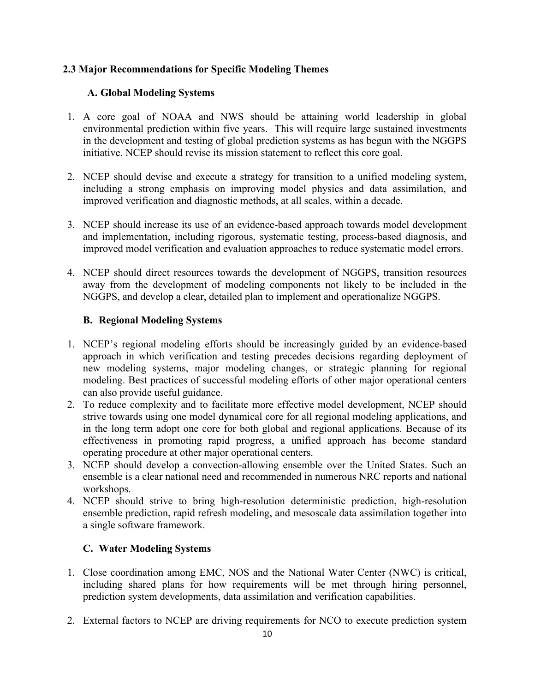## **2.3 Major Recommendations for Specific Modeling Themes**

## **A. Global Modeling Systems**

- 1. A core goal of NOAA and NWS should be attaining world leadership in global environmental prediction within five years. This will require large sustained investments in the development and testing of global prediction systems as has begun with the NGGPS initiative. NCEP should revise its mission statement to reflect this core goal.
- 2. NCEP should devise and execute a strategy for transition to a unified modeling system, including a strong emphasis on improving model physics and data assimilation, and improved verification and diagnostic methods, at all scales, within a decade.
- 3. NCEP should increase its use of an evidence-based approach towards model development and implementation, including rigorous, systematic testing, process-based diagnosis, and improved model verification and evaluation approaches to reduce systematic model errors.
- 4. NCEP should direct resources towards the development of NGGPS, transition resources away from the development of modeling components not likely to be included in the NGGPS, and develop a clear, detailed plan to implement and operationalize NGGPS.

## **B. Regional Modeling Systems**

- 1. NCEP's regional modeling efforts should be increasingly guided by an evidence-based approach in which verification and testing precedes decisions regarding deployment of modeling. Best practices of successful modeling efforts of other major operational centers new modeling systems, major modeling changes, or strategic planning for regional can also provide useful guidance.
- 2. To reduce complexity and to facilitate more effective model development, NCEP should strive towards using one model dynamical core for all regional modeling applications, and in the long term adopt one core for both global and regional applications. Because of its effectiveness in promoting rapid progress, a unified approach has become standard operating procedure at other major operational centers.
- 3. NCEP should develop a convection-allowing ensemble over the United States. Such an ensemble is a clear national need and recommended in numerous NRC reports and national workshops.
- ensemble prediction, rapid refresh modeling, and mesoscale data assimilation together into a single software framework. 4. NCEP should strive to bring high-resolution deterministic prediction, high-resolution

## **C. Water Modeling Systems**

- 1. Close coordination among EMC, NOS and the National Water Center (NWC) is critical, including shared plans for how requirements will be met through hiring personnel, prediction system developments, data assimilation and verification capabilities.
- 2. External factors to NCEP are driving requirements for NCO to execute prediction system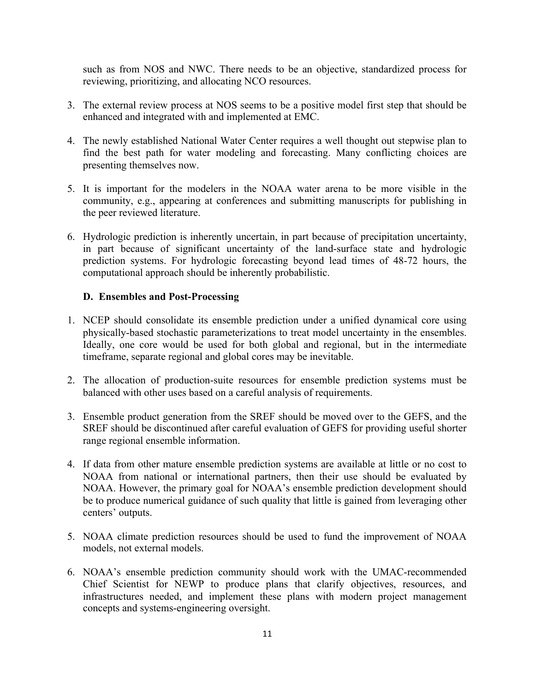such as from NOS and NWC. There needs to be an objective, standardized process for reviewing, prioritizing, and allocating NCO resources.

- 3. The external review process at NOS seems to be a positive model first step that should be enhanced and integrated with and implemented at EMC.
- 4. The newly established National Water Center requires a well thought out stepwise plan to find the best path for water modeling and forecasting. Many conflicting choices are presenting themselves now.
- 5. It is important for the modelers in the NOAA water arena to be more visible in the community, e.g., appearing at conferences and submitting manuscripts for publishing in the peer reviewed literature.
- 6. Hydrologic prediction is inherently uncertain, in part because of precipitation uncertainty, in part because of significant uncertainty of the land-surface state and hydrologic prediction systems. For hydrologic forecasting beyond lead times of 48-72 hours, the computational approach should be inherently probabilistic.

#### **D. Ensembles and Post-Processing**

- 1. NCEP should consolidate its ensemble prediction under a unified dynamical core using physically-based stochastic parameterizations to treat model uncertainty in the ensembles. Ideally, one core would be used for both global and regional, but in the intermediate timeframe, separate regional and global cores may be inevitable.
- 2. The allocation of production-suite resources for ensemble prediction systems must be balanced with other uses based on a careful analysis of requirements.
- 3. Ensemble product generation from the SREF should be moved over to the GEFS, and the SREF should be discontinued after careful evaluation of GEFS for providing useful shorter range regional ensemble information.
- 4. If data from other mature ensemble prediction systems are available at little or no cost to NOAA from national or international partners, then their use should be evaluated by NOAA. However, the primary goal for NOAA's ensemble prediction development should be to produce numerical guidance of such quality that little is gained from leveraging other centers' outputs.
- 5. NOAA climate prediction resources should be used to fund the improvement of NOAA models, not external models.
- 6. NOAA's ensemble prediction community should work with the UMAC-recommended Chief Scientist for NEWP to produce plans that clarify objectives, resources, and infrastructures needed, and implement these plans with modern project management concepts and systems-engineering oversight.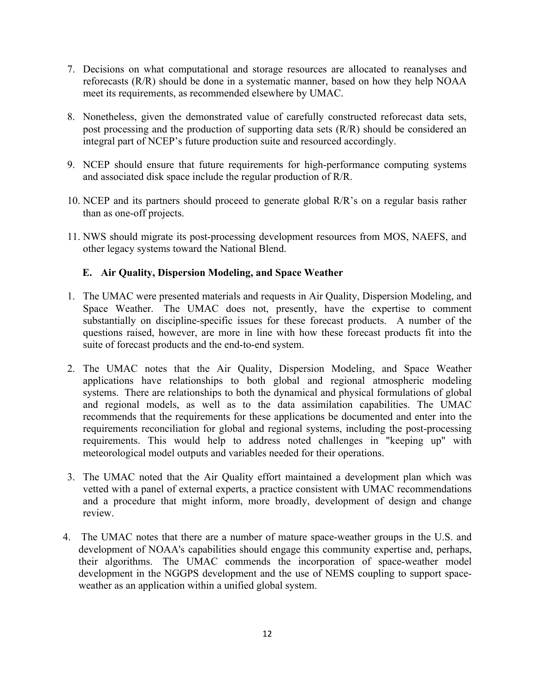- 7. Decisions on what computational and storage resources are allocated to reanalyses and reforecasts (R/R) should be done in a systematic manner, based on how they help NOAA meet its requirements, as recommended elsewhere by UMAC.
- 8. Nonetheless, given the demonstrated value of carefully constructed reforecast data sets, post processing and the production of supporting data sets (R/R) should be considered an integral part of NCEP's future production suite and resourced accordingly.
- 9. NCEP should ensure that future requirements for high-performance computing systems and associated disk space include the regular production of R/R.
- 10. NCEP and its partners should proceed to generate global R/R's on a regular basis rather than as one-off projects.
- 11. NWS should migrate its post-processing development resources from MOS, NAEFS, and other legacy systems toward the National Blend.

## **E. Air Quality, Dispersion Modeling, and Space Weather**

- 1. The UMAC were presented materials and requests in Air Quality, Dispersion Modeling, and Space Weather. The UMAC does not, presently, have the expertise to comment substantially on discipline-specific issues for these forecast products. A number of the questions raised, however, are more in line with how these forecast products fit into the suite of forecast products and the end-to-end system.
- 2. The UMAC notes that the Air Quality, Dispersion Modeling, and Space Weather applications have relationships to both global and regional atmospheric modeling systems. There are relationships to both the dynamical and physical formulations of global and regional models, as well as to the data assimilation capabilities. The UMAC recommends that the requirements for these applications be documented and enter into the requirements reconciliation for global and regional systems, including the post-processing requirements. This would help to address noted challenges in "keeping up" with meteorological model outputs and variables needed for their operations.
- 3. The UMAC noted that the Air Quality effort maintained a development plan which was vetted with a panel of external experts, a practice consistent with UMAC recommendations and a procedure that might inform, more broadly, development of design and change review.
- 4. The UMAC notes that there are a number of mature space-weather groups in the U.S. and development of NOAA's capabilities should engage this community expertise and, perhaps, their algorithms. The UMAC commends the incorporation of space-weather model development in the NGGPS development and the use of NEMS coupling to support spaceweather as an application within a unified global system.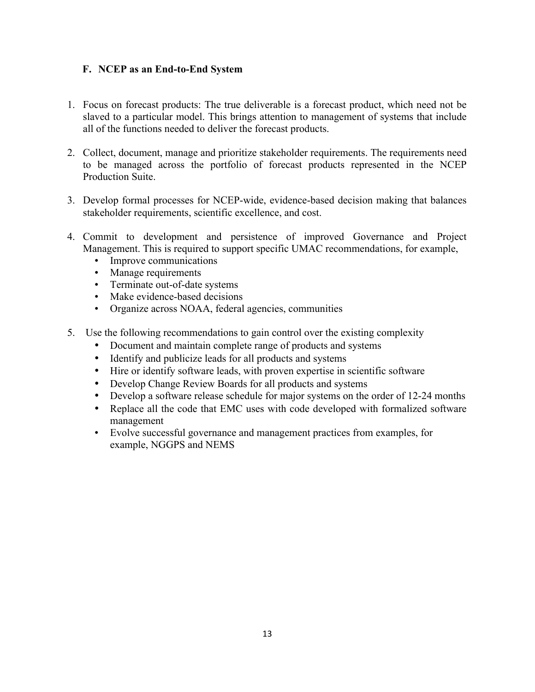## **F. NCEP as an End-to-End System**

- 1. Focus on forecast products: The true deliverable is a forecast product, which need not be slaved to a particular model. This brings attention to management of systems that include all of the functions needed to deliver the forecast products.
- to be managed across the portfolio of forecast products represented in the NCEP 2. Collect, document, manage and prioritize stakeholder requirements. The requirements need Production Suite.
- 3. Develop formal processes for NCEP-wide, evidence-based decision making that balances stakeholder requirements, scientific excellence, and cost.
- 4. Commit to development and persistence of improved Governance and Project Management. This is required to support specific UMAC recommendations, for example,
	- Improve communications
	- • Manage requirements
	- Terminate out-of-date systems
	- Make evidence-based decisions
	- • Organize across NOAA, federal agencies, communities
- 5. Use the following recommendations to gain control over the existing complexity
	- Document and maintain complete range of products and systems
	- Identify and publicize leads for all products and systems
	- Hire or identify software leads, with proven expertise in scientific software
	- Develop Change Review Boards for all products and systems
	- Develop a software release schedule for major systems on the order of 12-24 months
	- • Replace all the code that EMC uses with code developed with formalized software management
	- • Evolve successful governance and management practices from examples, for example, NGGPS and NEMS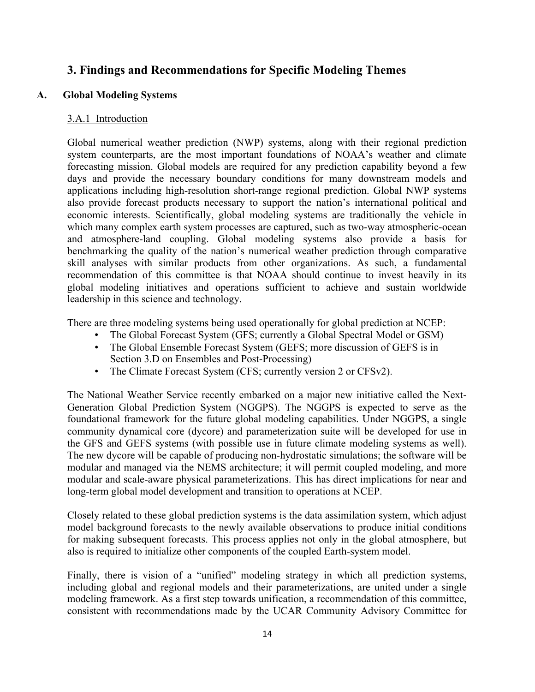## **3. Findings and Recommendations for Specific Modeling Themes**

### **A. Global Modeling Systems**

#### 3.A.1 Introduction

 Global numerical weather prediction (NWP) systems, along with their regional prediction system counterparts, are the most important foundations of NOAA's weather and climate forecasting mission. Global models are required for any prediction capability beyond a few days and provide the necessary boundary conditions for many downstream models and applications including high-resolution short-range regional prediction. Global NWP systems also provide forecast products necessary to support the nation's international political and economic interests. Scientifically, global modeling systems are traditionally the vehicle in which many complex earth system processes are captured, such as two-way atmospheric-ocean and atmosphere-land coupling. Global modeling systems also provide a basis for benchmarking the quality of the nation's numerical weather prediction through comparative skill analyses with similar products from other organizations. As such, a fundamental recommendation of this committee is that NOAA should continue to invest heavily in its global modeling initiatives and operations sufficient to achieve and sustain worldwide leadership in this science and technology.

There are three modeling systems being used operationally for global prediction at NCEP:

- The Global Forecast System (GFS; currently a Global Spectral Model or GSM)
- The Global Ensemble Forecast System (GEFS; more discussion of GEFS is in Section 3.D on Ensembles and Post-Processing)
- The Climate Forecast System (CFS; currently version 2 or CFSv2).

 The National Weather Service recently embarked on a major new initiative called the Next- Generation Global Prediction System (NGGPS). The NGGPS is expected to serve as the foundational framework for the future global modeling capabilities. Under NGGPS, a single community dynamical core (dycore) and parameterization suite will be developed for use in the GFS and GEFS systems (with possible use in future climate modeling systems as well). The new dycore will be capable of producing non-hydrostatic simulations; the software will be modular and managed via the NEMS architecture; it will permit coupled modeling, and more modular and scale-aware physical parameterizations. This has direct implications for near and long-term global model development and transition to operations at NCEP.

 Closely related to these global prediction systems is the data assimilation system, which adjust model background forecasts to the newly available observations to produce initial conditions for making subsequent forecasts. This process applies not only in the global atmosphere, but also is required to initialize other components of the coupled Earth-system model.

 Finally, there is vision of a "unified" modeling strategy in which all prediction systems, including global and regional models and their parameterizations, are united under a single modeling framework. As a first step towards unification, a recommendation of this committee, consistent with recommendations made by the UCAR Community Advisory Committee for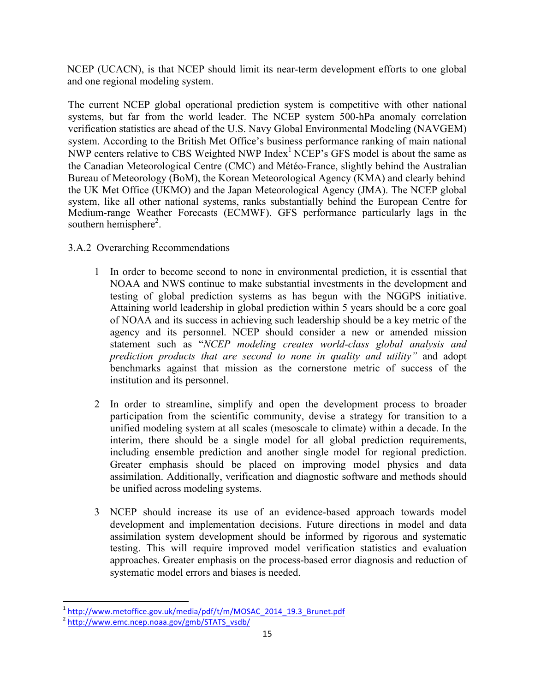NCEP (UCACN), is that NCEP should limit its near-term development efforts to one global and one regional modeling system.

 The current NCEP global operational prediction system is competitive with other national systems, but far from the world leader. The NCEP system 500-hPa anomaly correlation verification statistics are ahead of the U.S. Navy Global Environmental Modeling (NAVGEM) system. According to the British Met Office's business performance ranking of main national NWP centers relative to CBS Weighted NWP Index<sup>1</sup> NCEP's GFS model is about the same as the Canadian Meteorological Centre (CMC) and Météo-France, slightly behind the Australian the UK Met Office (UKMO) and the Japan Meteorological Agency (JMA). The NCEP global system, like all other national systems, ranks substantially behind the European Centre for Medium-range Weather Forecasts (ECMWF). GFS performance particularly lags in the Bureau of Meteorology (BoM), the Korean Meteorological Agency (KMA) and clearly behind southern hemisphere<sup>2</sup>.

## 3.A.2 Overarching Recommendations

- 1 In order to become second to none in environmental prediction, it is essential that NOAA and NWS continue to make substantial investments in the development and testing of global prediction systems as has begun with the NGGPS initiative. Attaining world leadership in global prediction within 5 years should be a core goal of NOAA and its success in achieving such leadership should be a key metric of the agency and its personnel. NCEP should consider a new or amended mission statement such as "*NCEP modeling creates world-class global analysis and prediction products that are second to none in quality and utility"* and adopt benchmarks against that mission as the cornerstone metric of success of the institution and its personnel.
- 2 In order to streamline, simplify and open the development process to broader participation from the scientific community, devise a strategy for transition to a unified modeling system at all scales (mesoscale to climate) within a decade. In the interim, there should be a single model for all global prediction requirements, including ensemble prediction and another single model for regional prediction. Greater emphasis should be placed on improving model physics and data assimilation. Additionally, verification and diagnostic software and methods should be unified across modeling systems.
- 3 NCEP should increase its use of an evidence-based approach towards model development and implementation decisions. Future directions in model and data assimilation system development should be informed by rigorous and systematic testing. This will require improved model verification statistics and evaluation approaches. Greater emphasis on the process-based error diagnosis and reduction of systematic model errors and biases is needed.

 

<sup>&</sup>lt;sup>1</sup> http://www.metoffice.gov.uk/media/pdf/t/m/MOSAC\_2014\_19.3\_Brunet.pdf

<sup>2</sup> http://www.emc.ncep.noaa.gov/gmb/STATS\_vsdb/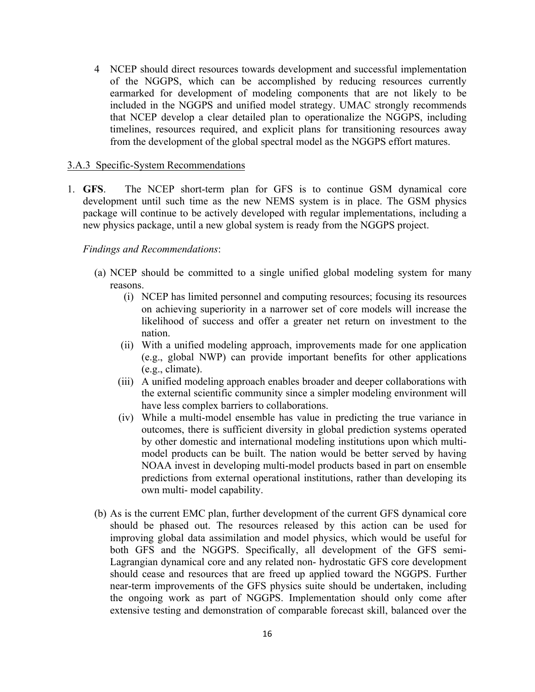4 NCEP should direct resources towards development and successful implementation of the NGGPS, which can be accomplished by reducing resources currently earmarked for development of modeling components that are not likely to be included in the NGGPS and unified model strategy. UMAC strongly recommends that NCEP develop a clear detailed plan to operationalize the NGGPS, including timelines, resources required, and explicit plans for transitioning resources away from the development of the global spectral model as the NGGPS effort matures.

#### 3.A.3 Specific-System Recommendations

 development until such time as the new NEMS system is in place. The GSM physics package will continue to be actively developed with regular implementations, including a 1. **GFS**. The NCEP short-term plan for GFS is to continue GSM dynamical core new physics package, until a new global system is ready from the NGGPS project.

#### *Findings and Recommendations*:

- (a) NCEP should be committed to a single unified global modeling system for many reasons.
	- (i) NCEP has limited personnel and computing resources; focusing its resources on achieving superiority in a narrower set of core models will increase the likelihood of success and offer a greater net return on investment to the nation.
	- (ii) With a unified modeling approach, improvements made for one application (e.g., global NWP) can provide important benefits for other applications (e.g., climate).
	- the external scientific community since a simpler modeling environment will (iii) A unified modeling approach enables broader and deeper collaborations with have less complex barriers to collaborations.
	- (iv) While a multi-model ensemble has value in predicting the true variance in outcomes, there is sufficient diversity in global prediction systems operated model products can be built. The nation would be better served by having NOAA invest in developing multi-model products based in part on ensemble predictions from external operational institutions, rather than developing its by other domestic and international modeling institutions upon which multiown multi- model capability.
- (b) As is the current EMC plan, further development of the current GFS dynamical core should be phased out. The resources released by this action can be used for improving global data assimilation and model physics, which would be useful for both GFS and the NGGPS. Specifically, all development of the GFS semi- Lagrangian dynamical core and any related non- hydrostatic GFS core development should cease and resources that are freed up applied toward the NGGPS. Further near-term improvements of the GFS physics suite should be undertaken, including the ongoing work as part of NGGPS. Implementation should only come after extensive testing and demonstration of comparable forecast skill, balanced over the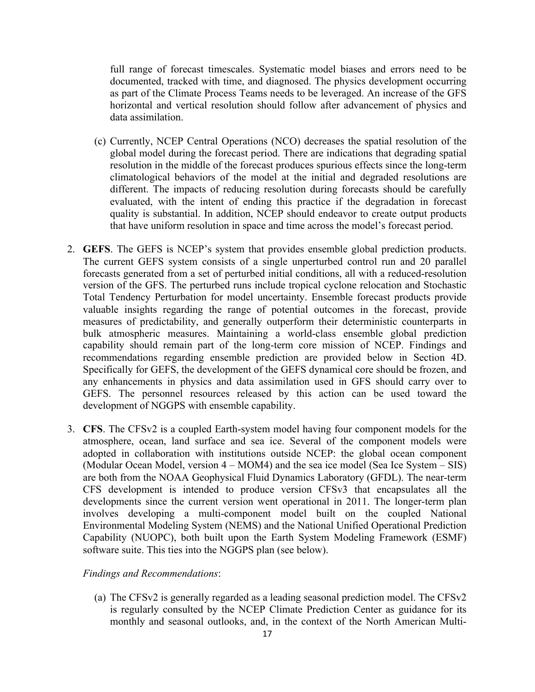full range of forecast timescales. Systematic model biases and errors need to be documented, tracked with time, and diagnosed. The physics development occurring as part of the Climate Process Teams needs to be leveraged. An increase of the GFS horizontal and vertical resolution should follow after advancement of physics and data assimilation.

- (c) Currently, NCEP Central Operations (NCO) decreases the spatial resolution of the global model during the forecast period. There are indications that degrading spatial resolution in the middle of the forecast produces spurious effects since the long-term climatological behaviors of the model at the initial and degraded resolutions are different. The impacts of reducing resolution during forecasts should be carefully evaluated, with the intent of ending this practice if the degradation in forecast quality is substantial. In addition, NCEP should endeavor to create output products that have uniform resolution in space and time across the model's forecast period.
- 2. **GEFS**. The GEFS is NCEP's system that provides ensemble global prediction products. The current GEFS system consists of a single unperturbed control run and 20 parallel forecasts generated from a set of perturbed initial conditions, all with a reduced-resolution version of the GFS. The perturbed runs include tropical cyclone relocation and Stochastic Total Tendency Perturbation for model uncertainty. Ensemble forecast products provide valuable insights regarding the range of potential outcomes in the forecast, provide measures of predictability, and generally outperform their deterministic counterparts in bulk atmospheric measures. Maintaining a world-class ensemble global prediction capability should remain part of the long-term core mission of NCEP. Findings and Specifically for GEFS, the development of the GEFS dynamical core should be frozen, and any enhancements in physics and data assimilation used in GFS should carry over to GEFS. The personnel resources released by this action can be used toward the recommendations regarding ensemble prediction are provided below in Section 4D. development of NGGPS with ensemble capability.
- 3. **CFS**. The CFSv2 is a coupled Earth-system model having four component models for the atmosphere, ocean, land surface and sea ice. Several of the component models were adopted in collaboration with institutions outside NCEP: the global ocean component (Modular Ocean Model, version 4 – MOM4) and the sea ice model (Sea Ice System – SIS) are both from the NOAA Geophysical Fluid Dynamics Laboratory (GFDL). The near-term CFS development is intended to produce version CFSv3 that encapsulates all the developments since the current version went operational in 2011. The longer-term plan involves developing a multi-component model built on the coupled National Environmental Modeling System (NEMS) and the National Unified Operational Prediction Capability (NUOPC), both built upon the Earth System Modeling Framework (ESMF) software suite. This ties into the NGGPS plan (see below).

#### *Findings and Recommendations*:

 (a) The CFSv2 is generally regarded as a leading seasonal prediction model. The CFSv2 is regularly consulted by the NCEP Climate Prediction Center as guidance for its monthly and seasonal outlooks, and, in the context of the North American Multi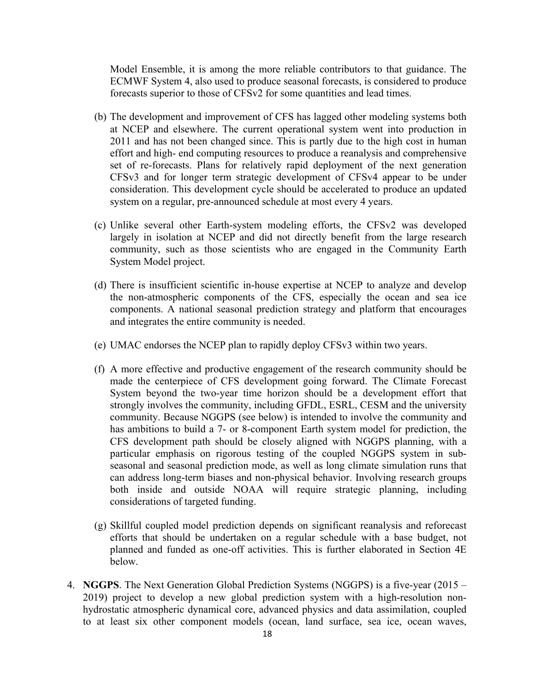Model Ensemble, it is among the more reliable contributors to that guidance. The ECMWF System 4, also used to produce seasonal forecasts, is considered to produce forecasts superior to those of CFSv2 for some quantities and lead times.

- (b) The development and improvement of CFS has lagged other modeling systems both at NCEP and elsewhere. The current operational system went into production in 2011 and has not been changed since. This is partly due to the high cost in human effort and high- end computing resources to produce a reanalysis and comprehensive set of re-forecasts. Plans for relatively rapid deployment of the next generation CFSv3 and for longer term strategic development of CFSv4 appear to be under consideration. This development cycle should be accelerated to produce an updated system on a regular, pre-announced schedule at most every 4 years.
- (c) Unlike several other Earth-system modeling efforts, the CFSv2 was developed largely in isolation at NCEP and did not directly benefit from the large research community, such as those scientists who are engaged in the Community Earth System Model project.
- (d) There is insufficient scientific in-house expertise at NCEP to analyze and develop the non-atmospheric components of the CFS, especially the ocean and sea ice components. A national seasonal prediction strategy and platform that encourages and integrates the entire community is needed.
- (e) UMAC endorses the NCEP plan to rapidly deploy CFSv3 within two years.
- (f) A more effective and productive engagement of the research community should be made the centerpiece of CFS development going forward. The Climate Forecast System beyond the two-year time horizon should be a development effort that strongly involves the community, including GFDL, ESRL, CESM and the university community. Because NGGPS (see below) is intended to involve the community and has ambitions to build a 7- or 8-component Earth system model for prediction, the particular emphasis on rigorous testing of the coupled NGGPS system in sub- seasonal and seasonal prediction mode, as well as long climate simulation runs that can address long-term biases and non-physical behavior. Involving research groups both inside and outside NOAA will require strategic planning, including CFS development path should be closely aligned with NGGPS planning, with a considerations of targeted funding.
- (g) Skillful coupled model prediction depends on significant reanalysis and reforecast efforts that should be undertaken on a regular schedule with a base budget, not planned and funded as one-off activities. This is further elaborated in Section 4E below.
- 4. **NGGPS**. The Next Generation Global Prediction Systems (NGGPS) is a five-year (2015 2019) project to develop a new global prediction system with a high-resolution non- hydrostatic atmospheric dynamical core, advanced physics and data assimilation, coupled to at least six other component models (ocean, land surface, sea ice, ocean waves,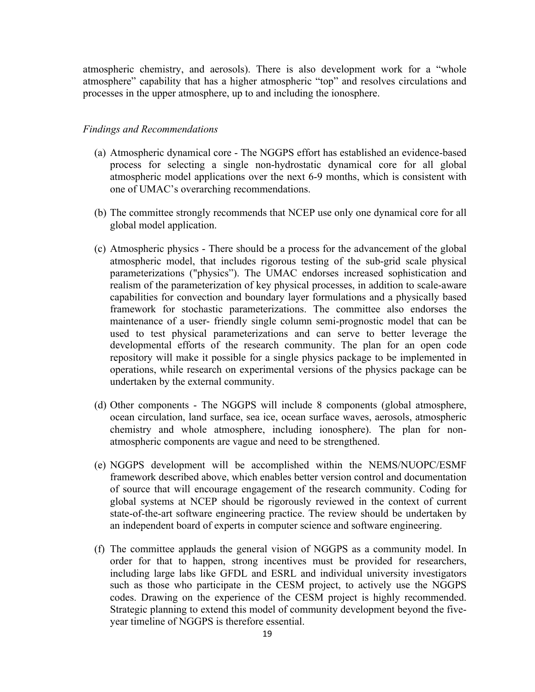atmospheric chemistry, and aerosols). There is also development work for a "whole atmosphere" capability that has a higher atmospheric "top" and resolves circulations and processes in the upper atmosphere, up to and including the ionosphere.

#### *Findings and Recommendations*

- (a) Atmospheric dynamical core The NGGPS effort has established an evidence-based process for selecting a single non-hydrostatic dynamical core for all global atmospheric model applications over the next 6-9 months, which is consistent with one of UMAC's overarching recommendations.
- (b) The committee strongly recommends that NCEP use only one dynamical core for all global model application.
- (c) Atmospheric physics There should be a process for the advancement of the global atmospheric model, that includes rigorous testing of the sub-grid scale physical realism of the parameterization of key physical processes, in addition to scale-aware capabilities for convection and boundary layer formulations and a physically based framework for stochastic parameterizations. The committee also endorses the maintenance of a user- friendly single column semi-prognostic model that can be used to test physical parameterizations and can serve to better leverage the developmental efforts of the research community. The plan for an open code repository will make it possible for a single physics package to be implemented in operations, while research on experimental versions of the physics package can be parameterizations ("physics"). The UMAC endorses increased sophistication and undertaken by the external community.
- (d) Other components The NGGPS will include 8 components (global atmosphere, ocean circulation, land surface, sea ice, ocean surface waves, aerosols, atmospheric chemistry and whole atmosphere, including ionosphere). The plan for nonatmospheric components are vague and need to be strengthened.
- (e) NGGPS development will be accomplished within the NEMS/NUOPC/ESMF of source that will encourage engagement of the research community. Coding for global systems at NCEP should be rigorously reviewed in the context of current state-of-the-art software engineering practice. The review should be undertaken by framework described above, which enables better version control and documentation an independent board of experts in computer science and software engineering.
- (f) The committee applauds the general vision of NGGPS as a community model. In order for that to happen, strong incentives must be provided for researchers, including large labs like GFDL and ESRL and individual university investigators such as those who participate in the CESM project, to actively use the NGGPS codes. Drawing on the experience of the CESM project is highly recommended. Strategic planning to extend this model of community development beyond the fiveyear timeline of NGGPS is therefore essential.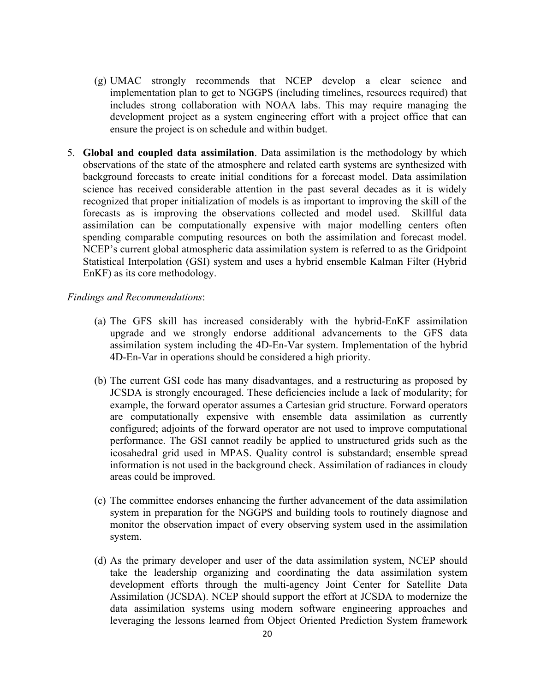- (g) UMAC strongly recommends that NCEP develop a clear science and implementation plan to get to NGGPS (including timelines, resources required) that includes strong collaboration with NOAA labs. This may require managing the development project as a system engineering effort with a project office that can ensure the project is on schedule and within budget.
- 5. Global and coupled data assimilation. Data assimilation is the methodology by which observations of the state of the atmosphere and related earth systems are synthesized with background forecasts to create initial conditions for a forecast model. Data assimilation science has received considerable attention in the past several decades as it is widely recognized that proper initialization of models is as important to improving the skill of the forecasts as is improving the observations collected and model used. Skillful data spending comparable computing resources on both the assimilation and forecast model. NCEP's current global atmospheric data assimilation system is referred to as the Gridpoint Statistical Interpolation (GSI) system and uses a hybrid ensemble Kalman Filter (Hybrid assimilation can be computationally expensive with major modelling centers often EnKF) as its core methodology.

#### *Findings and Recommendations*:

- (a) The GFS skill has increased considerably with the hybrid-EnKF assimilation upgrade and we strongly endorse additional advancements to the GFS data assimilation system including the 4D-En-Var system. Implementation of the hybrid 4D-En-Var in operations should be considered a high priority.
- (b) The current GSI code has many disadvantages, and a restructuring as proposed by JCSDA is strongly encouraged. These deficiencies include a lack of modularity; for example, the forward operator assumes a Cartesian grid structure. Forward operators are computationally expensive with ensemble data assimilation as currently configured; adjoints of the forward operator are not used to improve computational performance. The GSI cannot readily be applied to unstructured grids such as the icosahedral grid used in MPAS. Quality control is substandard; ensemble spread information is not used in the background check. Assimilation of radiances in cloudy areas could be improved.
- (c) The committee endorses enhancing the further advancement of the data assimilation system in preparation for the NGGPS and building tools to routinely diagnose and monitor the observation impact of every observing system used in the assimilation system.
- (d) As the primary developer and user of the data assimilation system, NCEP should take the leadership organizing and coordinating the data assimilation system development efforts through the multi-agency Joint Center for Satellite Data Assimilation (JCSDA). NCEP should support the effort at JCSDA to modernize the leveraging the lessons learned from Object Oriented Prediction System framework data assimilation systems using modern software engineering approaches and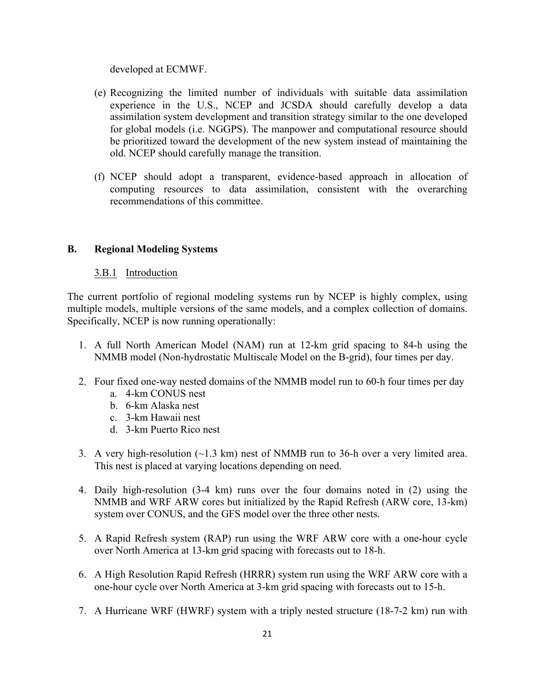developed at ECMWF.

- (e) Recognizing the limited number of individuals with suitable data assimilation experience in the U.S., NCEP and JCSDA should carefully develop a data assimilation system development and transition strategy similar to the one developed for global models (i.e. NGGPS). The manpower and computational resource should be prioritized toward the development of the new system instead of maintaining the old. NCEP should carefully manage the transition.
- (f) NCEP should adopt a transparent, evidence-based approach in allocation of computing resources to data assimilation, consistent with the overarching recommendations of this committee.

## **B. Regional Modeling Systems**

#### 3.B.1 Introduction

 The current portfolio of regional modeling systems run by NCEP is highly complex, using multiple models, multiple versions of the same models, and a complex collection of domains. Specifically, NCEP is now running operationally:

- 1. A full North American Model (NAM) run at 12-km grid spacing to 84-h using the NMMB model (Non-hydrostatic Multiscale Model on the B-grid), four times per day.
- 2. Four fixed one-way nested domains of the NMMB model run to 60-h four times per day
	- a. 4-km CONUS nest
	- b. 6-km Alaska nest
	- c. 3-km Hawaii nest
	- d. 3-km Puerto Rico nest
- 3. A very high-resolution  $(\sim 1.3 \text{ km})$  nest of NMMB run to 36-h over a very limited area. This nest is placed at varying locations depending on need.
- 4. Daily high-resolution (3-4 km) runs over the four domains noted in (2) using the NMMB and WRF ARW cores but initialized by the Rapid Refresh (ARW core, 13-km) system over CONUS, and the GFS model over the three other nests.
- 5. A Rapid Refresh system (RAP) run using the WRF ARW core with a one-hour cycle over North America at 13-km grid spacing with forecasts out to 18-h.
- 6. A High Resolution Rapid Refresh (HRRR) system run using the WRF ARW core with a one-hour cycle over North America at 3-km grid spacing with forecasts out to 15-h.
- 7. A Hurricane WRF (HWRF) system with a triply nested structure (18-7-2 km) run with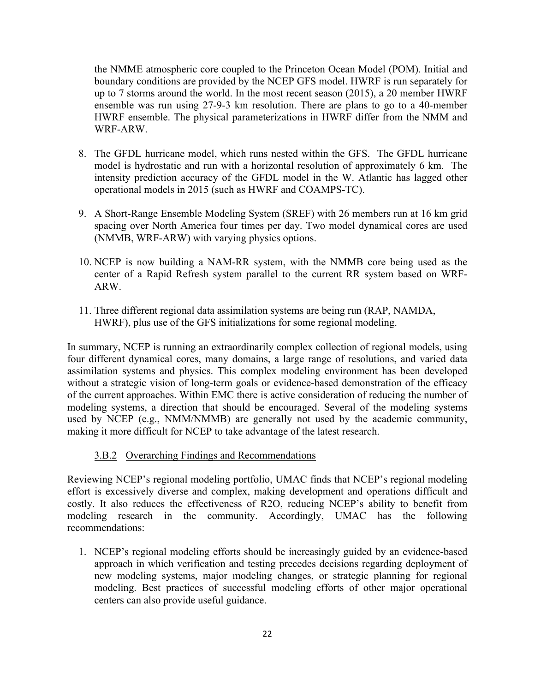the NMME atmospheric core coupled to the Princeton Ocean Model (POM). Initial and boundary conditions are provided by the NCEP GFS model. HWRF is run separately for up to 7 storms around the world. In the most recent season (2015), a 20 member HWRF ensemble was run using 27-9-3 km resolution. There are plans to go to a 40-member HWRF ensemble. The physical parameterizations in HWRF differ from the NMM and WRF-ARW.

- 8. The GFDL hurricane model, which runs nested within the GFS. The GFDL hurricane model is hydrostatic and run with a horizontal resolution of approximately 6 km. The intensity prediction accuracy of the GFDL model in the W. Atlantic has lagged other operational models in 2015 (such as HWRF and COAMPS-TC).
- 9. A Short-Range Ensemble Modeling System (SREF) with 26 members run at 16 km grid spacing over North America four times per day. Two model dynamical cores are used (NMMB, WRF-ARW) with varying physics options.
- 10. NCEP is now building a NAM-RR system, with the NMMB core being used as the center of a Rapid Refresh system parallel to the current RR system based on WRF-ARW.
- 11. Three different regional data assimilation systems are being run (RAP, NAMDA, HWRF), plus use of the GFS initializations for some regional modeling.

 In summary, NCEP is running an extraordinarily complex collection of regional models, using four different dynamical cores, many domains, a large range of resolutions, and varied data assimilation systems and physics. This complex modeling environment has been developed without a strategic vision of long-term goals or evidence-based demonstration of the efficacy of the current approaches. Within EMC there is active consideration of reducing the number of modeling systems, a direction that should be encouraged. Several of the modeling systems used by NCEP (e.g., NMM/NMMB) are generally not used by the academic community, making it more difficult for NCEP to take advantage of the latest research.

## 3.B.2 Overarching Findings and Recommendations

 Reviewing NCEP's regional modeling portfolio, UMAC finds that NCEP's regional modeling effort is excessively diverse and complex, making development and operations difficult and costly. It also reduces the effectiveness of R2O, reducing NCEP's ability to benefit from modeling research in the community. Accordingly, UMAC has the following recommendations:

1. NCEP's regional modeling efforts should be increasingly guided by an evidence-based approach in which verification and testing precedes decisions regarding deployment of modeling. Best practices of successful modeling efforts of other major operational new modeling systems, major modeling changes, or strategic planning for regional centers can also provide useful guidance.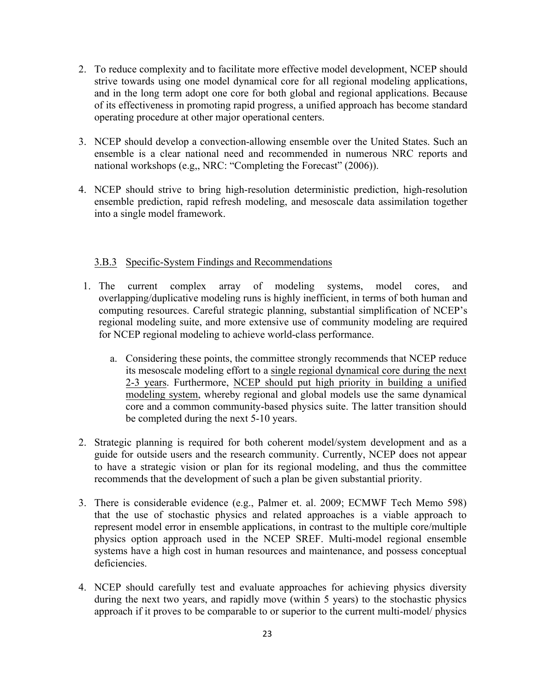- 2. To reduce complexity and to facilitate more effective model development, NCEP should strive towards using one model dynamical core for all regional modeling applications, and in the long term adopt one core for both global and regional applications. Because of its effectiveness in promoting rapid progress, a unified approach has become standard operating procedure at other major operational centers.
- 3. NCEP should develop a convection-allowing ensemble over the United States. Such an ensemble is a clear national need and recommended in numerous NRC reports and national workshops (e.g., NRC: "Completing the Forecast" (2006)).
- ensemble prediction, rapid refresh modeling, and mesoscale data assimilation together 4. NCEP should strive to bring high-resolution deterministic prediction, high-resolution into a single model framework.

#### 3.B.3 Specific-System Findings and Recommendations

- 1 The overlapping/duplicative modeling runs is highly inefficient, in terms of both human and computing resources. Careful strategic planning, substantial simplification of NCEP's regional modeling suite, and more extensive use of community modeling are required current complex array of modeling systems, model cores, and for NCEP regional modeling to achieve world-class performance.
	- a. Considering these points, the committee strongly recommends that NCEP reduce its mesoscale modeling effort to a single regional dynamical core during the next 2-3 years. Furthermore, NCEP should put high priority in building a unified modeling system, whereby regional and global models use the same dynamical core and a common community-based physics suite. The latter transition should be completed during the next 5-10 years.
- 2. Strategic planning is required for both coherent model/system development and as a guide for outside users and the research community. Currently, NCEP does not appear to have a strategic vision or plan for its regional modeling, and thus the committee recommends that the development of such a plan be given substantial priority.
- 3. There is considerable evidence (e.g., Palmer et. al. 2009; ECMWF Tech Memo 598) that the use of stochastic physics and related approaches is a viable approach to represent model error in ensemble applications, in contrast to the multiple core/multiple physics option approach used in the NCEP SREF. Multi-model regional ensemble systems have a high cost in human resources and maintenance, and possess conceptual deficiencies.
- 4. NCEP should carefully test and evaluate approaches for achieving physics diversity during the next two years, and rapidly move (within 5 years) to the stochastic physics approach if it proves to be comparable to or superior to the current multi-model/ physics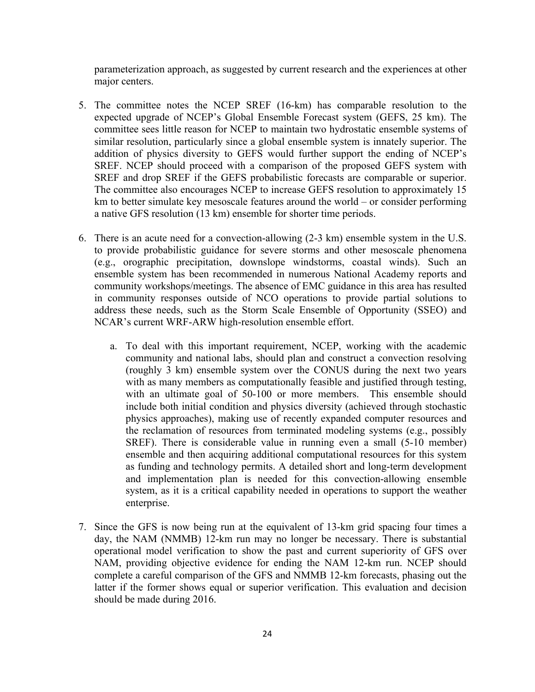parameterization approach, as suggested by current research and the experiences at other major centers.

- 5. The committee notes the NCEP SREF (16-km) has comparable resolution to the expected upgrade of NCEP's Global Ensemble Forecast system (GEFS, 25 km). The committee sees little reason for NCEP to maintain two hydrostatic ensemble systems of similar resolution, particularly since a global ensemble system is innately superior. The addition of physics diversity to GEFS would further support the ending of NCEP's SREF. NCEP should proceed with a comparison of the proposed GEFS system with SREF and drop SREF if the GEFS probabilistic forecasts are comparable or superior. The committee also encourages NCEP to increase GEFS resolution to approximately 15 km to better simulate key mesoscale features around the world – or consider performing a native GFS resolution (13 km) ensemble for shorter time periods.
- 6. There is an acute need for a convection-allowing  $(2-3 \text{ km})$  ensemble system in the U.S. to provide probabilistic guidance for severe storms and other mesoscale phenomena ensemble system has been recommended in numerous National Academy reports and community workshops/meetings. The absence of EMC guidance in this area has resulted in community responses outside of NCO operations to provide partial solutions to address these needs, such as the Storm Scale Ensemble of Opportunity (SSEO) and (e.g., orographic precipitation, downslope windstorms, coastal winds). Such an NCAR's current WRF-ARW high-resolution ensemble effort.
	- a. To deal with this important requirement, NCEP, working with the academic community and national labs, should plan and construct a convection resolving (roughly 3 km) ensemble system over the CONUS during the next two years with as many members as computationally feasible and justified through testing, with an ultimate goal of 50-100 or more members. This ensemble should include both initial condition and physics diversity (achieved through stochastic physics approaches), making use of recently expanded computer resources and the reclamation of resources from terminated modeling systems (e.g., possibly SREF). There is considerable value in running even a small (5-10 member) ensemble and then acquiring additional computational resources for this system system, as it is a critical capability needed in operations to support the weather as funding and technology permits. A detailed short and long-term development and implementation plan is needed for this convection-allowing ensemble enterprise.
- 7. Since the GFS is now being run at the equivalent of 13-km grid spacing four times a day, the NAM (NMMB) 12-km run may no longer be necessary. There is substantial operational model verification to show the past and current superiority of GFS over NAM, providing objective evidence for ending the NAM 12-km run. NCEP should complete a careful comparison of the GFS and NMMB 12-km forecasts, phasing out the latter if the former shows equal or superior verification. This evaluation and decision should be made during 2016.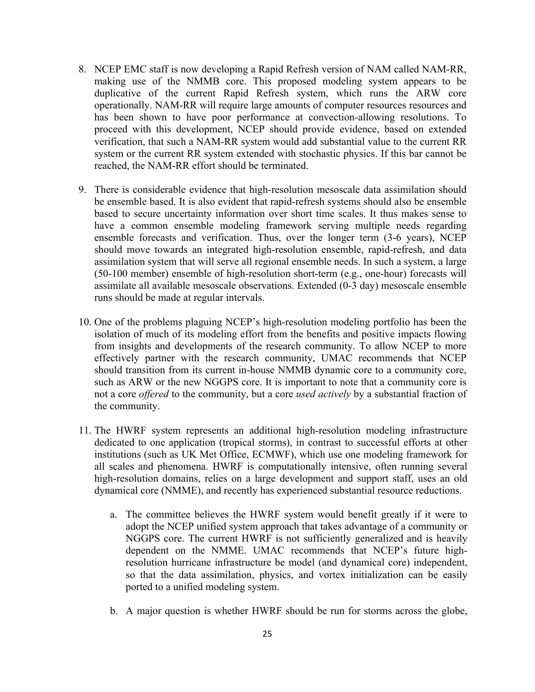- 8. NCEP EMC staff is now developing a Rapid Refresh version of NAM called NAM-RR, making use of the NMMB core. This proposed modeling system appears to be duplicative of the current Rapid Refresh system, which runs the ARW core operationally. NAM-RR will require large amounts of computer resources resources and has been shown to have poor performance at convection-allowing resolutions. To verification, that such a NAM-RR system would add substantial value to the current RR system or the current RR system extended with stochastic physics. If this bar cannot be proceed with this development, NCEP should provide evidence, based on extended reached, the NAM-RR effort should be terminated.
- 9. There is considerable evidence that high-resolution mesoscale data assimilation should be ensemble based. It is also evident that rapid-refresh systems should also be ensemble based to secure uncertainty information over short time scales. It thus makes sense to have a common ensemble modeling framework serving multiple needs regarding ensemble forecasts and verification. Thus, over the longer term (3-6 years), NCEP should move towards an integrated high-resolution ensemble, rapid-refresh, and data assimilation system that will serve all regional ensemble needs. In such a system, a large (50-100 member) ensemble of high-resolution short-term (e.g., one-hour) forecasts will assimilate all available mesoscale observations. Extended (0-3 day) mesoscale ensemble runs should be made at regular intervals.
- 10. One of the problems plaguing NCEP's high-resolution modeling portfolio has been the isolation of much of its modeling effort from the benefits and positive impacts flowing from insights and developments of the research community. To allow NCEP to more effectively partner with the research community, UMAC recommends that NCEP should transition from its current in-house NMMB dynamic core to a community core, such as ARW or the new NGGPS core. It is important to note that a community core is not a core *offered* to the community, but a core *used actively* by a substantial fraction of the community.
- 11. The HWRF system represents an additional high-resolution modeling infrastructure dedicated to one application (tropical storms), in contrast to successful efforts at other institutions (such as UK Met Office, ECMWF), which use one modeling framework for all scales and phenomena. HWRF is computationally intensive, often running several high-resolution domains, relies on a large development and support staff, uses an old dynamical core (NMME), and recently has experienced substantial resource reductions.
	- a. The committee believes the HWRF system would benefit greatly if it were to adopt the NCEP unified system approach that takes advantage of a community or NGGPS core. The current HWRF is not sufficiently generalized and is heavily dependent on the NMME. UMAC recommends that NCEP's future high- resolution hurricane infrastructure be model (and dynamical core) independent, so that the data assimilation, physics, and vortex initialization can be easily ported to a unified modeling system.
	- b. A major question is whether HWRF should be run for storms across the globe,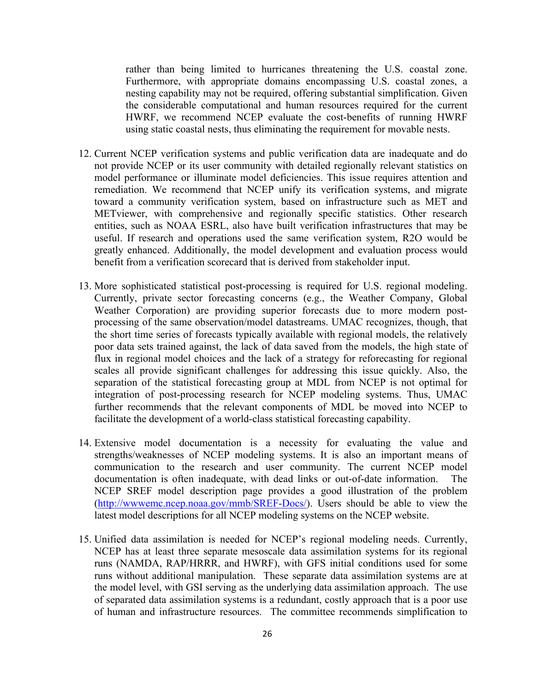Furthermore, with appropriate domains encompassing U.S. coastal zones, a nesting capability may not be required, offering substantial simplification. Given the considerable computational and human resources required for the current HWRF, we recommend NCEP evaluate the cost-benefits of running HWRF rather than being limited to hurricanes threatening the U.S. coastal zone. using static coastal nests, thus eliminating the requirement for movable nests.

- 12. Current NCEP verification systems and public verification data are inadequate and do not provide NCEP or its user community with detailed regionally relevant statistics on model performance or illuminate model deficiencies. This issue requires attention and remediation. We recommend that NCEP unify its verification systems, and migrate toward a community verification system, based on infrastructure such as MET and entities, such as NOAA ESRL, also have built verification infrastructures that may be useful. If research and operations used the same verification system, R2O would be greatly enhanced. Additionally, the model development and evaluation process would METviewer, with comprehensive and regionally specific statistics. Other research benefit from a verification scorecard that is derived from stakeholder input.
- Currently, private sector forecasting concerns (e.g., the Weather Company, Global Weather Corporation) are providing superior forecasts due to more modern post- processing of the same observation/model datastreams. UMAC recognizes, though, that the short time series of forecasts typically available with regional models, the relatively poor data sets trained against, the lack of data saved from the models, the high state of flux in regional model choices and the lack of a strategy for reforecasting for regional scales all provide significant challenges for addressing this issue quickly. Also, the separation of the statistical forecasting group at MDL from NCEP is not optimal for integration of post-processing research for NCEP modeling systems. Thus, UMAC further recommends that the relevant components of MDL be moved into NCEP to 13. More sophisticated statistical post-processing is required for U.S. regional modeling. facilitate the development of a world-class statistical forecasting capability.
- 14. Extensive model documentation is a necessity for evaluating the value and strengths/weaknesses of NCEP modeling systems. It is also an important means of communication to the research and user community. The current NCEP model documentation is often inadequate, with dead links or out-of-date information. The NCEP SREF model description page provides a good illustration of the problem (http://www.emc.ncep.noaa.gov/mmb/SREF-Docs/). Users should be able to view the latest model descriptions for all NCEP modeling systems on the NCEP website.
- 15. Unified data assimilation is needed for NCEP's regional modeling needs. Currently, NCEP has at least three separate mesoscale data assimilation systems for its regional runs (NAMDA, RAP/HRRR, and HWRF), with GFS initial conditions used for some runs without additional manipulation. These separate data assimilation systems are at the model level, with GSI serving as the underlying data assimilation approach. The use of separated data assimilation systems is a redundant, costly approach that is a poor use of human and infrastructure resources. The committee recommends simplification to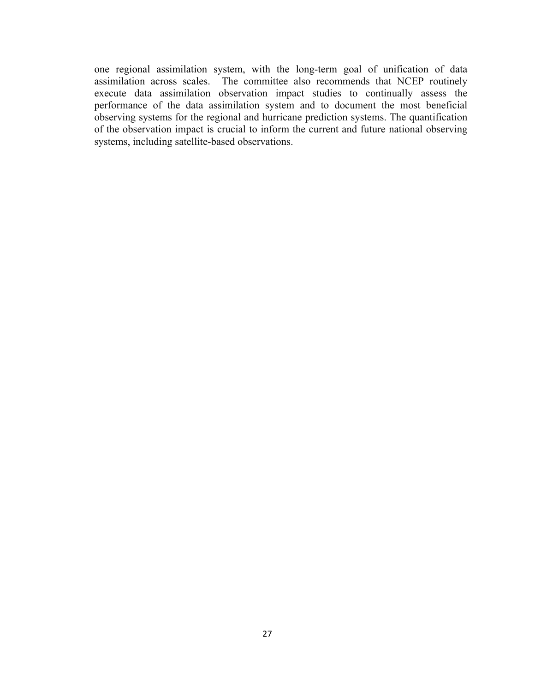one regional assimilation system, with the long-term goal of unification of data assimilation across scales. The committee also recommends that NCEP routinely execute data assimilation observation impact studies to continually assess the performance of the data assimilation system and to document the most beneficial observing systems for the regional and hurricane prediction systems. The quantification of the observation impact is crucial to inform the current and future national observing systems, including satellite-based observations.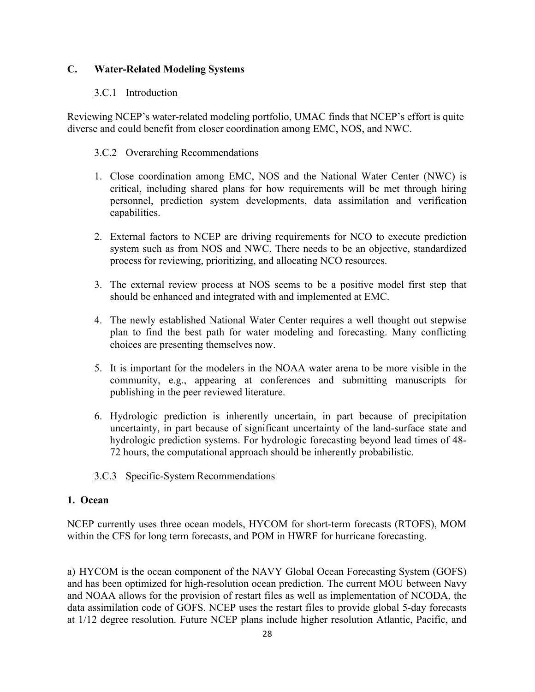## **C. Water-Related Modeling Systems**

## 3.C.1 Introduction

Reviewing NCEP's water-related modeling portfolio, UMAC finds that NCEP's effort is quite diverse and could benefit from closer coordination among EMC, NOS, and NWC.

## 3.C.2 Overarching Recommendations

- 1. Close coordination among EMC, NOS and the National Water Center (NWC) is critical, including shared plans for how requirements will be met through hiring personnel, prediction system developments, data assimilation and verification capabilities.
- 2. External factors to NCEP are driving requirements for NCO to execute prediction system such as from NOS and NWC. There needs to be an objective, standardized process for reviewing, prioritizing, and allocating NCO resources.
- 3. The external review process at NOS seems to be a positive model first step that should be enhanced and integrated with and implemented at EMC.
- 4. The newly established National Water Center requires a well thought out stepwise plan to find the best path for water modeling and forecasting. Many conflicting choices are presenting themselves now.
- 5. It is important for the modelers in the NOAA water arena to be more visible in the community, e.g., appearing at conferences and submitting manuscripts for publishing in the peer reviewed literature.
- 6. Hydrologic prediction is inherently uncertain, in part because of precipitation uncertainty, in part because of significant uncertainty of the land-surface state and hydrologic prediction systems. For hydrologic forecasting beyond lead times of 48- 72 hours, the computational approach should be inherently probabilistic.

## 3.C.3 Specific-System Recommendations

## **1. Ocean**

 NCEP currently uses three ocean models, HYCOM for short-term forecasts (RTOFS), MOM within the CFS for long term forecasts, and POM in HWRF for hurricane forecasting.

 a) HYCOM is the ocean component of the NAVY Global Ocean Forecasting System (GOFS) and has been optimized for high-resolution ocean prediction. The current MOU between Navy and NOAA allows for the provision of restart files as well as implementation of NCODA, the data assimilation code of GOFS. NCEP uses the restart files to provide global 5-day forecasts at 1/12 degree resolution. Future NCEP plans include higher resolution Atlantic, Pacific, and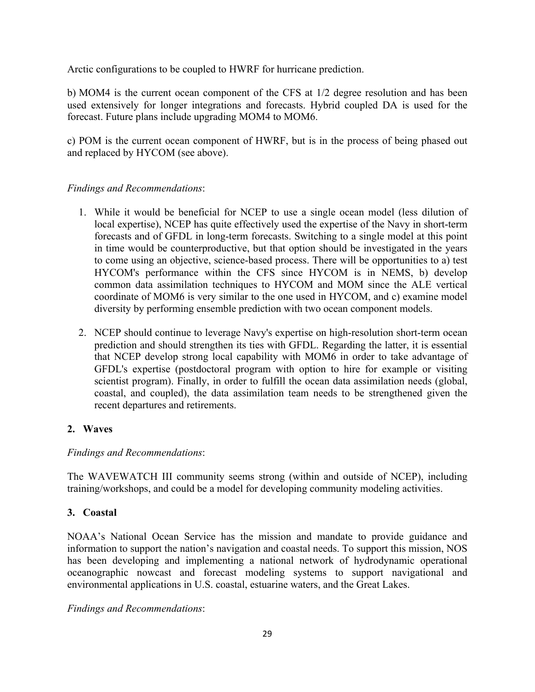Arctic configurations to be coupled to HWRF for hurricane prediction.

 b) MOM4 is the current ocean component of the CFS at 1/2 degree resolution and has been used extensively for longer integrations and forecasts. Hybrid coupled DA is used for the forecast. Future plans include upgrading MOM4 to MOM6.

 c) POM is the current ocean component of HWRF, but is in the process of being phased out and replaced by HYCOM (see above).

## *Findings and Recommendations*:

- 1. While it would be beneficial for NCEP to use a single ocean model (less dilution of local expertise), NCEP has quite effectively used the expertise of the Navy in short-term forecasts and of GFDL in long-term forecasts. Switching to a single model at this point in time would be counterproductive, but that option should be investigated in the years to come using an objective, science-based process. There will be opportunities to a) test HYCOM's performance within the CFS since HYCOM is in NEMS, b) develop common data assimilation techniques to HYCOM and MOM since the ALE vertical coordinate of MOM6 is very similar to the one used in HYCOM, and c) examine model diversity by performing ensemble prediction with two ocean component models.
- 2. NCEP should continue to leverage Navy's expertise on high-resolution short-term ocean prediction and should strengthen its ties with GFDL. Regarding the latter, it is essential that NCEP develop strong local capability with MOM6 in order to take advantage of GFDL's expertise (postdoctoral program with option to hire for example or visiting scientist program). Finally, in order to fulfill the ocean data assimilation needs (global, coastal, and coupled), the data assimilation team needs to be strengthened given the recent departures and retirements.

## **2. Waves**

## *Findings and Recommendations*:

 The WAVEWATCH III community seems strong (within and outside of NCEP), including training/workshops, and could be a model for developing community modeling activities.

## **3. Coastal**

 NOAA's National Ocean Service has the mission and mandate to provide guidance and information to support the nation's navigation and coastal needs. To support this mission, NOS has been developing and implementing a national network of hydrodynamic operational oceanographic nowcast and forecast modeling systems to support navigational and environmental applications in U.S. coastal, estuarine waters, and the Great Lakes.

*Findings and Recommendations*: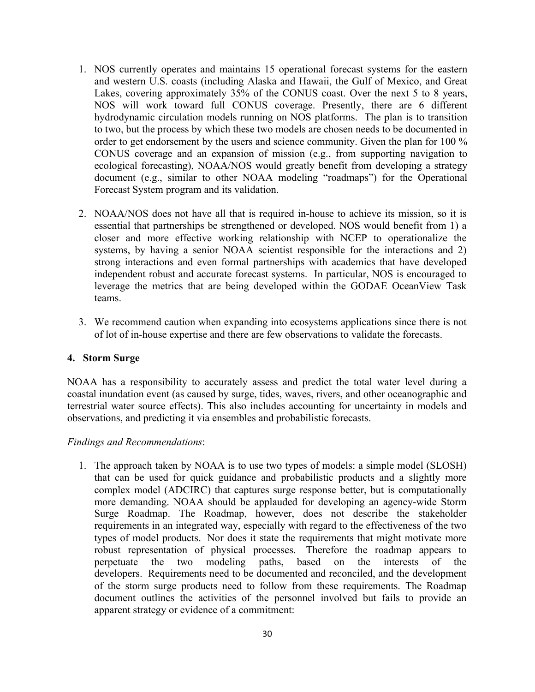- 1. NOS currently operates and maintains 15 operational forecast systems for the eastern and western U.S. coasts (including Alaska and Hawaii, the Gulf of Mexico, and Great Lakes, covering approximately 35% of the CONUS coast. Over the next 5 to 8 years, NOS will work toward full CONUS coverage. Presently, there are 6 different hydrodynamic circulation models running on NOS platforms. The plan is to transition to two, but the process by which these two models are chosen needs to be documented in order to get endorsement by the users and science community. Given the plan for 100 % CONUS coverage and an expansion of mission (e.g., from supporting navigation to ecological forecasting), NOAA/NOS would greatly benefit from developing a strategy document (e.g., similar to other NOAA modeling "roadmaps") for the Operational Forecast System program and its validation.
- 2. NOAA/NOS does not have all that is required in-house to achieve its mission, so it is essential that partnerships be strengthened or developed. NOS would benefit from 1) a closer and more effective working relationship with NCEP to operationalize the systems, by having a senior NOAA scientist responsible for the interactions and 2) strong interactions and even formal partnerships with academics that have developed independent robust and accurate forecast systems. In particular, NOS is encouraged to leverage the metrics that are being developed within the GODAE OceanView Task teams.
- 3. We recommend caution when expanding into ecosystems applications since there is not of lot of in-house expertise and there are few observations to validate the forecasts.

#### **4. Storm Surge**

 NOAA has a responsibility to accurately assess and predict the total water level during a coastal inundation event (as caused by surge, tides, waves, rivers, and other oceanographic and terrestrial water source effects). This also includes accounting for uncertainty in models and observations, and predicting it via ensembles and probabilistic forecasts.

#### *Findings and Recommendations*:

1. The approach taken by NOAA is to use two types of models: a simple model (SLOSH) that can be used for quick guidance and probabilistic products and a slightly more complex model (ADCIRC) that captures surge response better, but is computationally more demanding. NOAA should be applauded for developing an agency-wide Storm Surge Roadmap. The Roadmap, however, does not describe the stakeholder requirements in an integrated way, especially with regard to the effectiveness of the two types of model products. Nor does it state the requirements that might motivate more robust representation of physical processes. Therefore the roadmap appears to perpetuate developers. Requirements need to be documented and reconciled, and the development of the storm surge products need to follow from these requirements. The Roadmap document outlines the activities of the personnel involved but fails to provide an apparent strategy or evidence of a commitment: the two modeling paths, based on the interests of the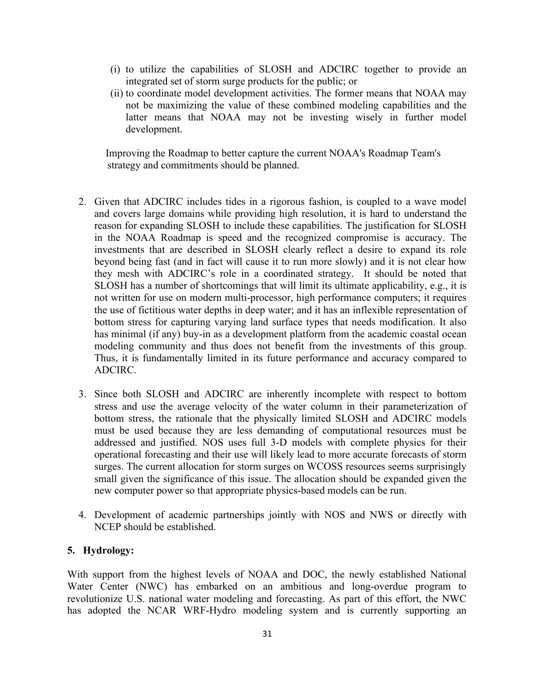- (i) to utilize the capabilities of SLOSH and ADCIRC together to provide an integrated set of storm surge products for the public; or
- (ii) to coordinate model development activities. The former means that NOAA may not be maximizing the value of these combined modeling capabilities and the latter means that NOAA may not be investing wisely in further model development.

Improving the Roadmap to better capture the current NOAA's Roadmap Team's strategy and commitments should be planned.

- 2. Given that ADCIRC includes tides in a rigorous fashion, is coupled to a wave model and covers large domains while providing high resolution, it is hard to understand the reason for expanding SLOSH to include these capabilities. The justification for SLOSH in the NOAA Roadmap is speed and the recognized compromise is accuracy. The investments that are described in SLOSH clearly reflect a desire to expand its role beyond being fast (and in fact will cause it to run more slowly) and it is not clear how they mesh with ADCIRC's role in a coordinated strategy. It should be noted that SLOSH has a number of shortcomings that will limit its ultimate applicability, e.g., it is not written for use on modern multi-processor, high performance computers; it requires the use of fictitious water depths in deep water; and it has an inflexible representation of bottom stress for capturing varying land surface types that needs modification. It also has minimal (if any) buy-in as a development platform from the academic coastal ocean modeling community and thus does not benefit from the investments of this group. Thus, it is fundamentally limited in its future performance and accuracy compared to ADCIRC.
- 3. Since both SLOSH and ADCIRC are inherently incomplete with respect to bottom stress and use the average velocity of the water column in their parameterization of bottom stress, the rationale that the physically limited SLOSH and ADCIRC models must be used because they are less demanding of computational resources must be addressed and justified. NOS uses full 3-D models with complete physics for their operational forecasting and their use will likely lead to more accurate forecasts of storm surges. The current allocation for storm surges on WCOSS resources seems surprisingly small given the significance of this issue. The allocation should be expanded given the new computer power so that appropriate physics-based models can be run.
- 4. Development of academic partnerships jointly with NOS and NWS or directly with NCEP should be established.

#### **5. Hydrology:**

 With support from the highest levels of NOAA and DOC, the newly established National Water Center (NWC) has embarked on an ambitious and long-overdue program to revolutionize U.S. national water modeling and forecasting. As part of this effort, the NWC has adopted the NCAR WRF-Hydro modeling system and is currently supporting an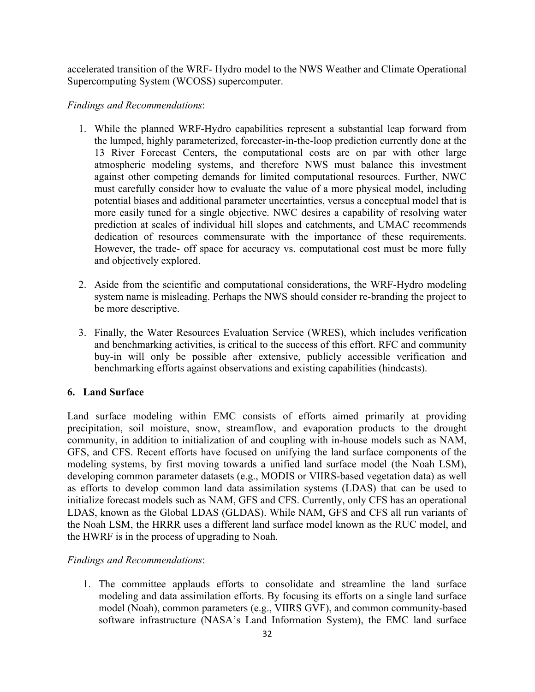accelerated transition of the WRF- Hydro model to the NWS Weather and Climate Operational Supercomputing System (WCOSS) supercomputer.

#### *Findings and Recommendations*:

- 1. While the planned WRF-Hydro capabilities represent a substantial leap forward from the lumped, highly parameterized, forecaster-in-the-loop prediction currently done at the 13 River Forecast Centers, the computational costs are on par with other large atmospheric modeling systems, and therefore NWS must balance this investment must carefully consider how to evaluate the value of a more physical model, including potential biases and additional parameter uncertainties, versus a conceptual model that is more easily tuned for a single objective. NWC desires a capability of resolving water prediction at scales of individual hill slopes and catchments, and UMAC recommends dedication of resources commensurate with the importance of these requirements. However, the trade- off space for accuracy vs. computational cost must be more fully against other competing demands for limited computational resources. Further, NWC and objectively explored.
- 2. Aside from the scientific and computational considerations, the WRF-Hydro modeling system name is misleading. Perhaps the NWS should consider re-branding the project to be more descriptive.
- and benchmarking activities, is critical to the success of this effort. RFC and community buy-in will only be possible after extensive, publicly accessible verification and 3. Finally, the Water Resources Evaluation Service (WRES), which includes verification benchmarking efforts against observations and existing capabilities (hindcasts).

#### **6. Land Surface**

 Land surface modeling within EMC consists of efforts aimed primarily at providing precipitation, soil moisture, snow, streamflow, and evaporation products to the drought community, in addition to initialization of and coupling with in-house models such as NAM, GFS, and CFS. Recent efforts have focused on unifying the land surface components of the modeling systems, by first moving towards a unified land surface model (the Noah LSM), developing common parameter datasets (e.g., MODIS or VIIRS-based vegetation data) as well as efforts to develop common land data assimilation systems (LDAS) that can be used to initialize forecast models such as NAM, GFS and CFS. Currently, only CFS has an operational LDAS, known as the Global LDAS (GLDAS). While NAM, GFS and CFS all run variants of the Noah LSM, the HRRR uses a different land surface model known as the RUC model, and the HWRF is in the process of upgrading to Noah.

## *Findings and Recommendations*:

1. The committee applauds efforts to consolidate and streamline the land surface modeling and data assimilation efforts. By focusing its efforts on a single land surface model (Noah), common parameters (e.g., VIIRS GVF), and common community-based software infrastructure (NASA's Land Information System), the EMC land surface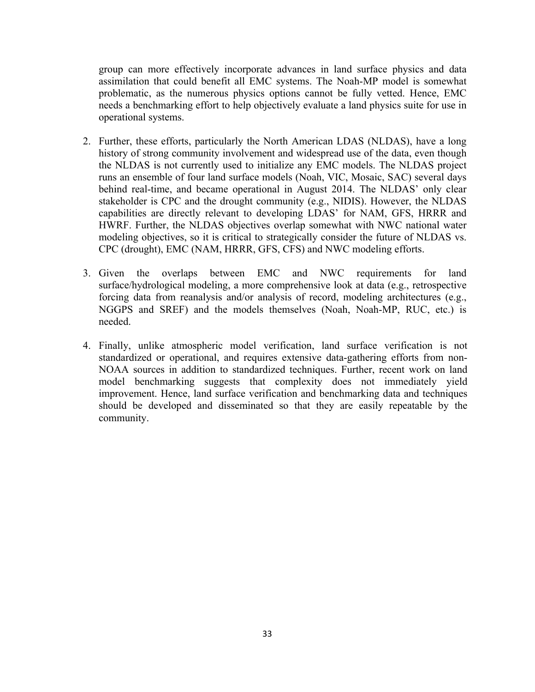group can more effectively incorporate advances in land surface physics and data assimilation that could benefit all EMC systems. The Noah-MP model is somewhat problematic, as the numerous physics options cannot be fully vetted. Hence, EMC needs a benchmarking effort to help objectively evaluate a land physics suite for use in operational systems.

- 2. Further, these efforts, particularly the North American LDAS (NLDAS), have a long history of strong community involvement and widespread use of the data, even though the NLDAS is not currently used to initialize any EMC models. The NLDAS project runs an ensemble of four land surface models (Noah, VIC, Mosaic, SAC) several days behind real-time, and became operational in August 2014. The NLDAS' only clear stakeholder is CPC and the drought community (e.g., NIDIS). However, the NLDAS capabilities are directly relevant to developing LDAS' for NAM, GFS, HRRR and HWRF. Further, the NLDAS objectives overlap somewhat with NWC national water modeling objectives, so it is critical to strategically consider the future of NLDAS vs. CPC (drought), EMC (NAM, HRRR, GFS, CFS) and NWC modeling efforts.
- 3. Given the overlaps between EMC and NWC requirements for land surface/hydrological modeling, a more comprehensive look at data (e.g., retrospective forcing data from reanalysis and/or analysis of record, modeling architectures (e.g., NGGPS and SREF) and the models themselves (Noah, Noah-MP, RUC, etc.) is needed.
- 4. Finally, unlike atmospheric model verification, land surface verification is not standardized or operational, and requires extensive data-gathering efforts from non- NOAA sources in addition to standardized techniques. Further, recent work on land model benchmarking suggests that complexity does not immediately yield should be developed and disseminated so that they are easily repeatable by the improvement. Hence, land surface verification and benchmarking data and techniques community.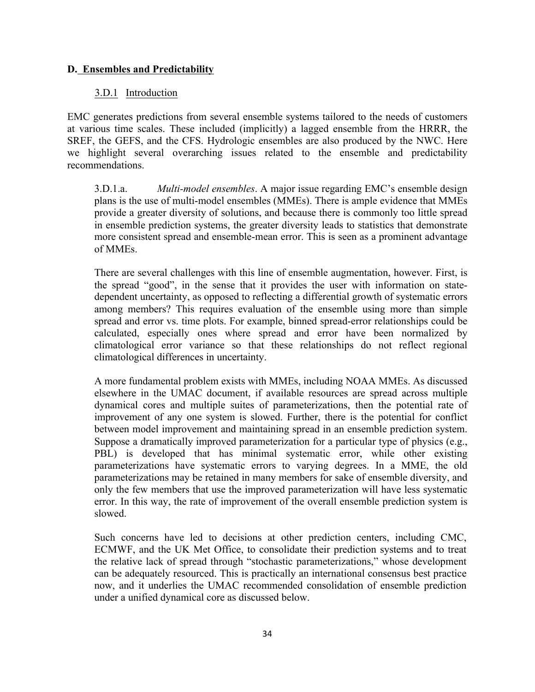#### **D. Ensembles and Predictability**

## 3.D.1 Introduction

 EMC generates predictions from several ensemble systems tailored to the needs of customers at various time scales. These included (implicitly) a lagged ensemble from the HRRR, the SREF, the GEFS, and the CFS. Hydrologic ensembles are also produced by the NWC. Here we highlight several overarching issues related to the ensemble and predictability recommendations.

 3.D.1.a. *Multi-model ensembles*. A major issue regarding EMC's ensemble design plans is the use of multi-model ensembles (MMEs). There is ample evidence that MMEs provide a greater diversity of solutions, and because there is commonly too little spread in ensemble prediction systems, the greater diversity leads to statistics that demonstrate more consistent spread and ensemble-mean error. This is seen as a prominent advantage of MMEs.

 There are several challenges with this line of ensemble augmentation, however. First, is the spread "good", in the sense that it provides the user with information on state- dependent uncertainty, as opposed to reflecting a differential growth of systematic errors among members? This requires evaluation of the ensemble using more than simple spread and error vs. time plots. For example, binned spread-error relationships could be calculated, especially ones where spread and error have been normalized by climatological error variance so that these relationships do not reflect regional climatological differences in uncertainty.

 A more fundamental problem exists with MMEs, including NOAA MMEs. As discussed elsewhere in the UMAC document, if available resources are spread across multiple dynamical cores and multiple suites of parameterizations, then the potential rate of improvement of any one system is slowed. Further, there is the potential for conflict Suppose a dramatically improved parameterization for a particular type of physics (e.g., PBL) is developed that has minimal systematic error, while other existing parameterizations have systematic errors to varying degrees. In a MME, the old parameterizations may be retained in many members for sake of ensemble diversity, and only the few members that use the improved parameterization will have less systematic error. In this way, the rate of improvement of the overall ensemble prediction system is between model improvement and maintaining spread in an ensemble prediction system. slowed.

 Such concerns have led to decisions at other prediction centers, including CMC, ECMWF, and the UK Met Office, to consolidate their prediction systems and to treat the relative lack of spread through "stochastic parameterizations," whose development can be adequately resourced. This is practically an international consensus best practice now, and it underlies the UMAC recommended consolidation of ensemble prediction under a unified dynamical core as discussed below.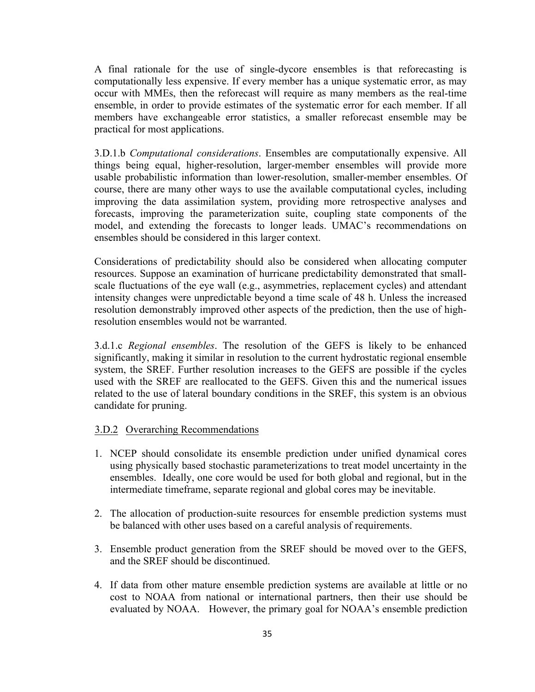A final rationale for the use of single-dycore ensembles is that reforecasting is computationally less expensive. If every member has a unique systematic error, as may occur with MMEs, then the reforecast will require as many members as the real-time ensemble, in order to provide estimates of the systematic error for each member. If all members have exchangeable error statistics, a smaller reforecast ensemble may be practical for most applications.

 3.D.1.b *Computational considerations*. Ensembles are computationally expensive. All things being equal, higher-resolution, larger-member ensembles will provide more course, there are many other ways to use the available computational cycles, including improving the data assimilation system, providing more retrospective analyses and forecasts, improving the parameterization suite, coupling state components of the model, and extending the forecasts to longer leads. UMAC's recommendations on usable probabilistic information than lower-resolution, smaller-member ensembles. Of ensembles should be considered in this larger context.

 Considerations of predictability should also be considered when allocating computer resources. Suppose an examination of hurricane predictability demonstrated that small- scale fluctuations of the eye wall (e.g., asymmetries, replacement cycles) and attendant intensity changes were unpredictable beyond a time scale of 48 h. Unless the increased resolution demonstrably improved other aspects of the prediction, then the use of highresolution ensembles would not be warranted.

 3.d.1.c *Regional ensembles*. The resolution of the GEFS is likely to be enhanced significantly, making it similar in resolution to the current hydrostatic regional ensemble system, the SREF. Further resolution increases to the GEFS are possible if the cycles used with the SREF are reallocated to the GEFS. Given this and the numerical issues related to the use of lateral boundary conditions in the SREF, this system is an obvious candidate for pruning.

#### 3.D.2 Overarching Recommendations

- 1. NCEP should consolidate its ensemble prediction under unified dynamical cores using physically based stochastic parameterizations to treat model uncertainty in the ensembles. Ideally, one core would be used for both global and regional, but in the intermediate timeframe, separate regional and global cores may be inevitable.
- 2. The allocation of production-suite resources for ensemble prediction systems must be balanced with other uses based on a careful analysis of requirements.
- 3. Ensemble product generation from the SREF should be moved over to the GEFS, and the SREF should be discontinued.
- 4. If data from other mature ensemble prediction systems are available at little or no cost to NOAA from national or international partners, then their use should be evaluated by NOAA. However, the primary goal for NOAA's ensemble prediction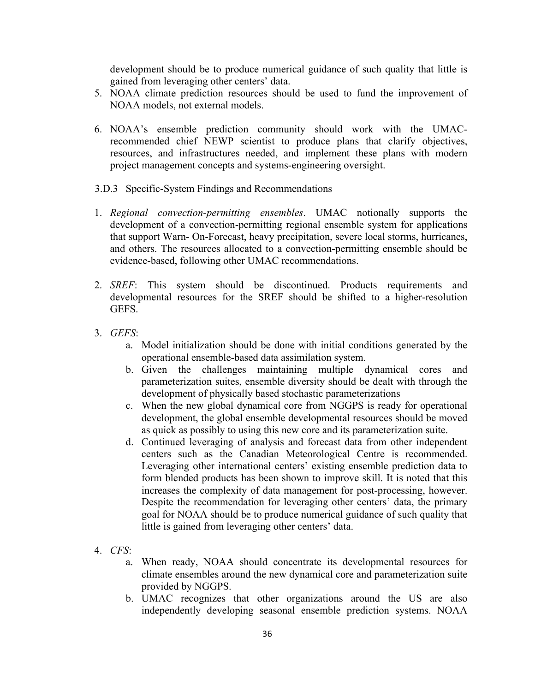development should be to produce numerical guidance of such quality that little is gained from leveraging other centers' data.

- 5. NOAA climate prediction resources should be used to fund the improvement of NOAA models, not external models.
- 6. NOAA's ensemble prediction community should work with the UMAC- recommended chief NEWP scientist to produce plans that clarify objectives, resources, and infrastructures needed, and implement these plans with modern project management concepts and systems-engineering oversight.

#### 3.D.3 Specific-System Findings and Recommendations

- 1. *Regional convection-permitting ensembles*. UMAC notionally supports the development of a convection-permitting regional ensemble system for applications that support Warn- On-Forecast, heavy precipitation, severe local storms, hurricanes, and others. The resources allocated to a convection-permitting ensemble should be evidence-based, following other UMAC recommendations.
- 2. *SREF*: This system should be discontinued. Products requirements and developmental resources for the SREF should be shifted to a higher-resolution GEFS.
- 3. *GEFS*:
	- a. Model initialization should be done with initial conditions generated by the operational ensemble-based data assimilation system.
	- b. Given the challenges maintaining multiple dynamical cores and parameterization suites, ensemble diversity should be dealt with through the development of physically based stochastic parameterizations
	- c. When the new global dynamical core from NGGPS is ready for operational development, the global ensemble developmental resources should be moved as quick as possibly to using this new core and its parameterization suite.
	- d. Continued leveraging of analysis and forecast data from other independent centers such as the Canadian Meteorological Centre is recommended. form blended products has been shown to improve skill. It is noted that this increases the complexity of data management for post-processing, however. Despite the recommendation for leveraging other centers' data, the primary goal for NOAA should be to produce numerical guidance of such quality that Leveraging other international centers' existing ensemble prediction data to little is gained from leveraging other centers' data.
- 4. *CFS*:
	- a. When ready, NOAA should concentrate its developmental resources for climate ensembles around the new dynamical core and parameterization suite provided by NGGPS.
	- b. UMAC recognizes that other organizations around the US are also independently developing seasonal ensemble prediction systems. NOAA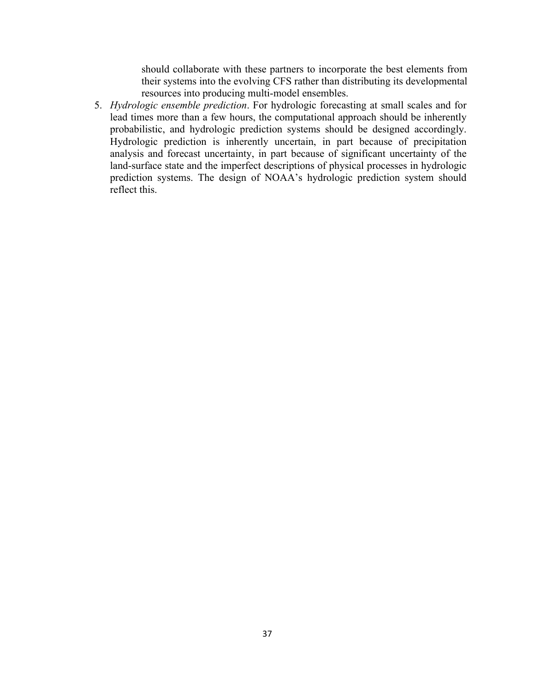should collaborate with these partners to incorporate the best elements from their systems into the evolving CFS rather than distributing its developmental resources into producing multi-model ensembles.

5. *Hydrologic ensemble prediction*. For hydrologic forecasting at small scales and for lead times more than a few hours, the computational approach should be inherently probabilistic, and hydrologic prediction systems should be designed accordingly. Hydrologic prediction is inherently uncertain, in part because of precipitation analysis and forecast uncertainty, in part because of significant uncertainty of the land-surface state and the imperfect descriptions of physical processes in hydrologic prediction systems. The design of NOAA's hydrologic prediction system should reflect this.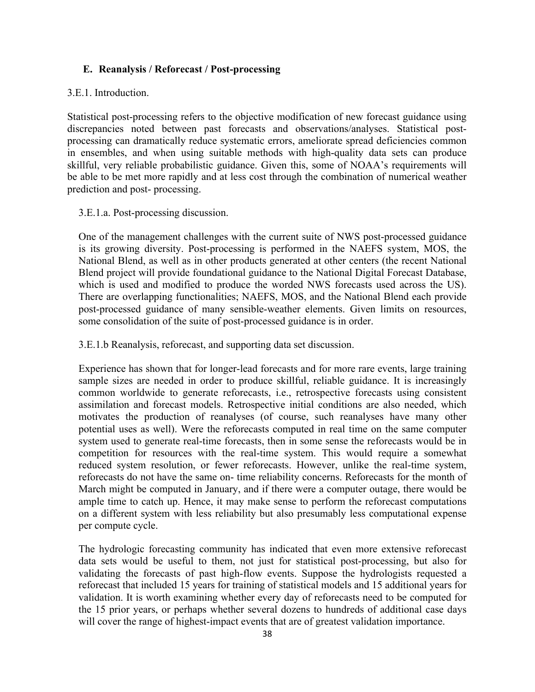#### **E. Reanalysis / Reforecast / Post-processing**

#### 3.E.1. Introduction.

 Statistical post-processing refers to the objective modification of new forecast guidance using discrepancies noted between past forecasts and observations/analyses. Statistical post- processing can dramatically reduce systematic errors, ameliorate spread deficiencies common in ensembles, and when using suitable methods with high-quality data sets can produce skillful, very reliable probabilistic guidance. Given this, some of NOAA's requirements will be able to be met more rapidly and at less cost through the combination of numerical weather prediction and post- processing.

#### 3.E.1.a. Post-processing discussion.

 One of the management challenges with the current suite of NWS post-processed guidance is its growing diversity. Post-processing is performed in the NAEFS system, MOS, the National Blend, as well as in other products generated at other centers (the recent National Blend project will provide foundational guidance to the National Digital Forecast Database, which is used and modified to produce the worded NWS forecasts used across the US). There are overlapping functionalities; NAEFS, MOS, and the National Blend each provide post-processed guidance of many sensible-weather elements. Given limits on resources, some consolidation of the suite of post-processed guidance is in order.

3.E.1.b Reanalysis, reforecast, and supporting data set discussion.

 Experience has shown that for longer-lead forecasts and for more rare events, large training sample sizes are needed in order to produce skillful, reliable guidance. It is increasingly common worldwide to generate reforecasts, i.e., retrospective forecasts using consistent assimilation and forecast models. Retrospective initial conditions are also needed, which motivates the production of reanalyses (of course, such reanalyses have many other potential uses as well). Were the reforecasts computed in real time on the same computer system used to generate real-time forecasts, then in some sense the reforecasts would be in competition for resources with the real-time system. This would require a somewhat reduced system resolution, or fewer reforecasts. However, unlike the real-time system, reforecasts do not have the same on- time reliability concerns. Reforecasts for the month of March might be computed in January, and if there were a computer outage, there would be ample time to catch up. Hence, it may make sense to perform the reforecast computations on a different system with less reliability but also presumably less computational expense per compute cycle.

 The hydrologic forecasting community has indicated that even more extensive reforecast data sets would be useful to them, not just for statistical post-processing, but also for validating the forecasts of past high-flow events. Suppose the hydrologists requested a reforecast that included 15 years for training of statistical models and 15 additional years for validation. It is worth examining whether every day of reforecasts need to be computed for the 15 prior years, or perhaps whether several dozens to hundreds of additional case days will cover the range of highest-impact events that are of greatest validation importance.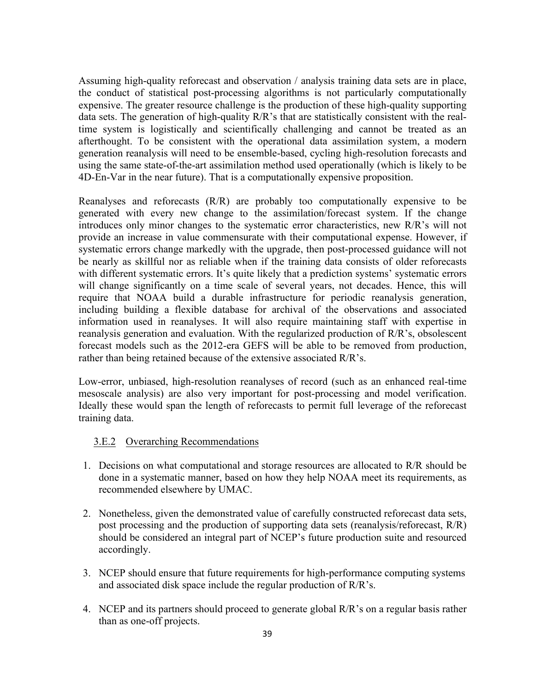Assuming high-quality reforecast and observation / analysis training data sets are in place, the conduct of statistical post-processing algorithms is not particularly computationally expensive. The greater resource challenge is the production of these high-quality supporting data sets. The generation of high-quality R/R's that are statistically consistent with the real- time system is logistically and scientifically challenging and cannot be treated as an afterthought. To be consistent with the operational data assimilation system, a modern generation reanalysis will need to be ensemble-based, cycling high-resolution forecasts and using the same state-of-the-art assimilation method used operationally (which is likely to be 4D-En-Var in the near future). That is a computationally expensive proposition.

 Reanalyses and reforecasts (R/R) are probably too computationally expensive to be generated with every new change to the assimilation/forecast system. If the change introduces only minor changes to the systematic error characteristics, new R/R's will not provide an increase in value commensurate with their computational expense. However, if systematic errors change markedly with the upgrade, then post-processed guidance will not be nearly as skillful nor as reliable when if the training data consists of older reforecasts with different systematic errors. It's quite likely that a prediction systems' systematic errors will change significantly on a time scale of several years, not decades. Hence, this will require that NOAA build a durable infrastructure for periodic reanalysis generation, including building a flexible database for archival of the observations and associated information used in reanalyses. It will also require maintaining staff with expertise in forecast models such as the 2012-era GEFS will be able to be removed from production, reanalysis generation and evaluation. With the regularized production of R/R's, obsolescent rather than being retained because of the extensive associated R/R's.

 Low-error, unbiased, high-resolution reanalyses of record (such as an enhanced real-time Ideally these would span the length of reforecasts to permit full leverage of the reforecast mesoscale analysis) are also very important for post-processing and model verification. training data.

#### 3.E.2 Overarching Recommendations

- 1. Decisions on what computational and storage resources are allocated to R/R should be done in a systematic manner, based on how they help NOAA meet its requirements, as recommended elsewhere by UMAC.
- 2. Nonetheless, given the demonstrated value of carefully constructed reforecast data sets, post processing and the production of supporting data sets (reanalysis/reforecast, R/R) should be considered an integral part of NCEP's future production suite and resourced accordingly.
- 3. NCEP should ensure that future requirements for high-performance computing systems and associated disk space include the regular production of R/R's.
- 4. NCEP and its partners should proceed to generate global R/R's on a regular basis rather than as one-off projects.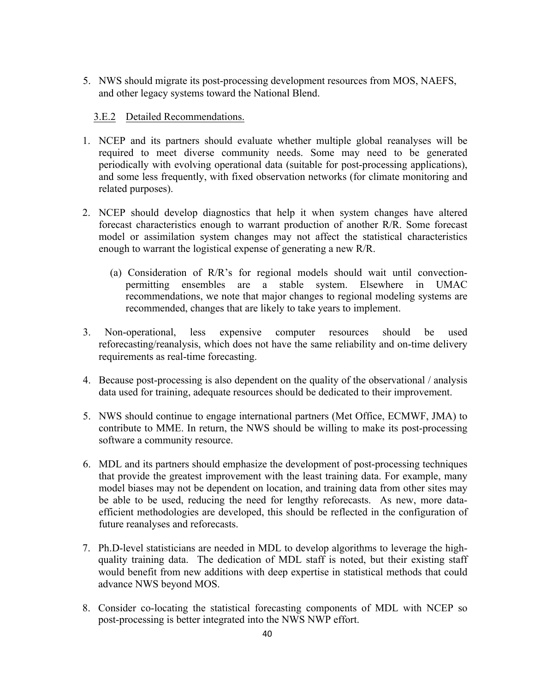5. NWS should migrate its post-processing development resources from MOS, NAEFS, and other legacy systems toward the National Blend.

### 3.E.2 Detailed Recommendations.

- 1. NCEP and its partners should evaluate whether multiple global reanalyses will be required to meet diverse community needs. Some may need to be generated periodically with evolving operational data (suitable for post-processing applications), and some less frequently, with fixed observation networks (for climate monitoring and related purposes).
- 2. NCEP should develop diagnostics that help it when system changes have altered forecast characteristics enough to warrant production of another R/R. Some forecast model or assimilation system changes may not affect the statistical characteristics enough to warrant the logistical expense of generating a new R/R.
	- (a) Consideration of R/R's for regional models should wait until convection- permitting ensembles are a stable system. Elsewhere in UMAC recommendations, we note that major changes to regional modeling systems are recommended, changes that are likely to take years to implement.
- reforecasting/reanalysis, which does not have the same reliability and on-time delivery 3. Non-operational, less expensive computer resources should be used requirements as real-time forecasting.
- 4. Because post-processing is also dependent on the quality of the observational / analysis data used for training, adequate resources should be dedicated to their improvement.
- 5. NWS should continue to engage international partners (Met Office, ECMWF, JMA) to contribute to MME. In return, the NWS should be willing to make its post-processing software a community resource.
- 6. MDL and its partners should emphasize the development of post-processing techniques that provide the greatest improvement with the least training data. For example, many model biases may not be dependent on location, and training data from other sites may be able to be used, reducing the need for lengthy reforecasts. As new, more data- efficient methodologies are developed, this should be reflected in the configuration of future reanalyses and reforecasts.
- 7. Ph.D-level statisticians are needed in MDL to develop algorithms to leverage the high- quality training data. The dedication of MDL staff is noted, but their existing staff would benefit from new additions with deep expertise in statistical methods that could advance NWS beyond MOS.
- 8. Consider co-locating the statistical forecasting components of MDL with NCEP so post-processing is better integrated into the NWS NWP effort.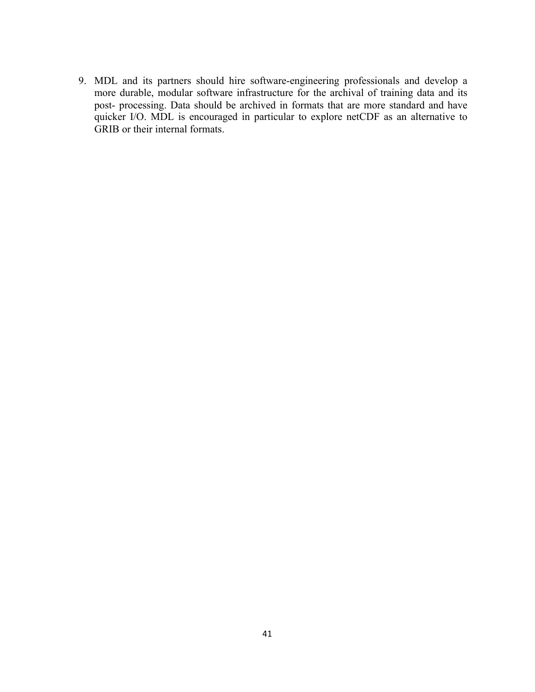9. MDL and its partners should hire software-engineering professionals and develop a more durable, modular software infrastructure for the archival of training data and its post- processing. Data should be archived in formats that are more standard and have quicker I/O. MDL is encouraged in particular to explore netCDF as an alternative to GRIB or their internal formats.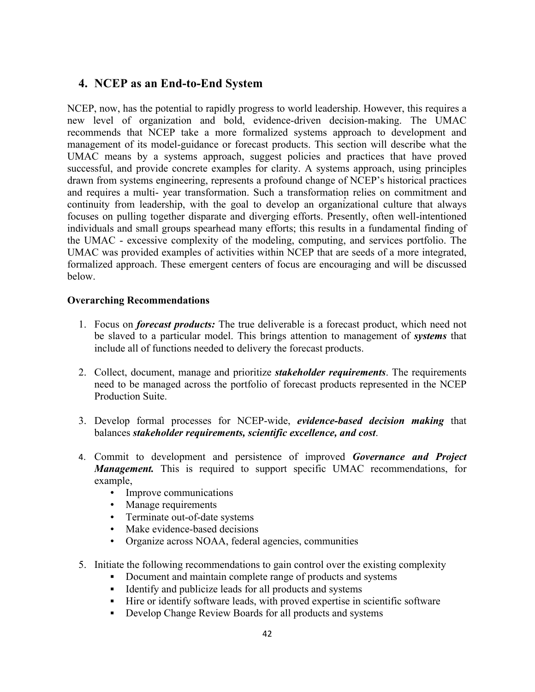# **4. NCEP as an End-to-End System**

 NCEP, now, has the potential to rapidly progress to world leadership. However, this requires a new level of organization and bold, evidence-driven decision-making. The UMAC recommends that NCEP take a more formalized systems approach to development and management of its model-guidance or forecast products. This section will describe what the UMAC means by a systems approach, suggest policies and practices that have proved successful, and provide concrete examples for clarity. A systems approach, using principles drawn from systems engineering, represents a profound change of NCEP's historical practices and requires a multi- year transformation. Such a transformation relies on commitment and continuity from leadership, with the goal to develop an organizational culture that always individuals and small groups spearhead many efforts; this results in a fundamental finding of the UMAC - excessive complexity of the modeling, computing, and services portfolio. The UMAC was provided examples of activities within NCEP that are seeds of a more integrated, formalized approach. These emergent centers of focus are encouraging and will be discussed focuses on pulling together disparate and diverging efforts. Presently, often well-intentioned below.

## **Overarching Recommendations**

- 1. Focus on *forecast products*: The true deliverable is a forecast product, which need not be slaved to a particular model. This brings attention to management of *systems* that include all of functions needed to delivery the forecast products.
- need to be managed across the portfolio of forecast products represented in the NCEP 2. Collect, document, manage and prioritize *stakeholder requirements*. The requirements Production Suite.
- 3. Develop formal processes for NCEP-wide, *evidence-based decision making* that balances *stakeholder requirements, scientific excellence, and cost*.
- 4. Commit to development and persistence of improved *Governance and Project Management.* This is required to support specific UMAC recommendations, for example,
	- Improve communications
	- Manage requirements
	- • Terminate out-of-date systems
	- Make evidence-based decisions
	- • Organize across NOAA, federal agencies, communities
- 5. Initiate the following recommendations to gain control over the existing complexity
	- Document and maintain complete range of products and systems
	- Identify and publicize leads for all products and systems
	- Hire or identify software leads, with proved expertise in scientific software
	- Develop Change Review Boards for all products and systems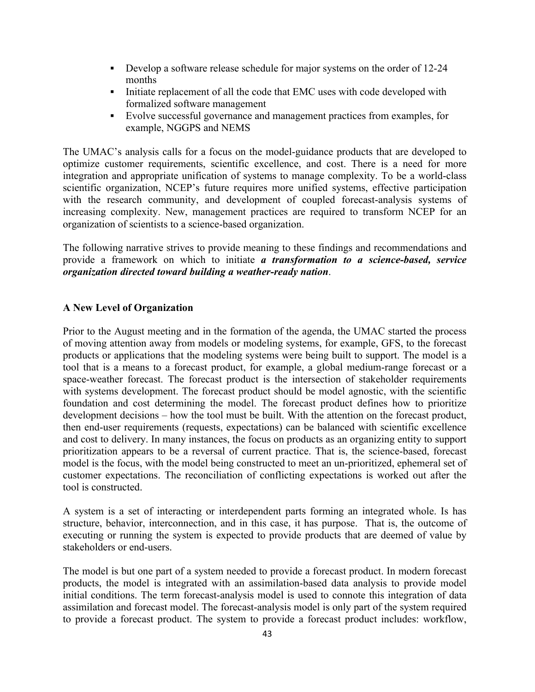- Develop a software release schedule for major systems on the order of 12-24 months
- Initiate replacement of all the code that EMC uses with code developed with formalized software management
- § Evolve successful governance and management practices from examples, for example, NGGPS and NEMS

 The UMAC's analysis calls for a focus on the model-guidance products that are developed to optimize customer requirements, scientific excellence, and cost. There is a need for more integration and appropriate unification of systems to manage complexity. To be a world-class scientific organization, NCEP's future requires more unified systems, effective participation with the research community, and development of coupled forecast-analysis systems of increasing complexity. New, management practices are required to transform NCEP for an organization of scientists to a science-based organization.

 The following narrative strives to provide meaning to these findings and recommendations and provide a framework on which to initiate *a transformation to a science-based, service organization directed toward building a weather-ready nation*.

# **A New Level of Organization**

 Prior to the August meeting and in the formation of the agenda, the UMAC started the process of moving attention away from models or modeling systems, for example, GFS, to the forecast products or applications that the modeling systems were being built to support. The model is a tool that is a means to a forecast product, for example, a global medium-range forecast or a space-weather forecast. The forecast product is the intersection of stakeholder requirements with systems development. The forecast product should be model agnostic, with the scientific foundation and cost determining the model. The forecast product defines how to prioritize development decisions – how the tool must be built. With the attention on the forecast product, then end-user requirements (requests, expectations) can be balanced with scientific excellence and cost to delivery. In many instances, the focus on products as an organizing entity to support prioritization appears to be a reversal of current practice. That is, the science-based, forecast model is the focus, with the model being constructed to meet an un-prioritized, ephemeral set of customer expectations. The reconciliation of conflicting expectations is worked out after the tool is constructed.

 A system is a set of interacting or interdependent parts forming an integrated whole. Is has structure, behavior, interconnection, and in this case, it has purpose. That is, the outcome of executing or running the system is expected to provide products that are deemed of value by stakeholders or end-users.

 The model is but one part of a system needed to provide a forecast product. In modern forecast products, the model is integrated with an assimilation-based data analysis to provide model initial conditions. The term forecast-analysis model is used to connote this integration of data assimilation and forecast model. The forecast-analysis model is only part of the system required to provide a forecast product. The system to provide a forecast product includes: workflow,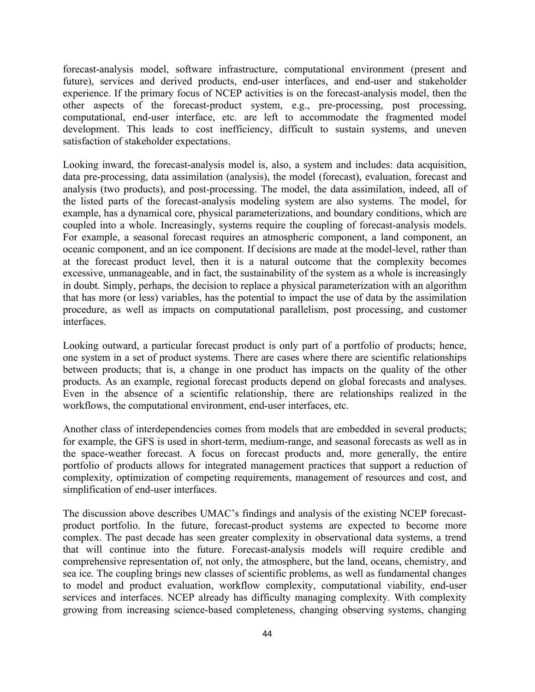forecast-analysis model, software infrastructure, computational environment (present and experience. If the primary focus of NCEP activities is on the forecast-analysis model, then the other aspects of the forecast-product system, e.g., pre-processing, post processing, computational, end-user interface, etc. are left to accommodate the fragmented model development. This leads to cost inefficiency, difficult to sustain systems, and uneven future), services and derived products, end-user interfaces, and end-user and stakeholder satisfaction of stakeholder expectations.

 Looking inward, the forecast-analysis model is, also, a system and includes: data acquisition, data pre-processing, data assimilation (analysis), the model (forecast), evaluation, forecast and analysis (two products), and post-processing. The model, the data assimilation, indeed, all of the listed parts of the forecast-analysis modeling system are also systems. The model, for example, has a dynamical core, physical parameterizations, and boundary conditions, which are coupled into a whole. Increasingly, systems require the coupling of forecast-analysis models. For example, a seasonal forecast requires an atmospheric component, a land component, an oceanic component, and an ice component. If decisions are made at the model-level, rather than at the forecast product level, then it is a natural outcome that the complexity becomes excessive, unmanageable, and in fact, the sustainability of the system as a whole is increasingly in doubt. Simply, perhaps, the decision to replace a physical parameterization with an algorithm that has more (or less) variables, has the potential to impact the use of data by the assimilation procedure, as well as impacts on computational parallelism, post processing, and customer interfaces.

 Looking outward, a particular forecast product is only part of a portfolio of products; hence, one system in a set of product systems. There are cases where there are scientific relationships between products; that is, a change in one product has impacts on the quality of the other products. As an example, regional forecast products depend on global forecasts and analyses. Even in the absence of a scientific relationship, there are relationships realized in the workflows, the computational environment, end-user interfaces, etc.

 Another class of interdependencies comes from models that are embedded in several products; for example, the GFS is used in short-term, medium-range, and seasonal forecasts as well as in the space-weather forecast. A focus on forecast products and, more generally, the entire portfolio of products allows for integrated management practices that support a reduction of complexity, optimization of competing requirements, management of resources and cost, and simplification of end-user interfaces.

 The discussion above describes UMAC's findings and analysis of the existing NCEP forecast- product portfolio. In the future, forecast-product systems are expected to become more complex. The past decade has seen greater complexity in observational data systems, a trend that will continue into the future. Forecast-analysis models will require credible and comprehensive representation of, not only, the atmosphere, but the land, oceans, chemistry, and sea ice. The coupling brings new classes of scientific problems, as well as fundamental changes services and interfaces. NCEP already has difficulty managing complexity. With complexity to model and product evaluation, workflow complexity, computational viability, end-user growing from increasing science-based completeness, changing observing systems, changing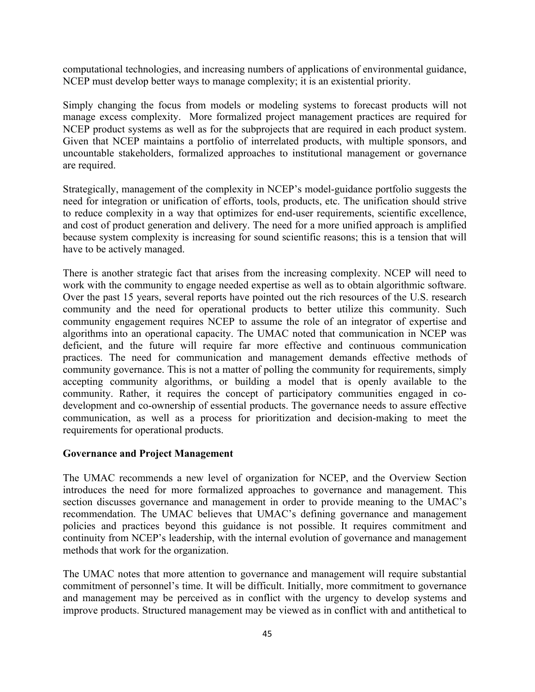computational technologies, and increasing numbers of applications of environmental guidance, NCEP must develop better ways to manage complexity; it is an existential priority.

 Simply changing the focus from models or modeling systems to forecast products will not manage excess complexity. More formalized project management practices are required for NCEP product systems as well as for the subprojects that are required in each product system. Given that NCEP maintains a portfolio of interrelated products, with multiple sponsors, and uncountable stakeholders, formalized approaches to institutional management or governance are required.

 Strategically, management of the complexity in NCEP's model-guidance portfolio suggests the to reduce complexity in a way that optimizes for end-user requirements, scientific excellence, and cost of product generation and delivery. The need for a more unified approach is amplified because system complexity is increasing for sound scientific reasons; this is a tension that will need for integration or unification of efforts, tools, products, etc. The unification should strive have to be actively managed.

 There is another strategic fact that arises from the increasing complexity. NCEP will need to work with the community to engage needed expertise as well as to obtain algorithmic software. Over the past 15 years, several reports have pointed out the rich resources of the U.S. research community and the need for operational products to better utilize this community. Such community engagement requires NCEP to assume the role of an integrator of expertise and algorithms into an operational capacity. The UMAC noted that communication in NCEP was deficient, and the future will require far more effective and continuous communication practices. The need for communication and management demands effective methods of community governance. This is not a matter of polling the community for requirements, simply accepting community algorithms, or building a model that is openly available to the community. Rather, it requires the concept of participatory communities engaged in co- development and co-ownership of essential products. The governance needs to assure effective communication, as well as a process for prioritization and decision-making to meet the requirements for operational products.

#### **Governance and Project Management**

 The UMAC recommends a new level of organization for NCEP, and the Overview Section introduces the need for more formalized approaches to governance and management. This section discusses governance and management in order to provide meaning to the UMAC's recommendation. The UMAC believes that UMAC's defining governance and management policies and practices beyond this guidance is not possible. It requires commitment and continuity from NCEP's leadership, with the internal evolution of governance and management methods that work for the organization.

 The UMAC notes that more attention to governance and management will require substantial commitment of personnel's time. It will be difficult. Initially, more commitment to governance and management may be perceived as in conflict with the urgency to develop systems and improve products. Structured management may be viewed as in conflict with and antithetical to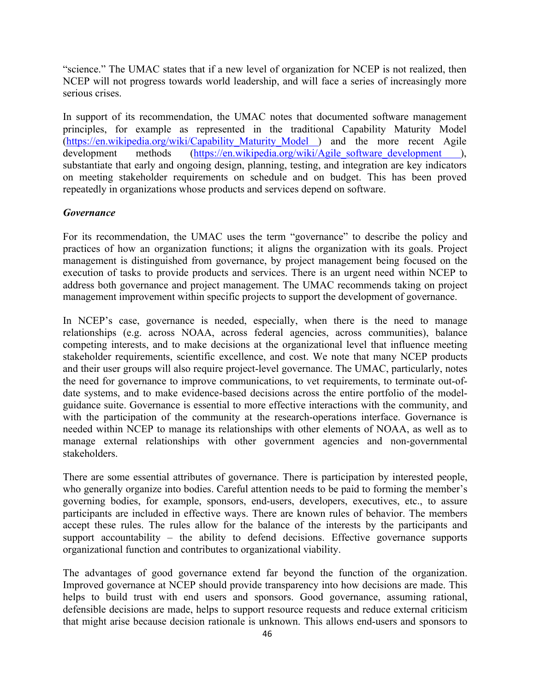"science." The UMAC states that if a new level of organization for NCEP is not realized, then NCEP will not progress towards world leadership, and will face a series of increasingly more serious crises.

 In support of its recommendation, the UMAC notes that documented software management principles, for example as represented in the traditional Capability Maturity Model (https://en.wikipedia.org/wiki/Capability\_Maturity\_Model ) and the more recent Agile development substantiate that early and ongoing design, planning, testing, and integration are key indicators on meeting stakeholder requirements on schedule and on budget. This has been proved methods (https://en.wikipedia.org/wiki/Agile\_software\_development ), repeatedly in organizations whose products and services depend on software.

#### *Governance*

 For its recommendation, the UMAC uses the term "governance" to describe the policy and practices of how an organization functions; it aligns the organization with its goals. Project management is distinguished from governance, by project management being focused on the execution of tasks to provide products and services. There is an urgent need within NCEP to address both governance and project management. The UMAC recommends taking on project management improvement within specific projects to support the development of governance.

 In NCEP's case, governance is needed, especially, when there is the need to manage relationships (e.g. across NOAA, across federal agencies, across communities), balance competing interests, and to make decisions at the organizational level that influence meeting stakeholder requirements, scientific excellence, and cost. We note that many NCEP products and their user groups will also require project-level governance. The UMAC, particularly, notes the need for governance to improve communications, to vet requirements, to terminate out-of- date systems, and to make evidence-based decisions across the entire portfolio of the model- guidance suite. Governance is essential to more effective interactions with the community, and with the participation of the community at the research-operations interface. Governance is needed within NCEP to manage its relationships with other elements of NOAA, as well as to manage external relationships with other government agencies and non-governmental stakeholders.

 There are some essential attributes of governance. There is participation by interested people, who generally organize into bodies. Careful attention needs to be paid to forming the member's participants are included in effective ways. There are known rules of behavior. The members accept these rules. The rules allow for the balance of the interests by the participants and support accountability – the ability to defend decisions. Effective governance supports governing bodies, for example, sponsors, end-users, developers, executives, etc., to assure organizational function and contributes to organizational viability.

 The advantages of good governance extend far beyond the function of the organization. Improved governance at NCEP should provide transparency into how decisions are made. This defensible decisions are made, helps to support resource requests and reduce external criticism that might arise because decision rationale is unknown. This allows end-users and sponsors to helps to build trust with end users and sponsors. Good governance, assuming rational,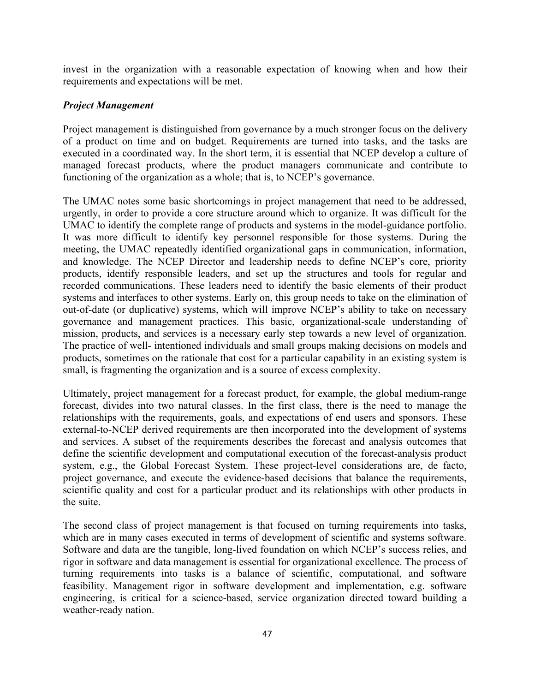invest in the organization with a reasonable expectation of knowing when and how their requirements and expectations will be met.

#### *Project Management*

 Project management is distinguished from governance by a much stronger focus on the delivery of a product on time and on budget. Requirements are turned into tasks, and the tasks are executed in a coordinated way. In the short term, it is essential that NCEP develop a culture of managed forecast products, where the product managers communicate and contribute to functioning of the organization as a whole; that is, to NCEP's governance.

 The UMAC notes some basic shortcomings in project management that need to be addressed, urgently, in order to provide a core structure around which to organize. It was difficult for the UMAC to identify the complete range of products and systems in the model-guidance portfolio. It was more difficult to identify key personnel responsible for those systems. During the meeting, the UMAC repeatedly identified organizational gaps in communication, information, and knowledge. The NCEP Director and leadership needs to define NCEP's core, priority products, identify responsible leaders, and set up the structures and tools for regular and recorded communications. These leaders need to identify the basic elements of their product systems and interfaces to other systems. Early on, this group needs to take on the elimination of out-of-date (or duplicative) systems, which will improve NCEP's ability to take on necessary mission, products, and services is a necessary early step towards a new level of organization. The practice of well- intentioned individuals and small groups making decisions on models and products, sometimes on the rationale that cost for a particular capability in an existing system is governance and management practices. This basic, organizational-scale understanding of small, is fragmenting the organization and is a source of excess complexity.

 Ultimately, project management for a forecast product, for example, the global medium-range forecast, divides into two natural classes. In the first class, there is the need to manage the relationships with the requirements, goals, and expectations of end users and sponsors. These external-to-NCEP derived requirements are then incorporated into the development of systems and services. A subset of the requirements describes the forecast and analysis outcomes that define the scientific development and computational execution of the forecast-analysis product system, e.g., the Global Forecast System. These project-level considerations are, de facto, project governance, and execute the evidence-based decisions that balance the requirements, scientific quality and cost for a particular product and its relationships with other products in the suite.

 The second class of project management is that focused on turning requirements into tasks, which are in many cases executed in terms of development of scientific and systems software. Software and data are the tangible, long-lived foundation on which NCEP's success relies, and rigor in software and data management is essential for organizational excellence. The process of turning requirements into tasks is a balance of scientific, computational, and software engineering, is critical for a science-based, service organization directed toward building a feasibility. Management rigor in software development and implementation, e.g. software weather-ready nation.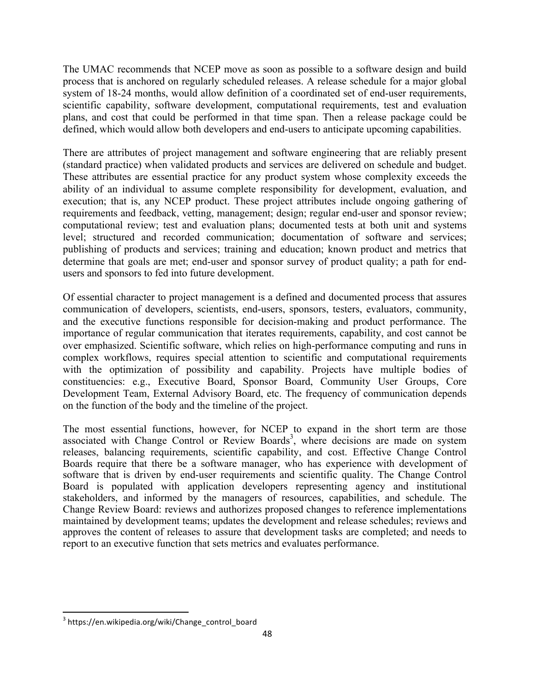The UMAC recommends that NCEP move as soon as possible to a software design and build process that is anchored on regularly scheduled releases. A release schedule for a major global system of 18-24 months, would allow definition of a coordinated set of end-user requirements, plans, and cost that could be performed in that time span. Then a release package could be scientific capability, software development, computational requirements, test and evaluation defined, which would allow both developers and end-users to anticipate upcoming capabilities.

 There are attributes of project management and software engineering that are reliably present (standard practice) when validated products and services are delivered on schedule and budget. These attributes are essential practice for any product system whose complexity exceeds the ability of an individual to assume complete responsibility for development, evaluation, and execution; that is, any NCEP product. These project attributes include ongoing gathering of requirements and feedback, vetting, management; design; regular end-user and sponsor review; computational review; test and evaluation plans; documented tests at both unit and systems level; structured and recorded communication; documentation of software and services; publishing of products and services; training and education; known product and metrics that determine that goals are met; end-user and sponsor survey of product quality; a path for endusers and sponsors to fed into future development.

 Of essential character to project management is a defined and documented process that assures and the executive functions responsible for decision-making and product performance. The importance of regular communication that iterates requirements, capability, and cost cannot be complex workflows, requires special attention to scientific and computational requirements with the optimization of possibility and capability. Projects have multiple bodies of communication of developers, scientists, end-users, sponsors, testers, evaluators, community, over emphasized. Scientific software, which relies on high-performance computing and runs in constituencies: e.g., Executive Board, Sponsor Board, Community User Groups, Core Development Team, External Advisory Board, etc. The frequency of communication depends on the function of the body and the timeline of the project.

 The most essential functions, however, for NCEP to expand in the short term are those associated with Change Control or Review Boards<sup>3</sup>, where decisions are made on system releases, balancing requirements, scientific capability, and cost. Effective Change Control Boards require that there be a software manager, who has experience with development of software that is driven by end-user requirements and scientific quality. The Change Control stakeholders, and informed by the managers of resources, capabilities, and schedule. The Change Review Board: reviews and authorizes proposed changes to reference implementations maintained by development teams; updates the development and release schedules; reviews and approves the content of releases to assure that development tasks are completed; and needs to Board is populated with application developers representing agency and institutional report to an executive function that sets metrics and evaluates performance.

 

<sup>&</sup>lt;sup>3</sup> https://en.wikipedia.org/wiki/Change\_control\_board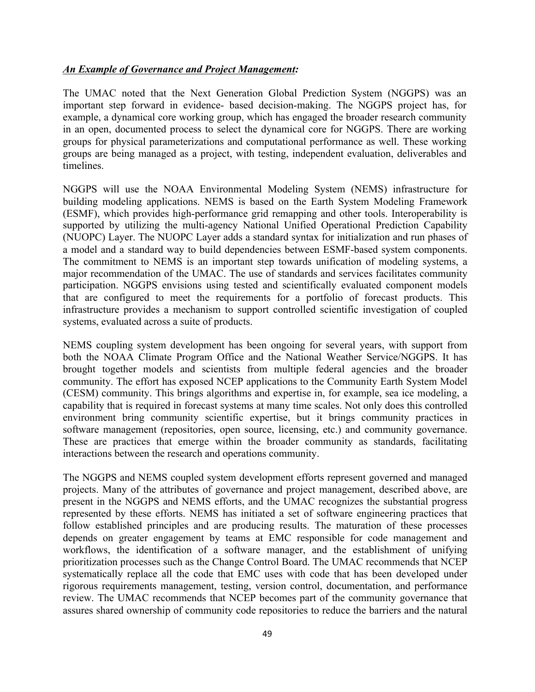#### *An Example of Governance and Project Management:*

 The UMAC noted that the Next Generation Global Prediction System (NGGPS) was an important step forward in evidence- based decision-making. The NGGPS project has, for example, a dynamical core working group, which has engaged the broader research community in an open, documented process to select the dynamical core for NGGPS. There are working groups for physical parameterizations and computational performance as well. These working groups are being managed as a project, with testing, independent evaluation, deliverables and timelines.

 NGGPS will use the NOAA Environmental Modeling System (NEMS) infrastructure for building modeling applications. NEMS is based on the Earth System Modeling Framework supported by utilizing the multi-agency National Unified Operational Prediction Capability (NUOPC) Layer. The NUOPC Layer adds a standard syntax for initialization and run phases of a model and a standard way to build dependencies between ESMF-based system components. The commitment to NEMS is an important step towards unification of modeling systems, a major recommendation of the UMAC. The use of standards and services facilitates community participation. NGGPS envisions using tested and scientifically evaluated component models that are configured to meet the requirements for a portfolio of forecast products. This infrastructure provides a mechanism to support controlled scientific investigation of coupled (ESMF), which provides high-performance grid remapping and other tools. Interoperability is systems, evaluated across a suite of products.

 NEMS coupling system development has been ongoing for several years, with support from both the NOAA Climate Program Office and the National Weather Service/NGGPS. It has brought together models and scientists from multiple federal agencies and the broader community. The effort has exposed NCEP applications to the Community Earth System Model (CESM) community. This brings algorithms and expertise in, for example, sea ice modeling, a capability that is required in forecast systems at many time scales. Not only does this controlled environment bring community scientific expertise, but it brings community practices in These are practices that emerge within the broader community as standards, facilitating software management (repositories, open source, licensing, etc.) and community governance. interactions between the research and operations community.

 The NGGPS and NEMS coupled system development efforts represent governed and managed projects. Many of the attributes of governance and project management, described above, are present in the NGGPS and NEMS efforts, and the UMAC recognizes the substantial progress represented by these efforts. NEMS has initiated a set of software engineering practices that follow established principles and are producing results. The maturation of these processes depends on greater engagement by teams at EMC responsible for code management and workflows, the identification of a software manager, and the establishment of unifying prioritization processes such as the Change Control Board. The UMAC recommends that NCEP systematically replace all the code that EMC uses with code that has been developed under review. The UMAC recommends that NCEP becomes part of the community governance that assures shared ownership of community code repositories to reduce the barriers and the natural rigorous requirements management, testing, version control, documentation, and performance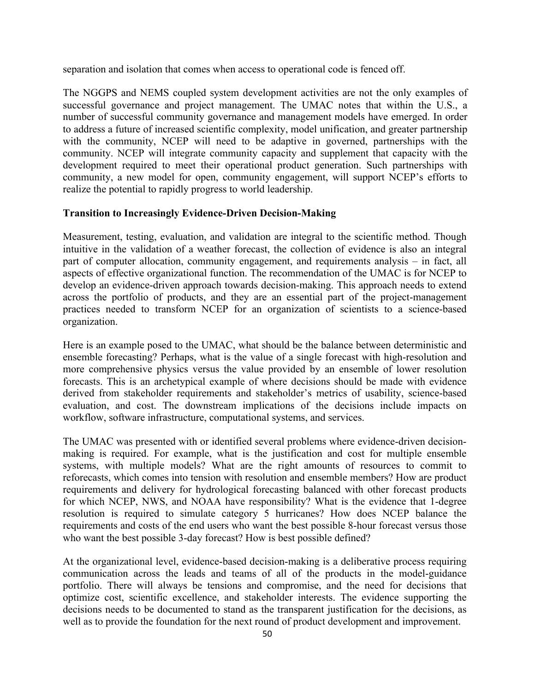separation and isolation that comes when access to operational code is fenced off.

 The NGGPS and NEMS coupled system development activities are not the only examples of successful governance and project management. The UMAC notes that within the U.S., a number of successful community governance and management models have emerged. In order to address a future of increased scientific complexity, model unification, and greater partnership with the community, NCEP will need to be adaptive in governed, partnerships with the community. NCEP will integrate community capacity and supplement that capacity with the development required to meet their operational product generation. Such partnerships with community, a new model for open, community engagement, will support NCEP's efforts to realize the potential to rapidly progress to world leadership.

#### **Transition to Increasingly Evidence-Driven Decision-Making**

 Measurement, testing, evaluation, and validation are integral to the scientific method. Though intuitive in the validation of a weather forecast, the collection of evidence is also an integral part of computer allocation, community engagement, and requirements analysis – in fact, all aspects of effective organizational function. The recommendation of the UMAC is for NCEP to across the portfolio of products, and they are an essential part of the project-management practices needed to transform NCEP for an organization of scientists to a science-based develop an evidence-driven approach towards decision-making. This approach needs to extend organization.

 Here is an example posed to the UMAC, what should be the balance between deterministic and ensemble forecasting? Perhaps, what is the value of a single forecast with high-resolution and more comprehensive physics versus the value provided by an ensemble of lower resolution forecasts. This is an archetypical example of where decisions should be made with evidence derived from stakeholder requirements and stakeholder's metrics of usability, science-based evaluation, and cost. The downstream implications of the decisions include impacts on workflow, software infrastructure, computational systems, and services.

 The UMAC was presented with or identified several problems where evidence-driven decision- making is required. For example, what is the justification and cost for multiple ensemble systems, with multiple models? What are the right amounts of resources to commit to reforecasts, which comes into tension with resolution and ensemble members? How are product requirements and delivery for hydrological forecasting balanced with other forecast products for which NCEP, NWS, and NOAA have responsibility? What is the evidence that 1-degree resolution is required to simulate category 5 hurricanes? How does NCEP balance the requirements and costs of the end users who want the best possible 8-hour forecast versus those who want the best possible 3-day forecast? How is best possible defined?

 At the organizational level, evidence-based decision-making is a deliberative process requiring communication across the leads and teams of all of the products in the model-guidance portfolio. There will always be tensions and compromise, and the need for decisions that optimize cost, scientific excellence, and stakeholder interests. The evidence supporting the decisions needs to be documented to stand as the transparent justification for the decisions, as well as to provide the foundation for the next round of product development and improvement.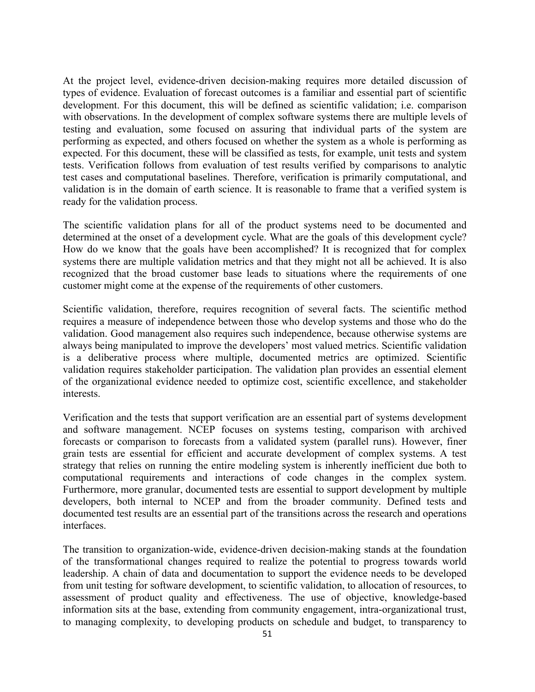At the project level, evidence-driven decision-making requires more detailed discussion of types of evidence. Evaluation of forecast outcomes is a familiar and essential part of scientific development. For this document, this will be defined as scientific validation; i.e. comparison with observations. In the development of complex software systems there are multiple levels of testing and evaluation, some focused on assuring that individual parts of the system are performing as expected, and others focused on whether the system as a whole is performing as expected. For this document, these will be classified as tests, for example, unit tests and system tests. Verification follows from evaluation of test results verified by comparisons to analytic test cases and computational baselines. Therefore, verification is primarily computational, and validation is in the domain of earth science. It is reasonable to frame that a verified system is ready for the validation process.

 The scientific validation plans for all of the product systems need to be documented and determined at the onset of a development cycle. What are the goals of this development cycle? How do we know that the goals have been accomplished? It is recognized that for complex systems there are multiple validation metrics and that they might not all be achieved. It is also recognized that the broad customer base leads to situations where the requirements of one customer might come at the expense of the requirements of other customers.

 Scientific validation, therefore, requires recognition of several facts. The scientific method requires a measure of independence between those who develop systems and those who do the validation. Good management also requires such independence, because otherwise systems are always being manipulated to improve the developers' most valued metrics. Scientific validation is a deliberative process where multiple, documented metrics are optimized. Scientific validation requires stakeholder participation. The validation plan provides an essential element of the organizational evidence needed to optimize cost, scientific excellence, and stakeholder interests.

 Verification and the tests that support verification are an essential part of systems development and software management. NCEP focuses on systems testing, comparison with archived forecasts or comparison to forecasts from a validated system (parallel runs). However, finer grain tests are essential for efficient and accurate development of complex systems. A test strategy that relies on running the entire modeling system is inherently inefficient due both to computational requirements and interactions of code changes in the complex system. Furthermore, more granular, documented tests are essential to support development by multiple developers, both internal to NCEP and from the broader community. Defined tests and documented test results are an essential part of the transitions across the research and operations interfaces.

 The transition to organization-wide, evidence-driven decision-making stands at the foundation of the transformational changes required to realize the potential to progress towards world leadership. A chain of data and documentation to support the evidence needs to be developed from unit testing for software development, to scientific validation, to allocation of resources, to assessment of product quality and effectiveness. The use of objective, knowledge-based information sits at the base, extending from community engagement, intra-organizational trust, to managing complexity, to developing products on schedule and budget, to transparency to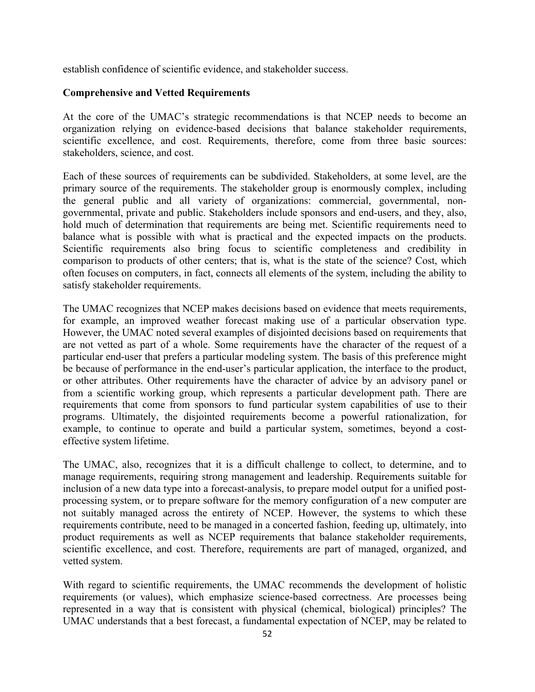establish confidence of scientific evidence, and stakeholder success.

#### **Comprehensive and Vetted Requirements**

 At the core of the UMAC's strategic recommendations is that NCEP needs to become an organization relying on evidence-based decisions that balance stakeholder requirements, scientific excellence, and cost. Requirements, therefore, come from three basic sources: stakeholders, science, and cost.

 Each of these sources of requirements can be subdivided. Stakeholders, at some level, are the primary source of the requirements. The stakeholder group is enormously complex, including the general public and all variety of organizations: commercial, governmental, non- governmental, private and public. Stakeholders include sponsors and end-users, and they, also, hold much of determination that requirements are being met. Scientific requirements need to balance what is possible with what is practical and the expected impacts on the products. comparison to products of other centers; that is, what is the state of the science? Cost, which often focuses on computers, in fact, connects all elements of the system, including the ability to Scientific requirements also bring focus to scientific completeness and credibility in satisfy stakeholder requirements.

 The UMAC recognizes that NCEP makes decisions based on evidence that meets requirements, for example, an improved weather forecast making use of a particular observation type. However, the UMAC noted several examples of disjointed decisions based on requirements that are not vetted as part of a whole. Some requirements have the character of the request of a particular end-user that prefers a particular modeling system. The basis of this preference might be because of performance in the end-user's particular application, the interface to the product, or other attributes. Other requirements have the character of advice by an advisory panel or from a scientific working group, which represents a particular development path. There are requirements that come from sponsors to fund particular system capabilities of use to their programs. Ultimately, the disjointed requirements become a powerful rationalization, for example, to continue to operate and build a particular system, sometimes, beyond a costeffective system lifetime.

 The UMAC, also, recognizes that it is a difficult challenge to collect, to determine, and to manage requirements, requiring strong management and leadership. Requirements suitable for inclusion of a new data type into a forecast-analysis, to prepare model output for a unified post- processing system, or to prepare software for the memory configuration of a new computer are not suitably managed across the entirety of NCEP. However, the systems to which these product requirements as well as NCEP requirements that balance stakeholder requirements, scientific excellence, and cost. Therefore, requirements are part of managed, organized, and requirements contribute, need to be managed in a concerted fashion, feeding up, ultimately, into vetted system.

 With regard to scientific requirements, the UMAC recommends the development of holistic requirements (or values), which emphasize science-based correctness. Are processes being represented in a way that is consistent with physical (chemical, biological) principles? The UMAC understands that a best forecast, a fundamental expectation of NCEP, may be related to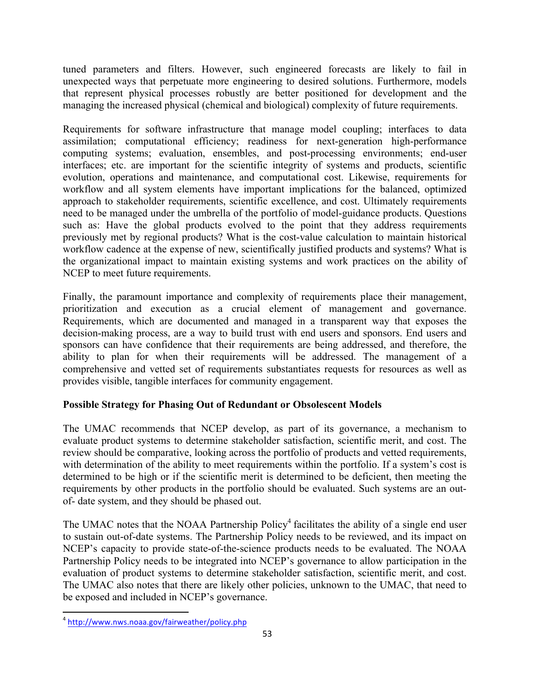tuned parameters and filters. However, such engineered forecasts are likely to fail in unexpected ways that perpetuate more engineering to desired solutions. Furthermore, models that represent physical processes robustly are better positioned for development and the managing the increased physical (chemical and biological) complexity of future requirements.

 Requirements for software infrastructure that manage model coupling; interfaces to data assimilation; computational efficiency; readiness for next-generation high-performance interfaces; etc. are important for the scientific integrity of systems and products, scientific workflow and all system elements have important implications for the balanced, optimized need to be managed under the umbrella of the portfolio of model-guidance products. Questions such as: Have the global products evolved to the point that they address requirements previously met by regional products? What is the cost-value calculation to maintain historical workflow cadence at the expense of new, scientifically justified products and systems? What is the organizational impact to maintain existing systems and work practices on the ability of computing systems; evaluation, ensembles, and post-processing environments; end-user evolution, operations and maintenance, and computational cost. Likewise, requirements for approach to stakeholder requirements, scientific excellence, and cost. Ultimately requirements NCEP to meet future requirements.

 Finally, the paramount importance and complexity of requirements place their management, prioritization and execution as a crucial element of management and governance. Requirements, which are documented and managed in a transparent way that exposes the decision-making process, are a way to build trust with end users and sponsors. End users and sponsors can have confidence that their requirements are being addressed, and therefore, the ability to plan for when their requirements will be addressed. The management of a comprehensive and vetted set of requirements substantiates requests for resources as well as provides visible, tangible interfaces for community engagement.

# **Possible Strategy for Phasing Out of Redundant or Obsolescent Models**

 The UMAC recommends that NCEP develop, as part of its governance, a mechanism to evaluate product systems to determine stakeholder satisfaction, scientific merit, and cost. The review should be comparative, looking across the portfolio of products and vetted requirements, with determination of the ability to meet requirements within the portfolio. If a system's cost is determined to be high or if the scientific merit is determined to be deficient, then meeting the requirements by other products in the portfolio should be evaluated. Such systems are an outof- date system, and they should be phased out.

The UMAC notes that the NOAA Partnership Policy<sup>4</sup> facilitates the ability of a single end user to sustain out-of-date systems. The Partnership Policy needs to be reviewed, and its impact on NCEP's capacity to provide state-of-the-science products needs to be evaluated. The NOAA Partnership Policy needs to be integrated into NCEP's governance to allow participation in the evaluation of product systems to determine stakeholder satisfaction, scientific merit, and cost. The UMAC also notes that there are likely other policies, unknown to the UMAC, that need to be exposed and included in NCEP's governance.

 

<sup>&</sup>lt;sup>4</sup> http://www.nws.noaa.gov/fairweather/policy.php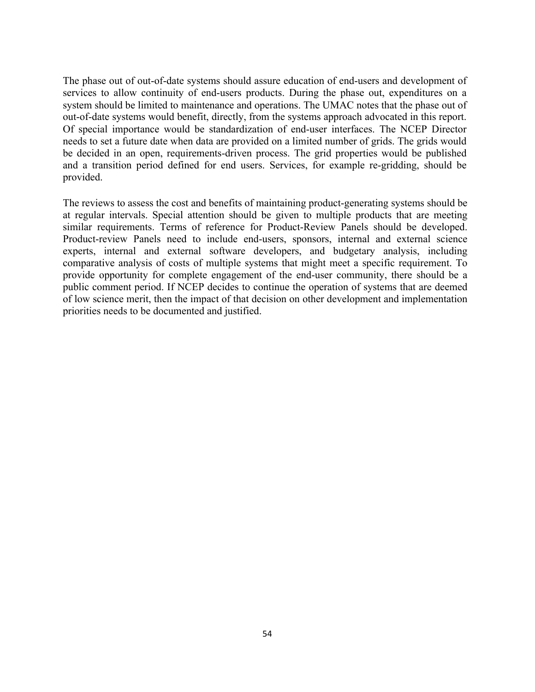The phase out of out-of-date systems should assure education of end-users and development of services to allow continuity of end-users products. During the phase out, expenditures on a system should be limited to maintenance and operations. The UMAC notes that the phase out of out-of-date systems would benefit, directly, from the systems approach advocated in this report. Of special importance would be standardization of end-user interfaces. The NCEP Director needs to set a future date when data are provided on a limited number of grids. The grids would be decided in an open, requirements-driven process. The grid properties would be published and a transition period defined for end users. Services, for example re-gridding, should be provided.

 The reviews to assess the cost and benefits of maintaining product-generating systems should be at regular intervals. Special attention should be given to multiple products that are meeting similar requirements. Terms of reference for Product-Review Panels should be developed. Product-review Panels need to include end-users, sponsors, internal and external science experts, internal and external software developers, and budgetary analysis, including comparative analysis of costs of multiple systems that might meet a specific requirement. To provide opportunity for complete engagement of the end-user community, there should be a public comment period. If NCEP decides to continue the operation of systems that are deemed of low science merit, then the impact of that decision on other development and implementation priorities needs to be documented and justified.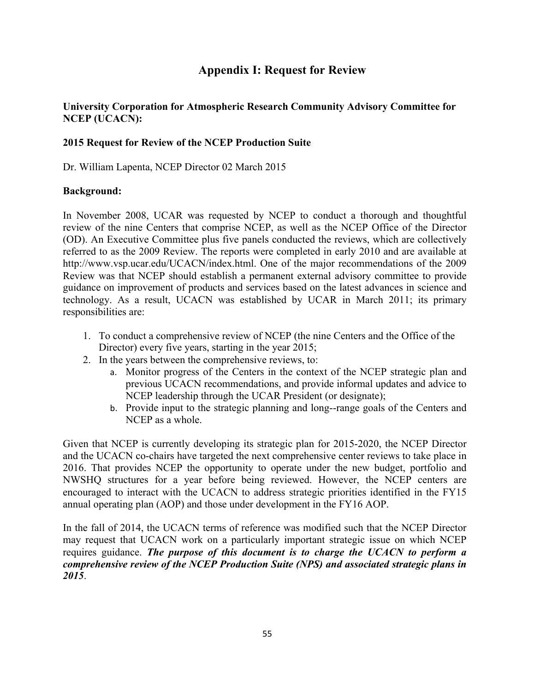# **Appendix I: Request for Review**

# **University Corporation for Atmospheric Research Community Advisory Committee for NCEP (UCACN):**

### **2015 Request for Review of the NCEP Production Suite**

Dr. William Lapenta, NCEP Director 02 March 2015

#### **Background:**

 In November 2008, UCAR was requested by NCEP to conduct a thorough and thoughtful review of the nine Centers that comprise NCEP, as well as the NCEP Office of the Director (OD). An Executive Committee plus five panels conducted the reviews, which are collectively referred to as the 2009 Review. The reports were completed in early 2010 and are available at http://www.vsp.ucar.edu/UCACN/index.html. One of the major recommendations of the 2009 Review was that NCEP should establish a permanent external advisory committee to provide guidance on improvement of products and services based on the latest advances in science and technology. As a result, UCACN was established by UCAR in March 2011; its primary responsibilities are:

- 1. To conduct a comprehensive review of NCEP (the nine Centers and the Office of the Director) every five years, starting in the year 2015;
- 2. In the years between the comprehensive reviews, to:
	- a. Monitor progress of the Centers in the context of the NCEP strategic plan and previous UCACN recommendations, and provide informal updates and advice to NCEP leadership through the UCAR President (or designate);
	- b. Provide input to the strategic planning and long--range goals of the Centers and NCEP as a whole.

 Given that NCEP is currently developing its strategic plan for 2015-2020, the NCEP Director and the UCACN co-chairs have targeted the next comprehensive center reviews to take place in 2016. That provides NCEP the opportunity to operate under the new budget, portfolio and NWSHQ structures for a year before being reviewed. However, the NCEP centers are encouraged to interact with the UCACN to address strategic priorities identified in the FY15 annual operating plan (AOP) and those under development in the FY16 AOP.

 In the fall of 2014, the UCACN terms of reference was modified such that the NCEP Director may request that UCACN work on a particularly important strategic issue on which NCEP  requires guidance. *The purpose of this document is to charge the UCACN to perform a comprehensive review of the NCEP Production Suite (NPS) and associated strategic plans in 2015*.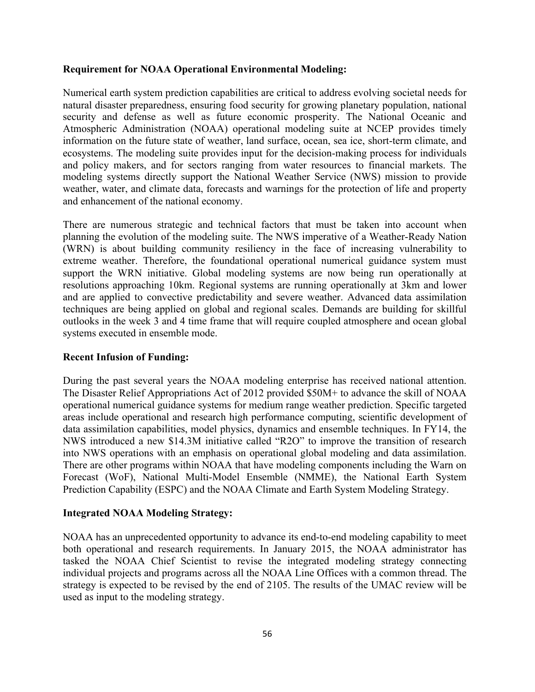#### **Requirement for NOAA Operational Environmental Modeling:**

 Numerical earth system prediction capabilities are critical to address evolving societal needs for security and defense as well as future economic prosperity. The National Oceanic and Atmospheric Administration (NOAA) operational modeling suite at NCEP provides timely information on the future state of weather, land surface, ocean, sea ice, short-term climate, and ecosystems. The modeling suite provides input for the decision-making process for individuals and policy makers, and for sectors ranging from water resources to financial markets. The modeling systems directly support the National Weather Service (NWS) mission to provide weather, water, and climate data, forecasts and warnings for the protection of life and property natural disaster preparedness, ensuring food security for growing planetary population, national and enhancement of the national economy.

 There are numerous strategic and technical factors that must be taken into account when planning the evolution of the modeling suite. The NWS imperative of a Weather-Ready Nation (WRN) is about building community resiliency in the face of increasing vulnerability to extreme weather. Therefore, the foundational operational numerical guidance system must support the WRN initiative. Global modeling systems are now being run operationally at resolutions approaching 10km. Regional systems are running operationally at 3km and lower techniques are being applied on global and regional scales. Demands are building for skillful outlooks in the week 3 and 4 time frame that will require coupled atmosphere and ocean global and are applied to convective predictability and severe weather. Advanced data assimilation systems executed in ensemble mode.

#### **Recent Infusion of Funding:**

 During the past several years the NOAA modeling enterprise has received national attention. The Disaster Relief Appropriations Act of 2012 provided \$50M+ to advance the skill of NOAA operational numerical guidance systems for medium range weather prediction. Specific targeted areas include operational and research high performance computing, scientific development of NWS introduced a new \$14.3M initiative called "R2O" to improve the transition of research into NWS operations with an emphasis on operational global modeling and data assimilation. There are other programs within NOAA that have modeling components including the Warn on Forecast (WoF), National Multi-Model Ensemble (NMME), the National Earth System data assimilation capabilities, model physics, dynamics and ensemble techniques. In FY14, the Prediction Capability (ESPC) and the NOAA Climate and Earth System Modeling Strategy.

#### **Integrated NOAA Modeling Strategy:**

 NOAA has an unprecedented opportunity to advance its end-to-end modeling capability to meet both operational and research requirements. In January 2015, the NOAA administrator has tasked the NOAA Chief Scientist to revise the integrated modeling strategy connecting individual projects and programs across all the NOAA Line Offices with a common thread. The strategy is expected to be revised by the end of 2105. The results of the UMAC review will be used as input to the modeling strategy.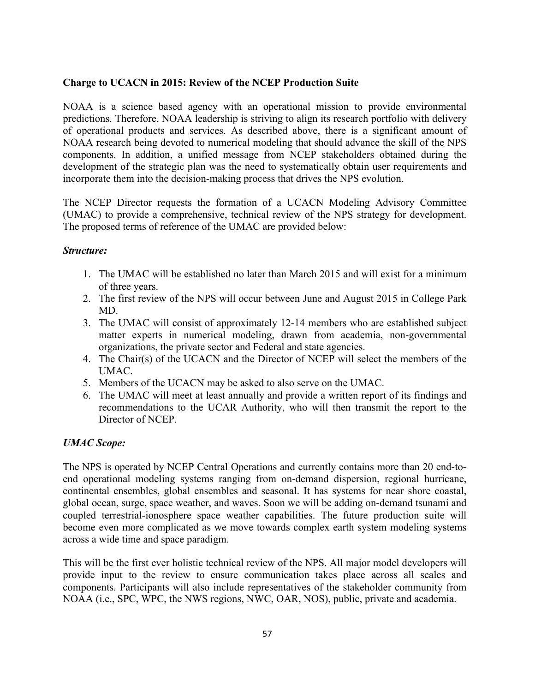## **Charge to UCACN in 2015: Review of the NCEP Production Suite**

 NOAA is a science based agency with an operational mission to provide environmental of operational products and services. As described above, there is a significant amount of NOAA research being devoted to numerical modeling that should advance the skill of the NPS components. In addition, a unified message from NCEP stakeholders obtained during the development of the strategic plan was the need to systematically obtain user requirements and predictions. Therefore, NOAA leadership is striving to align its research portfolio with delivery incorporate them into the decision-making process that drives the NPS evolution.

 The NCEP Director requests the formation of a UCACN Modeling Advisory Committee (UMAC) to provide a comprehensive, technical review of the NPS strategy for development. The proposed terms of reference of the UMAC are provided below:

#### *Structure:*

- 1. The UMAC will be established no later than March 2015 and will exist for a minimum of three years.
- 2. The first review of the NPS will occur between June and August 2015 in College Park MD.
- 3. The UMAC will consist of approximately 12-14 members who are established subject matter experts in numerical modeling, drawn from academia, non-governmental organizations, the private sector and Federal and state agencies.
- 4. The Chair(s) of the UCACN and the Director of NCEP will select the members of the UMAC.
- 5. Members of the UCACN may be asked to also serve on the UMAC.
- 6. The UMAC will meet at least annually and provide a written report of its findings and recommendations to the UCAR Authority, who will then transmit the report to the Director of NCEP.

# *UMAC Scope:*

 The NPS is operated by NCEP Central Operations and currently contains more than 20 end-to- continental ensembles, global ensembles and seasonal. It has systems for near shore coastal, global ocean, surge, space weather, and waves. Soon we will be adding on-demand tsunami and coupled terrestrial-ionosphere space weather capabilities. The future production suite will become even more complicated as we move towards complex earth system modeling systems end operational modeling systems ranging from on-demand dispersion, regional hurricane, across a wide time and space paradigm.

 This will be the first ever holistic technical review of the NPS. All major model developers will provide input to the review to ensure communication takes place across all scales and components. Participants will also include representatives of the stakeholder community from NOAA (i.e., SPC, WPC, the NWS regions, NWC, OAR, NOS), public, private and academia.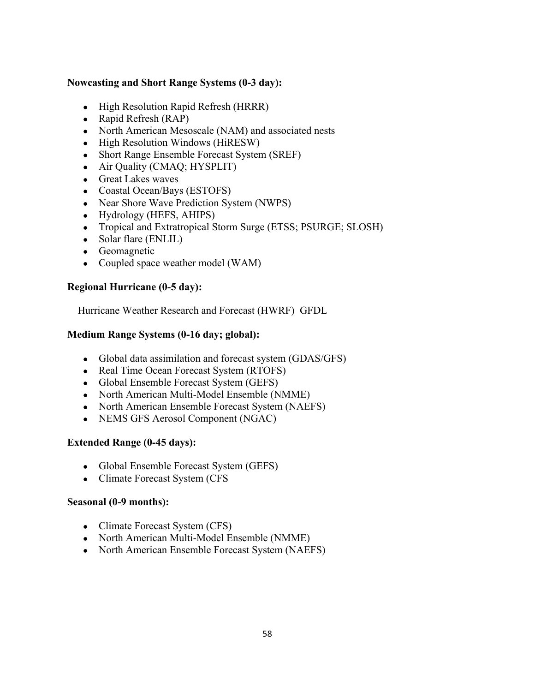## **Nowcasting and Short Range Systems (0-3 day):**

- High Resolution Rapid Refresh (HRRR)
- Rapid Refresh  $(RAP)$
- North American Mesoscale (NAM) and associated nests
- High Resolution Windows (HiRESW)
- Short Range Ensemble Forecast System (SREF)
- Air Quality (CMAQ; HYSPLIT)
- Great Lakes waves
- Coastal Ocean/Bays (ESTOFS)
- Near Shore Wave Prediction System (NWPS)
- Hydrology (HEFS, AHIPS)
- Tropical and Extratropical Storm Surge (ETSS; PSURGE; SLOSH)
- Solar flare (ENLIL)
- Geomagnetic
- Coupled space weather model (WAM)

## **Regional Hurricane (0-5 day):**

Hurricane Weather Research and Forecast (HWRF) GFDL

# **Medium Range Systems (0-16 day; global):**

- Global data assimilation and forecast system (GDAS/GFS)
- Real Time Ocean Forecast System (RTOFS)
- Global Ensemble Forecast System (GEFS)
- North American Multi-Model Ensemble (NMME)
- North American Ensemble Forecast System (NAEFS)
- NEMS GFS Aerosol Component (NGAC)

# **Extended Range (0-45 days):**

- Global Ensemble Forecast System (GEFS)
- Climate Forecast System (CFS

# **Seasonal (0-9 months):**

- Climate Forecast System (CFS)
- North American Multi-Model Ensemble (NMME)
- North American Ensemble Forecast System (NAEFS)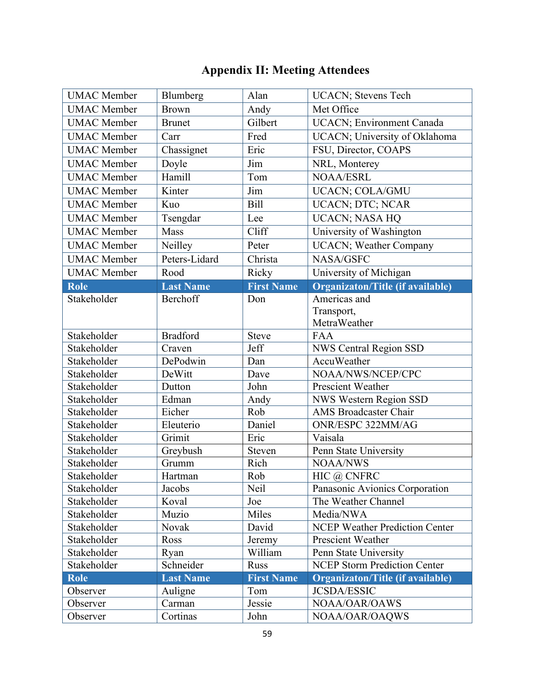# **Appendix II: Meeting Attendees**

| <b>UMAC</b> Member | Blumberg         | Alan              | <b>UCACN</b> ; Stevens Tech             |
|--------------------|------------------|-------------------|-----------------------------------------|
| <b>UMAC</b> Member | <b>Brown</b>     | Andy              | Met Office                              |
| <b>UMAC</b> Member | <b>Brunet</b>    | Gilbert           | UCACN; Environment Canada               |
| <b>UMAC</b> Member | Carr             | Fred              | UCACN; University of Oklahoma           |
| <b>UMAC</b> Member | Chassignet       | Eric              | FSU, Director, COAPS                    |
| <b>UMAC</b> Member | Doyle            | Jim               | NRL, Monterey                           |
| <b>UMAC</b> Member | Hamill           | Tom               | <b>NOAA/ESRL</b>                        |
| <b>UMAC</b> Member | Kinter           | Jim               | UCACN; COLA/GMU                         |
| <b>UMAC</b> Member | Kuo              | <b>Bill</b>       | UCACN; DTC; NCAR                        |
| <b>UMAC</b> Member | Tsengdar         | Lee               | UCACN; NASA HQ                          |
| <b>UMAC</b> Member | Mass             | Cliff             | University of Washington                |
| <b>UMAC</b> Member | Neilley          | Peter             | <b>UCACN</b> ; Weather Company          |
| <b>UMAC</b> Member | Peters-Lidard    | Christa           | NASA/GSFC                               |
| <b>UMAC</b> Member | Rood             | Ricky             | University of Michigan                  |
| Role               | <b>Last Name</b> | <b>First Name</b> | <b>Organizaton/Title (if available)</b> |
| Stakeholder        | Berchoff         | Don               | Americas and                            |
|                    |                  |                   | Transport,                              |
|                    |                  |                   | MetraWeather                            |
| Stakeholder        | <b>Bradford</b>  | <b>Steve</b>      | <b>FAA</b>                              |
| Stakeholder        | Craven           | Jeff              | <b>NWS Central Region SSD</b>           |
| Stakeholder        | DePodwin         | Dan               | AccuWeather                             |
| Stakeholder        | DeWitt           | Dave              | NOAA/NWS/NCEP/CPC                       |
| Stakeholder        | Dutton           | John              | Prescient Weather                       |
| Stakeholder        | Edman            | Andy              | NWS Western Region SSD                  |
| Stakeholder        | Eicher           | Rob               | <b>AMS Broadcaster Chair</b>            |
| Stakeholder        | Eleuterio        | Daniel            | ONR/ESPC 322MM/AG                       |
| Stakeholder        | Grimit           | Eric              | Vaisala                                 |
| Stakeholder        | Greybush         | Steven            | Penn State University                   |
| Stakeholder        | Grumm            | Rich              | <b>NOAA/NWS</b>                         |
| Stakeholder        | Hartman          | Rob               | HIC @ CNFRC                             |
| Stakeholder        | Jacobs           | Neil              | Panasonic Avionics Corporation          |
| Stakeholder        | Koval            | Joe               | The Weather Channel                     |
| Stakeholder        | Muzio            | Miles             | Media/NWA                               |
| Stakeholder        | Novak            | David             | <b>NCEP Weather Prediction Center</b>   |
| Stakeholder        | Ross             | Jeremy            | Prescient Weather                       |
| Stakeholder        | Ryan             | William           | Penn State University                   |
| Stakeholder        | Schneider        | <b>Russ</b>       | <b>NCEP Storm Prediction Center</b>     |
| <b>Role</b>        | <b>Last Name</b> | <b>First Name</b> | <b>Organizaton/Title (if available)</b> |
| Observer           | Auligne          | Tom               | <b>JCSDA/ESSIC</b>                      |
| Observer           | Carman           | Jessie            | NOAA/OAR/OAWS                           |
| Observer           | Cortinas         | John              | NOAA/OAR/OAQWS                          |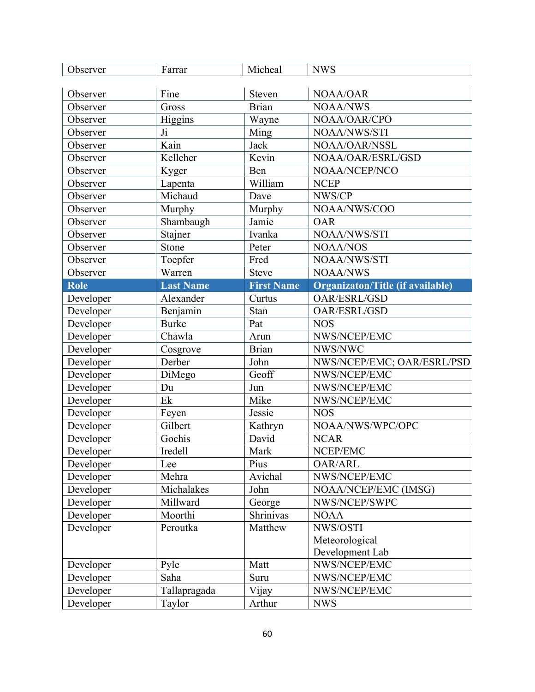| Fine<br><b>Steven</b><br>NOAA/OAR<br>Observer<br><b>Brian</b><br>Observer<br>Gross<br><b>NOAA/NWS</b><br>Higgins<br>NOAA/OAR/CPO<br>Observer<br>Wayne<br>NOAA/NWS/STI<br>Observer<br>Ji<br>Ming<br>Kain<br>Jack<br>NOAA/OAR/NSSL<br>Observer<br>Kelleher<br>Kevin<br>NOAA/OAR/ESRL/GSD<br>Observer<br>NOAA/NCEP/NCO<br>Observer<br>Kyger<br>Ben<br>William<br><b>NCEP</b><br>Observer<br>Lapenta<br>Michaud<br>NWS/CP<br>Observer<br>Dave<br>NOAA/NWS/COO<br>Observer<br>Murphy<br>Murphy<br>Shambaugh<br>Jamie<br>Observer<br><b>OAR</b><br>Ivanka<br>NOAA/NWS/STI<br>Observer<br>Stajner<br>Peter<br>Stone<br>Observer<br><b>NOAA/NOS</b><br>Toepfer<br>Fred<br>NOAA/NWS/STI<br>Observer<br>Warren<br>Observer<br><b>Steve</b><br><b>NOAA/NWS</b><br>Role<br><b>Last Name</b><br><b>First Name</b><br>Organizaton/Title (if available)<br>Alexander<br>Developer<br>OAR/ESRL/GSD<br>Curtus<br>Benjamin<br>Stan<br>OAR/ESRL/GSD<br>Developer<br>Pat<br>Developer<br><b>Burke</b><br><b>NOS</b><br>NWS/NCEP/EMC<br>Developer<br>Chawla<br>Arun<br><b>Brian</b><br>NWS/NWC<br>Developer<br>Cosgrove<br>Developer<br>Derber<br>NWS/NCEP/EMC; OAR/ESRL/PSD<br>John<br>Developer<br>Geoff<br>NWS/NCEP/EMC<br>DiMego<br>Developer<br>NWS/NCEP/EMC<br>Du<br>Jun<br>Ek<br>Mike<br>NWS/NCEP/EMC<br>Developer<br>Developer<br>Feyen<br>Jessie<br><b>NOS</b><br>NOAA/NWS/WPC/OPC<br>Developer<br>Gilbert<br>Kathryn<br><b>NCAR</b><br>Developer<br>Gochis<br>David<br>NCEP/EMC<br>Mark<br>Developer<br>Iredell<br>Pius<br><b>OAR/ARL</b><br>Lee<br>Developer<br>Avichal<br>Developer<br>Mehra<br>NWS/NCEP/EMC<br>Developer<br>Michalakes<br>NOAA/NCEP/EMC (IMSG)<br>John<br>Developer<br>Millward<br>George<br>NWS/NCEP/SWPC<br>Moorthi<br>Shrinivas<br>Developer<br><b>NOAA</b><br>Developer<br>Peroutka<br>NWS/OSTI<br>Matthew<br>Meteorological<br>Development Lab<br>NWS/NCEP/EMC<br>Pyle<br>Matt<br>Developer<br>Developer<br>NWS/NCEP/EMC<br>Saha<br>Suru<br>NWS/NCEP/EMC<br>Developer<br>Tallapragada<br>Vijay | Observer  | Farrar | Micheal | <b>NWS</b> |
|-------------------------------------------------------------------------------------------------------------------------------------------------------------------------------------------------------------------------------------------------------------------------------------------------------------------------------------------------------------------------------------------------------------------------------------------------------------------------------------------------------------------------------------------------------------------------------------------------------------------------------------------------------------------------------------------------------------------------------------------------------------------------------------------------------------------------------------------------------------------------------------------------------------------------------------------------------------------------------------------------------------------------------------------------------------------------------------------------------------------------------------------------------------------------------------------------------------------------------------------------------------------------------------------------------------------------------------------------------------------------------------------------------------------------------------------------------------------------------------------------------------------------------------------------------------------------------------------------------------------------------------------------------------------------------------------------------------------------------------------------------------------------------------------------------------------------------------------------------------------------------------------------------------------------------------------------------------------------------------------------------------|-----------|--------|---------|------------|
|                                                                                                                                                                                                                                                                                                                                                                                                                                                                                                                                                                                                                                                                                                                                                                                                                                                                                                                                                                                                                                                                                                                                                                                                                                                                                                                                                                                                                                                                                                                                                                                                                                                                                                                                                                                                                                                                                                                                                                                                             |           |        |         |            |
|                                                                                                                                                                                                                                                                                                                                                                                                                                                                                                                                                                                                                                                                                                                                                                                                                                                                                                                                                                                                                                                                                                                                                                                                                                                                                                                                                                                                                                                                                                                                                                                                                                                                                                                                                                                                                                                                                                                                                                                                             |           |        |         |            |
|                                                                                                                                                                                                                                                                                                                                                                                                                                                                                                                                                                                                                                                                                                                                                                                                                                                                                                                                                                                                                                                                                                                                                                                                                                                                                                                                                                                                                                                                                                                                                                                                                                                                                                                                                                                                                                                                                                                                                                                                             |           |        |         |            |
|                                                                                                                                                                                                                                                                                                                                                                                                                                                                                                                                                                                                                                                                                                                                                                                                                                                                                                                                                                                                                                                                                                                                                                                                                                                                                                                                                                                                                                                                                                                                                                                                                                                                                                                                                                                                                                                                                                                                                                                                             |           |        |         |            |
|                                                                                                                                                                                                                                                                                                                                                                                                                                                                                                                                                                                                                                                                                                                                                                                                                                                                                                                                                                                                                                                                                                                                                                                                                                                                                                                                                                                                                                                                                                                                                                                                                                                                                                                                                                                                                                                                                                                                                                                                             |           |        |         |            |
|                                                                                                                                                                                                                                                                                                                                                                                                                                                                                                                                                                                                                                                                                                                                                                                                                                                                                                                                                                                                                                                                                                                                                                                                                                                                                                                                                                                                                                                                                                                                                                                                                                                                                                                                                                                                                                                                                                                                                                                                             |           |        |         |            |
|                                                                                                                                                                                                                                                                                                                                                                                                                                                                                                                                                                                                                                                                                                                                                                                                                                                                                                                                                                                                                                                                                                                                                                                                                                                                                                                                                                                                                                                                                                                                                                                                                                                                                                                                                                                                                                                                                                                                                                                                             |           |        |         |            |
|                                                                                                                                                                                                                                                                                                                                                                                                                                                                                                                                                                                                                                                                                                                                                                                                                                                                                                                                                                                                                                                                                                                                                                                                                                                                                                                                                                                                                                                                                                                                                                                                                                                                                                                                                                                                                                                                                                                                                                                                             |           |        |         |            |
|                                                                                                                                                                                                                                                                                                                                                                                                                                                                                                                                                                                                                                                                                                                                                                                                                                                                                                                                                                                                                                                                                                                                                                                                                                                                                                                                                                                                                                                                                                                                                                                                                                                                                                                                                                                                                                                                                                                                                                                                             |           |        |         |            |
|                                                                                                                                                                                                                                                                                                                                                                                                                                                                                                                                                                                                                                                                                                                                                                                                                                                                                                                                                                                                                                                                                                                                                                                                                                                                                                                                                                                                                                                                                                                                                                                                                                                                                                                                                                                                                                                                                                                                                                                                             |           |        |         |            |
|                                                                                                                                                                                                                                                                                                                                                                                                                                                                                                                                                                                                                                                                                                                                                                                                                                                                                                                                                                                                                                                                                                                                                                                                                                                                                                                                                                                                                                                                                                                                                                                                                                                                                                                                                                                                                                                                                                                                                                                                             |           |        |         |            |
|                                                                                                                                                                                                                                                                                                                                                                                                                                                                                                                                                                                                                                                                                                                                                                                                                                                                                                                                                                                                                                                                                                                                                                                                                                                                                                                                                                                                                                                                                                                                                                                                                                                                                                                                                                                                                                                                                                                                                                                                             |           |        |         |            |
|                                                                                                                                                                                                                                                                                                                                                                                                                                                                                                                                                                                                                                                                                                                                                                                                                                                                                                                                                                                                                                                                                                                                                                                                                                                                                                                                                                                                                                                                                                                                                                                                                                                                                                                                                                                                                                                                                                                                                                                                             |           |        |         |            |
|                                                                                                                                                                                                                                                                                                                                                                                                                                                                                                                                                                                                                                                                                                                                                                                                                                                                                                                                                                                                                                                                                                                                                                                                                                                                                                                                                                                                                                                                                                                                                                                                                                                                                                                                                                                                                                                                                                                                                                                                             |           |        |         |            |
|                                                                                                                                                                                                                                                                                                                                                                                                                                                                                                                                                                                                                                                                                                                                                                                                                                                                                                                                                                                                                                                                                                                                                                                                                                                                                                                                                                                                                                                                                                                                                                                                                                                                                                                                                                                                                                                                                                                                                                                                             |           |        |         |            |
|                                                                                                                                                                                                                                                                                                                                                                                                                                                                                                                                                                                                                                                                                                                                                                                                                                                                                                                                                                                                                                                                                                                                                                                                                                                                                                                                                                                                                                                                                                                                                                                                                                                                                                                                                                                                                                                                                                                                                                                                             |           |        |         |            |
|                                                                                                                                                                                                                                                                                                                                                                                                                                                                                                                                                                                                                                                                                                                                                                                                                                                                                                                                                                                                                                                                                                                                                                                                                                                                                                                                                                                                                                                                                                                                                                                                                                                                                                                                                                                                                                                                                                                                                                                                             |           |        |         |            |
|                                                                                                                                                                                                                                                                                                                                                                                                                                                                                                                                                                                                                                                                                                                                                                                                                                                                                                                                                                                                                                                                                                                                                                                                                                                                                                                                                                                                                                                                                                                                                                                                                                                                                                                                                                                                                                                                                                                                                                                                             |           |        |         |            |
|                                                                                                                                                                                                                                                                                                                                                                                                                                                                                                                                                                                                                                                                                                                                                                                                                                                                                                                                                                                                                                                                                                                                                                                                                                                                                                                                                                                                                                                                                                                                                                                                                                                                                                                                                                                                                                                                                                                                                                                                             |           |        |         |            |
|                                                                                                                                                                                                                                                                                                                                                                                                                                                                                                                                                                                                                                                                                                                                                                                                                                                                                                                                                                                                                                                                                                                                                                                                                                                                                                                                                                                                                                                                                                                                                                                                                                                                                                                                                                                                                                                                                                                                                                                                             |           |        |         |            |
|                                                                                                                                                                                                                                                                                                                                                                                                                                                                                                                                                                                                                                                                                                                                                                                                                                                                                                                                                                                                                                                                                                                                                                                                                                                                                                                                                                                                                                                                                                                                                                                                                                                                                                                                                                                                                                                                                                                                                                                                             |           |        |         |            |
|                                                                                                                                                                                                                                                                                                                                                                                                                                                                                                                                                                                                                                                                                                                                                                                                                                                                                                                                                                                                                                                                                                                                                                                                                                                                                                                                                                                                                                                                                                                                                                                                                                                                                                                                                                                                                                                                                                                                                                                                             |           |        |         |            |
|                                                                                                                                                                                                                                                                                                                                                                                                                                                                                                                                                                                                                                                                                                                                                                                                                                                                                                                                                                                                                                                                                                                                                                                                                                                                                                                                                                                                                                                                                                                                                                                                                                                                                                                                                                                                                                                                                                                                                                                                             |           |        |         |            |
|                                                                                                                                                                                                                                                                                                                                                                                                                                                                                                                                                                                                                                                                                                                                                                                                                                                                                                                                                                                                                                                                                                                                                                                                                                                                                                                                                                                                                                                                                                                                                                                                                                                                                                                                                                                                                                                                                                                                                                                                             |           |        |         |            |
|                                                                                                                                                                                                                                                                                                                                                                                                                                                                                                                                                                                                                                                                                                                                                                                                                                                                                                                                                                                                                                                                                                                                                                                                                                                                                                                                                                                                                                                                                                                                                                                                                                                                                                                                                                                                                                                                                                                                                                                                             |           |        |         |            |
|                                                                                                                                                                                                                                                                                                                                                                                                                                                                                                                                                                                                                                                                                                                                                                                                                                                                                                                                                                                                                                                                                                                                                                                                                                                                                                                                                                                                                                                                                                                                                                                                                                                                                                                                                                                                                                                                                                                                                                                                             |           |        |         |            |
|                                                                                                                                                                                                                                                                                                                                                                                                                                                                                                                                                                                                                                                                                                                                                                                                                                                                                                                                                                                                                                                                                                                                                                                                                                                                                                                                                                                                                                                                                                                                                                                                                                                                                                                                                                                                                                                                                                                                                                                                             |           |        |         |            |
|                                                                                                                                                                                                                                                                                                                                                                                                                                                                                                                                                                                                                                                                                                                                                                                                                                                                                                                                                                                                                                                                                                                                                                                                                                                                                                                                                                                                                                                                                                                                                                                                                                                                                                                                                                                                                                                                                                                                                                                                             |           |        |         |            |
|                                                                                                                                                                                                                                                                                                                                                                                                                                                                                                                                                                                                                                                                                                                                                                                                                                                                                                                                                                                                                                                                                                                                                                                                                                                                                                                                                                                                                                                                                                                                                                                                                                                                                                                                                                                                                                                                                                                                                                                                             |           |        |         |            |
|                                                                                                                                                                                                                                                                                                                                                                                                                                                                                                                                                                                                                                                                                                                                                                                                                                                                                                                                                                                                                                                                                                                                                                                                                                                                                                                                                                                                                                                                                                                                                                                                                                                                                                                                                                                                                                                                                                                                                                                                             |           |        |         |            |
|                                                                                                                                                                                                                                                                                                                                                                                                                                                                                                                                                                                                                                                                                                                                                                                                                                                                                                                                                                                                                                                                                                                                                                                                                                                                                                                                                                                                                                                                                                                                                                                                                                                                                                                                                                                                                                                                                                                                                                                                             |           |        |         |            |
|                                                                                                                                                                                                                                                                                                                                                                                                                                                                                                                                                                                                                                                                                                                                                                                                                                                                                                                                                                                                                                                                                                                                                                                                                                                                                                                                                                                                                                                                                                                                                                                                                                                                                                                                                                                                                                                                                                                                                                                                             |           |        |         |            |
|                                                                                                                                                                                                                                                                                                                                                                                                                                                                                                                                                                                                                                                                                                                                                                                                                                                                                                                                                                                                                                                                                                                                                                                                                                                                                                                                                                                                                                                                                                                                                                                                                                                                                                                                                                                                                                                                                                                                                                                                             |           |        |         |            |
|                                                                                                                                                                                                                                                                                                                                                                                                                                                                                                                                                                                                                                                                                                                                                                                                                                                                                                                                                                                                                                                                                                                                                                                                                                                                                                                                                                                                                                                                                                                                                                                                                                                                                                                                                                                                                                                                                                                                                                                                             |           |        |         |            |
|                                                                                                                                                                                                                                                                                                                                                                                                                                                                                                                                                                                                                                                                                                                                                                                                                                                                                                                                                                                                                                                                                                                                                                                                                                                                                                                                                                                                                                                                                                                                                                                                                                                                                                                                                                                                                                                                                                                                                                                                             |           |        |         |            |
|                                                                                                                                                                                                                                                                                                                                                                                                                                                                                                                                                                                                                                                                                                                                                                                                                                                                                                                                                                                                                                                                                                                                                                                                                                                                                                                                                                                                                                                                                                                                                                                                                                                                                                                                                                                                                                                                                                                                                                                                             |           |        |         |            |
|                                                                                                                                                                                                                                                                                                                                                                                                                                                                                                                                                                                                                                                                                                                                                                                                                                                                                                                                                                                                                                                                                                                                                                                                                                                                                                                                                                                                                                                                                                                                                                                                                                                                                                                                                                                                                                                                                                                                                                                                             |           |        |         |            |
|                                                                                                                                                                                                                                                                                                                                                                                                                                                                                                                                                                                                                                                                                                                                                                                                                                                                                                                                                                                                                                                                                                                                                                                                                                                                                                                                                                                                                                                                                                                                                                                                                                                                                                                                                                                                                                                                                                                                                                                                             |           |        |         |            |
|                                                                                                                                                                                                                                                                                                                                                                                                                                                                                                                                                                                                                                                                                                                                                                                                                                                                                                                                                                                                                                                                                                                                                                                                                                                                                                                                                                                                                                                                                                                                                                                                                                                                                                                                                                                                                                                                                                                                                                                                             |           |        |         |            |
|                                                                                                                                                                                                                                                                                                                                                                                                                                                                                                                                                                                                                                                                                                                                                                                                                                                                                                                                                                                                                                                                                                                                                                                                                                                                                                                                                                                                                                                                                                                                                                                                                                                                                                                                                                                                                                                                                                                                                                                                             |           |        |         |            |
|                                                                                                                                                                                                                                                                                                                                                                                                                                                                                                                                                                                                                                                                                                                                                                                                                                                                                                                                                                                                                                                                                                                                                                                                                                                                                                                                                                                                                                                                                                                                                                                                                                                                                                                                                                                                                                                                                                                                                                                                             |           |        |         |            |
|                                                                                                                                                                                                                                                                                                                                                                                                                                                                                                                                                                                                                                                                                                                                                                                                                                                                                                                                                                                                                                                                                                                                                                                                                                                                                                                                                                                                                                                                                                                                                                                                                                                                                                                                                                                                                                                                                                                                                                                                             | Developer | Taylor | Arthur  | <b>NWS</b> |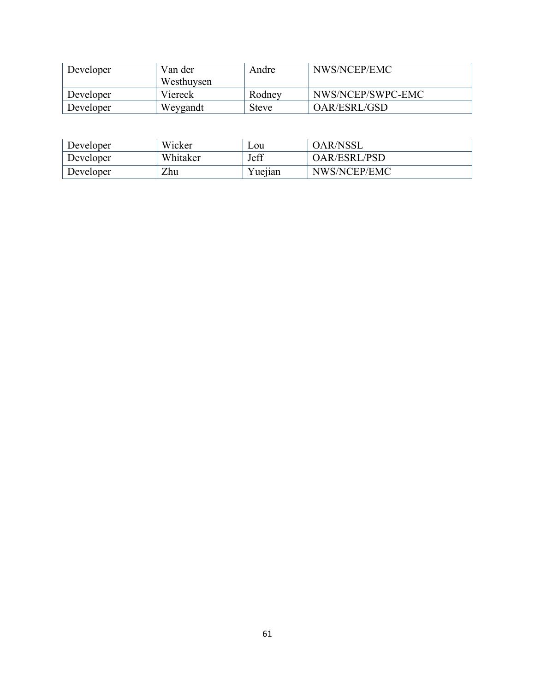| Developer | Van der    | Andre        | NWS/NCEP/EMC      |
|-----------|------------|--------------|-------------------|
|           | Westhuysen |              |                   |
| Developer | Viereck    | Rodney       | NWS/NCEP/SWPC-EMC |
| Developer | Weygandt   | <b>Steve</b> | OAR/ESRL/GSD      |

| Developer | Wicker   | Lou     | <b>OAR/NSSL</b>     |
|-----------|----------|---------|---------------------|
| Developer | Whitaker | Jeff    | <b>OAR/ESRL/PSD</b> |
| Developer | Zhu      | Yuejian | NWS/NCEP/EMC        |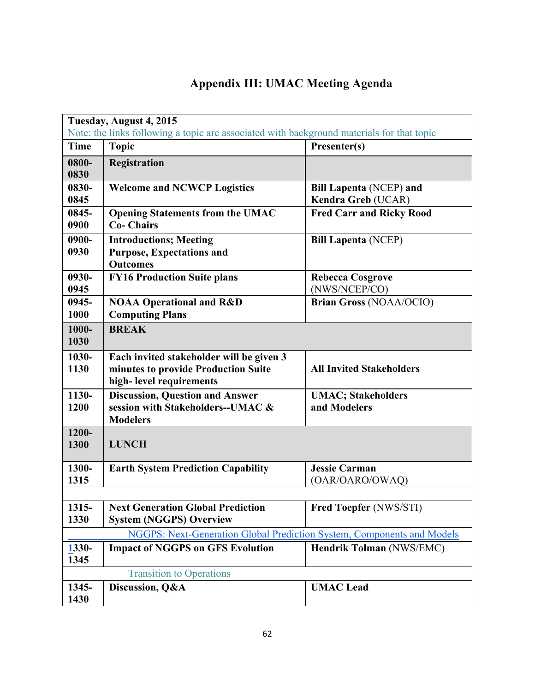# **Appendix III: UMAC Meeting Agenda**

| Tuesday, August 4, 2015<br>Note: the links following a topic are associated with background materials for that topic |                                                                                                            |                                                      |  |
|----------------------------------------------------------------------------------------------------------------------|------------------------------------------------------------------------------------------------------------|------------------------------------------------------|--|
| <b>Time</b>                                                                                                          | <b>Topic</b>                                                                                               | Presenter(s)                                         |  |
| 0800-<br>0830                                                                                                        | <b>Registration</b>                                                                                        |                                                      |  |
| 0830-<br>0845                                                                                                        | <b>Welcome and NCWCP Logistics</b>                                                                         | <b>Bill Lapenta (NCEP) and</b><br>Kendra Greb (UCAR) |  |
| 0845-<br>0900                                                                                                        | <b>Opening Statements from the UMAC</b><br><b>Co-Chairs</b>                                                | <b>Fred Carr and Ricky Rood</b>                      |  |
| 0900-<br>0930                                                                                                        | <b>Introductions; Meeting</b><br><b>Purpose, Expectations and</b><br><b>Outcomes</b>                       | <b>Bill Lapenta (NCEP)</b>                           |  |
| 0930-<br>0945                                                                                                        | <b>FY16 Production Suite plans</b>                                                                         | <b>Rebecca Cosgrove</b><br>(NWS/NCEP/CO)             |  |
| 0945-<br>1000                                                                                                        | <b>NOAA Operational and R&amp;D</b><br><b>Computing Plans</b>                                              | <b>Brian Gross (NOAA/OCIO)</b>                       |  |
| 1000-<br>1030                                                                                                        | <b>BREAK</b>                                                                                               |                                                      |  |
| 1030-<br>1130                                                                                                        | Each invited stakeholder will be given 3<br>minutes to provide Production Suite<br>high-level requirements | <b>All Invited Stakeholders</b>                      |  |
| 1130-<br>1200                                                                                                        | <b>Discussion, Question and Answer</b><br>session with Stakeholders--UMAC &<br><b>Modelers</b>             | <b>UMAC; Stakeholders</b><br>and Modelers            |  |
| 1200-<br>1300                                                                                                        | <b>LUNCH</b>                                                                                               |                                                      |  |
| 1300-<br>1315                                                                                                        | <b>Earth System Prediction Capability</b>                                                                  | <b>Jessie Carman</b><br>(OAR/OARO/OWAQ)              |  |
| 1315-<br>1330                                                                                                        | <b>Next Generation Global Prediction</b><br><b>System (NGGPS) Overview</b>                                 | <b>Fred Toepfer (NWS/STI)</b>                        |  |
|                                                                                                                      | NGGPS: Next-Generation Global Prediction System, Components and Models                                     |                                                      |  |
| 1330-<br>1345                                                                                                        | <b>Impact of NGGPS on GFS Evolution</b>                                                                    | Hendrik Tolman (NWS/EMC)                             |  |
|                                                                                                                      | <b>Transition to Operations</b>                                                                            |                                                      |  |
| 1345-<br>1430                                                                                                        | Discussion, Q&A                                                                                            | <b>UMAC</b> Lead                                     |  |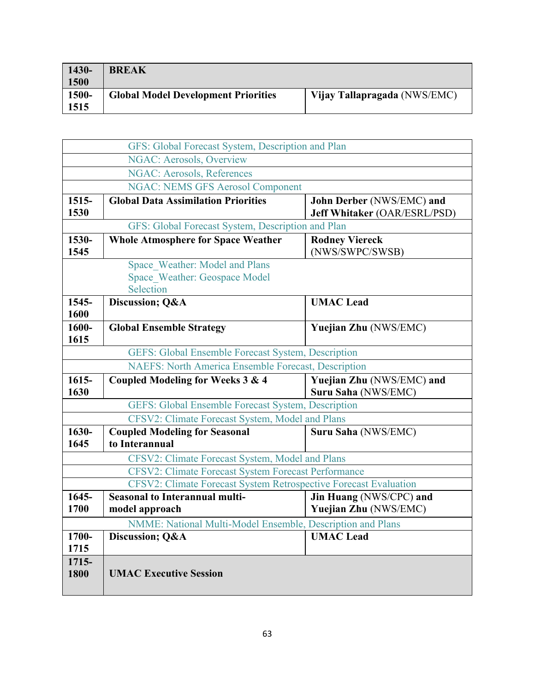| $1430 -$<br>$\vert$ 1500 | <b>BREAK</b>                               |                              |
|--------------------------|--------------------------------------------|------------------------------|
| 1500-<br>1515            | <b>Global Model Development Priorities</b> | Vijay Tallapragada (NWS/EMC) |

|                  | GFS: Global Forecast System, Description and Plan                            |                                                           |
|------------------|------------------------------------------------------------------------------|-----------------------------------------------------------|
|                  | <b>NGAC: Aerosols, Overview</b>                                              |                                                           |
|                  | <b>NGAC: Aerosols, References</b>                                            |                                                           |
|                  | <b>NGAC: NEMS GFS Aerosol Component</b>                                      |                                                           |
| $1515 -$<br>1530 | <b>Global Data Assimilation Priorities</b>                                   | John Derber (NWS/EMC) and<br>Jeff Whitaker (OAR/ESRL/PSD) |
|                  | GFS: Global Forecast System, Description and Plan                            |                                                           |
| 1530-<br>1545    | <b>Whole Atmosphere for Space Weather</b>                                    | <b>Rodney Viereck</b><br>(NWS/SWPC/SWSB)                  |
|                  | Space Weather: Model and Plans<br>Space Weather: Geospace Model<br>Selection |                                                           |
| 1545-<br>1600    | Discussion; Q&A                                                              | <b>UMAC</b> Lead                                          |
| 1600-<br>1615    | <b>Global Ensemble Strategy</b>                                              | <b>Yuejian Zhu (NWS/EMC)</b>                              |
|                  | GEFS: Global Ensemble Forecast System, Description                           |                                                           |
|                  | <b>NAEFS: North America Ensemble Forecast, Description</b>                   |                                                           |
| $1615 -$<br>1630 | Coupled Modeling for Weeks 3 & 4                                             | Yuejian Zhu (NWS/EMC) and<br>Suru Saha (NWS/EMC)          |
|                  | GEFS: Global Ensemble Forecast System, Description                           |                                                           |
|                  | CFSV2: Climate Forecast System, Model and Plans                              |                                                           |
| 1630-<br>1645    | <b>Coupled Modeling for Seasonal</b><br>to Interannual                       | Suru Saha (NWS/EMC)                                       |
|                  | CFSV2: Climate Forecast System, Model and Plans                              |                                                           |
|                  | CFSV2: Climate Forecast System Forecast Performance                          |                                                           |
|                  | CFSV2: Climate Forecast System Retrospective Forecast Evaluation             |                                                           |
| $1645 -$<br>1700 | <b>Seasonal to Interannual multi-</b><br>model approach                      | Jin Huang (NWS/CPC) and<br>Yuejian Zhu (NWS/EMC)          |
|                  | NMME: National Multi-Model Ensemble, Description and Plans                   |                                                           |
| 1700-<br>1715    | Discussion; Q&A                                                              | <b>UMAC</b> Lead                                          |
| 1715-<br>1800    | <b>UMAC Executive Session</b>                                                |                                                           |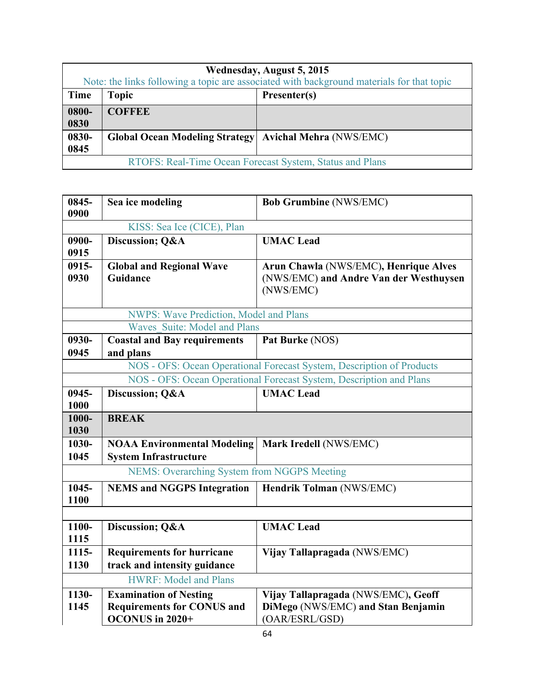| Wednesday, August 5, 2015                                |                                                                                           |                                |  |
|----------------------------------------------------------|-------------------------------------------------------------------------------------------|--------------------------------|--|
|                                                          | Note: the links following a topic are associated with background materials for that topic |                                |  |
| <b>Time</b>                                              | <b>Topic</b>                                                                              | Presenter(s)                   |  |
| 0800-                                                    | <b>COFFEE</b>                                                                             |                                |  |
| 0830                                                     |                                                                                           |                                |  |
| 0830-                                                    | <b>Global Ocean Modeling Strategy</b>                                                     | <b>Avichal Mehra (NWS/EMC)</b> |  |
| 0845                                                     |                                                                                           |                                |  |
| RTOFS: Real-Time Ocean Forecast System, Status and Plans |                                                                                           |                                |  |

| 0845-<br>0900    | Sea ice modeling                                                   | <b>Bob Grumbine (NWS/EMC)</b>                                                                |
|------------------|--------------------------------------------------------------------|----------------------------------------------------------------------------------------------|
|                  | KISS: Sea Ice (CICE), Plan                                         |                                                                                              |
| 0900-<br>0915    | Discussion; Q&A                                                    | <b>UMAC</b> Lead                                                                             |
| 0915-<br>0930    | <b>Global and Regional Wave</b><br>Guidance                        | Arun Chawla (NWS/EMC), Henrique Alves<br>(NWS/EMC) and Andre Van der Westhuysen<br>(NWS/EMC) |
|                  | <b>NWPS: Wave Prediction, Model and Plans</b>                      |                                                                                              |
|                  | Waves Suite: Model and Plans                                       |                                                                                              |
| 0930-            | <b>Coastal and Bay requirements</b>                                | Pat Burke (NOS)                                                                              |
| 0945             | and plans                                                          |                                                                                              |
|                  |                                                                    | NOS - OFS: Ocean Operational Forecast System, Description of Products                        |
|                  |                                                                    | NOS - OFS: Ocean Operational Forecast System, Description and Plans                          |
| $0945 -$<br>1000 | Discussion; Q&A                                                    | <b>UMAC</b> Lead                                                                             |
| 1000-<br>1030    | <b>BREAK</b>                                                       |                                                                                              |
| 1030-            | <b>NOAA Environmental Modeling</b>                                 | Mark Iredell (NWS/EMC)                                                                       |
| 1045             | <b>System Infrastructure</b>                                       |                                                                                              |
|                  | <b>NEMS: Overarching System from NGGPS Meeting</b>                 |                                                                                              |
| 1045-<br>1100    | <b>NEMS and NGGPS Integration</b>                                  | <b>Hendrik Tolman (NWS/EMC)</b>                                                              |
|                  |                                                                    |                                                                                              |
|                  |                                                                    |                                                                                              |
| 1100-<br>1115    | Discussion; Q&A                                                    | <b>UMAC</b> Lead                                                                             |
| 1115-<br>1130    | <b>Requirements for hurricane</b><br>track and intensity guidance  | Vijay Tallapragada (NWS/EMC)                                                                 |
|                  | <b>HWRF: Model and Plans</b>                                       |                                                                                              |
| 1130-<br>1145    | <b>Examination of Nesting</b><br><b>Requirements for CONUS and</b> | Vijay Tallapragada (NWS/EMC), Geoff<br>DiMego (NWS/EMC) and Stan Benjamin                    |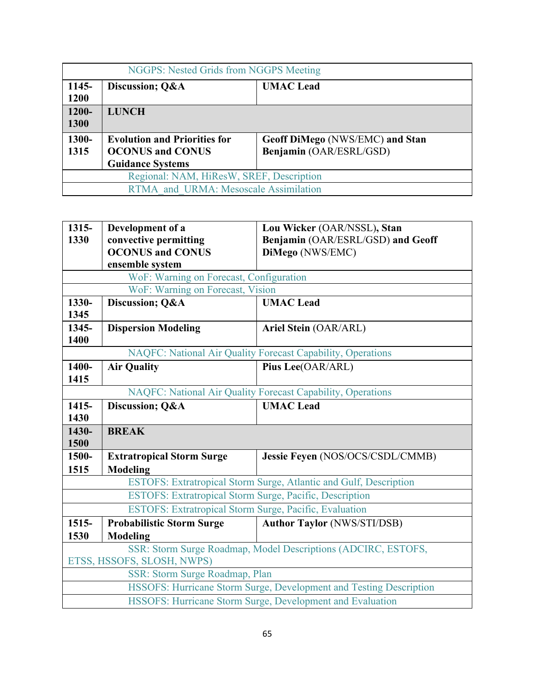| NGGPS: Nested Grids from NGGPS Meeting   |                                                                                                                                                         |                  |  |
|------------------------------------------|---------------------------------------------------------------------------------------------------------------------------------------------------------|------------------|--|
| 1145-<br>1200                            | Discussion; Q&A                                                                                                                                         | <b>UMAC</b> Lead |  |
| 1200-<br><b>1300</b>                     | <b>LUNCH</b>                                                                                                                                            |                  |  |
| 1300-<br>1315                            | <b>Evolution and Priorities for</b><br>Geoff DiMego (NWS/EMC) and Stan<br>Benjamin (OAR/ESRL/GSD)<br><b>OCONUS and CONUS</b><br><b>Guidance Systems</b> |                  |  |
| Regional: NAM, HiResW, SREF, Description |                                                                                                                                                         |                  |  |
| RTMA and URMA: Mesoscale Assimilation    |                                                                                                                                                         |                  |  |

| 1315-                                                                                       | Development of a                                        | Lou Wicker (OAR/NSSL), Stan                                       |  |
|---------------------------------------------------------------------------------------------|---------------------------------------------------------|-------------------------------------------------------------------|--|
| 1330                                                                                        | convective permitting                                   | Benjamin (OAR/ESRL/GSD) and Geoff                                 |  |
|                                                                                             | <b>OCONUS and CONUS</b>                                 | DiMego (NWS/EMC)                                                  |  |
|                                                                                             | ensemble system                                         |                                                                   |  |
|                                                                                             | WoF: Warning on Forecast, Configuration                 |                                                                   |  |
|                                                                                             | WoF: Warning on Forecast, Vision                        |                                                                   |  |
| 1330-<br>1345                                                                               | Discussion; Q&A                                         | <b>UMAC</b> Lead                                                  |  |
| 1345-<br>1400                                                                               | <b>Dispersion Modeling</b>                              | Ariel Stein (OAR/ARL)                                             |  |
|                                                                                             |                                                         | NAQFC: National Air Quality Forecast Capability, Operations       |  |
| 1400-<br>1415                                                                               | <b>Air Quality</b>                                      | Pius Lee(OAR/ARL)                                                 |  |
|                                                                                             |                                                         | NAQFC: National Air Quality Forecast Capability, Operations       |  |
| 1415-                                                                                       | Discussion; Q&A                                         | <b>UMAC</b> Lead                                                  |  |
| 1430                                                                                        |                                                         |                                                                   |  |
| 1430-<br>1500                                                                               | <b>BREAK</b>                                            |                                                                   |  |
| 1500-                                                                                       | <b>Extratropical Storm Surge</b>                        | Jessie Feyen (NOS/OCS/CSDL/CMMB)                                  |  |
| 1515                                                                                        | <b>Modeling</b>                                         |                                                                   |  |
|                                                                                             |                                                         | ESTOFS: Extratropical Storm Surge, Atlantic and Gulf, Description |  |
|                                                                                             | ESTOFS: Extratropical Storm Surge, Pacific, Description |                                                                   |  |
|                                                                                             | ESTOFS: Extratropical Storm Surge, Pacific, Evaluation  |                                                                   |  |
| $1515 -$                                                                                    | <b>Probabilistic Storm Surge</b>                        | <b>Author Taylor (NWS/STI/DSB)</b>                                |  |
| 1530                                                                                        | <b>Modeling</b>                                         |                                                                   |  |
| SSR: Storm Surge Roadmap, Model Descriptions (ADCIRC, ESTOFS,<br>ETSS, HSSOFS, SLOSH, NWPS) |                                                         |                                                                   |  |
|                                                                                             | SSR: Storm Surge Roadmap, Plan                          |                                                                   |  |
| HSSOFS: Hurricane Storm Surge, Development and Testing Description                          |                                                         |                                                                   |  |
| HSSOFS: Hurricane Storm Surge, Development and Evaluation                                   |                                                         |                                                                   |  |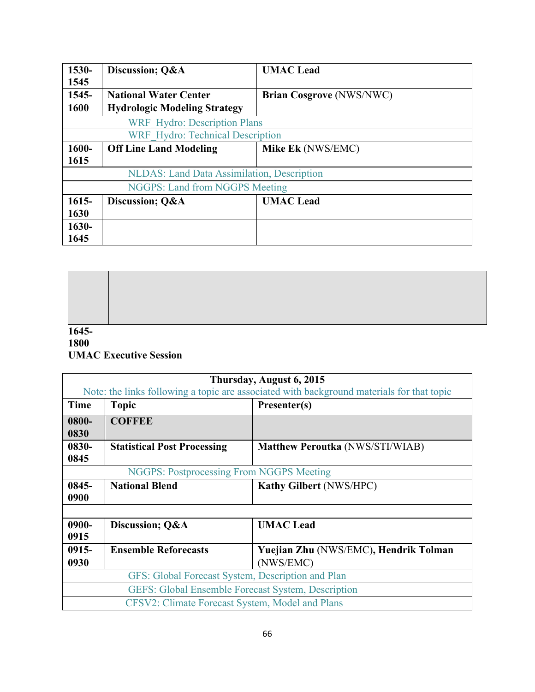| 1530-    | Discussion; O&A                                    | <b>UMAC</b> Lead                |
|----------|----------------------------------------------------|---------------------------------|
| 1545     |                                                    |                                 |
| 1545-    | <b>National Water Center</b>                       | <b>Brian Cosgrove (NWS/NWC)</b> |
| 1600     | <b>Hydrologic Modeling Strategy</b>                |                                 |
|          | <b>WRF</b> Hydro: Description Plans                |                                 |
|          | <b>WRF</b> Hydro: Technical Description            |                                 |
| 1600-    | <b>Off Line Land Modeling</b>                      | Mike Ek (NWS/EMC)               |
| 1615     |                                                    |                                 |
|          | <b>NLDAS</b> : Land Data Assimilation, Description |                                 |
|          | <b>NGGPS: Land from NGGPS Meeting</b>              |                                 |
| $1615 -$ | Discussion; O&A                                    | <b>UMAC</b> Lead                |
| 1630     |                                                    |                                 |
| $1630 -$ |                                                    |                                 |
| 1645     |                                                    |                                 |

**1645-**

# **1800 UMAC Executive Session**

| Thursday, August 6, 2015                                                                  |                                    |                                        |
|-------------------------------------------------------------------------------------------|------------------------------------|----------------------------------------|
| Note: the links following a topic are associated with background materials for that topic |                                    |                                        |
| <b>Time</b>                                                                               | <b>Topic</b>                       | Presenter(s)                           |
| 0800-                                                                                     | <b>COFFEE</b>                      |                                        |
| 0830                                                                                      |                                    |                                        |
| 0830-                                                                                     | <b>Statistical Post Processing</b> | <b>Matthew Peroutka (NWS/STI/WIAB)</b> |
| 0845                                                                                      |                                    |                                        |
| <b>NGGPS: Postprocessing From NGGPS Meeting</b>                                           |                                    |                                        |
| 0845-                                                                                     | <b>National Blend</b>              | <b>Kathy Gilbert (NWS/HPC)</b>         |
| 0900                                                                                      |                                    |                                        |
|                                                                                           |                                    |                                        |
| 0900-                                                                                     | Discussion; O&A                    | <b>UMAC</b> Lead                       |
| 0915                                                                                      |                                    |                                        |
| $0915 -$                                                                                  | <b>Ensemble Reforecasts</b>        | Yuejian Zhu (NWS/EMC), Hendrik Tolman  |
| 0930                                                                                      |                                    | (NWS/EMC)                              |
| GFS: Global Forecast System, Description and Plan                                         |                                    |                                        |
| <b>GEFS: Global Ensemble Forecast System, Description</b>                                 |                                    |                                        |
| CFSV2: Climate Forecast System, Model and Plans                                           |                                    |                                        |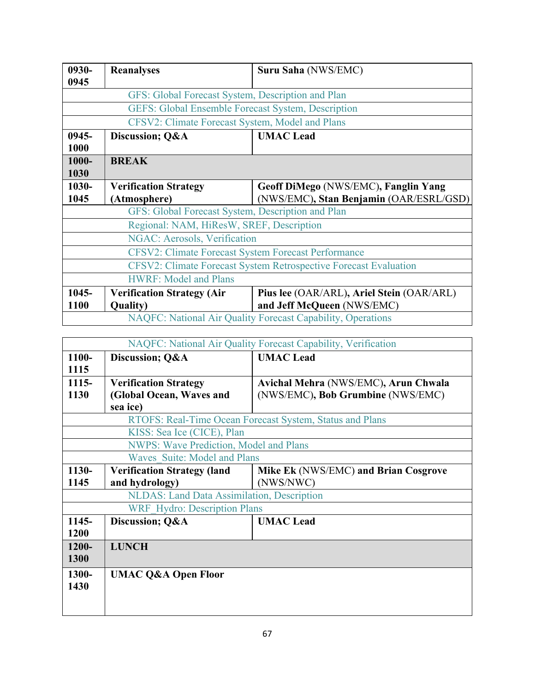| 0930-                                                            | <b>Reanalyses</b>                                 | Suru Saha (NWS/EMC)                       |  |
|------------------------------------------------------------------|---------------------------------------------------|-------------------------------------------|--|
| 0945                                                             |                                                   |                                           |  |
|                                                                  | GFS: Global Forecast System, Description and Plan |                                           |  |
| <b>GEFS: Global Ensemble Forecast System, Description</b>        |                                                   |                                           |  |
|                                                                  | CFSV2: Climate Forecast System, Model and Plans   |                                           |  |
| $0945 -$                                                         | Discussion; Q&A                                   | <b>UMAC</b> Lead                          |  |
| 1000                                                             |                                                   |                                           |  |
| 1000-                                                            | <b>BREAK</b>                                      |                                           |  |
| 1030                                                             |                                                   |                                           |  |
| 1030-                                                            | <b>Verification Strategy</b>                      | Geoff DiMego (NWS/EMC), Fanglin Yang      |  |
| 1045                                                             | (Atmosphere)                                      | (NWS/EMC), Stan Benjamin (OAR/ESRL/GSD)   |  |
| GFS: Global Forecast System, Description and Plan                |                                                   |                                           |  |
| Regional: NAM, HiResW, SREF, Description                         |                                                   |                                           |  |
| NGAC: Aerosols, Verification                                     |                                                   |                                           |  |
| <b>CFSV2: Climate Forecast System Forecast Performance</b>       |                                                   |                                           |  |
| CFSV2: Climate Forecast System Retrospective Forecast Evaluation |                                                   |                                           |  |
| <b>HWRF: Model and Plans</b>                                     |                                                   |                                           |  |
| 1045-                                                            | <b>Verification Strategy (Air</b>                 | Pius lee (OAR/ARL), Ariel Stein (OAR/ARL) |  |
| 1100                                                             | <b>Quality</b> )                                  | and Jeff McQueen (NWS/EMC)                |  |
| NAQFC: National Air Quality Forecast Capability, Operations      |                                                   |                                           |  |

| NAQFC: National Air Quality Forecast Capability, Verification |                                                                            |                                                          |
|---------------------------------------------------------------|----------------------------------------------------------------------------|----------------------------------------------------------|
| 1100-                                                         | Discussion; Q&A                                                            | <b>UMAC</b> Lead                                         |
| 1115                                                          |                                                                            |                                                          |
| $1115 -$                                                      | <b>Verification Strategy</b>                                               | Avichal Mehra (NWS/EMC), Arun Chwala                     |
| 1130                                                          | (Global Ocean, Waves and                                                   | (NWS/EMC), Bob Grumbine (NWS/EMC)                        |
|                                                               | sea ice)                                                                   |                                                          |
|                                                               |                                                                            | RTOFS: Real-Time Ocean Forecast System, Status and Plans |
| KISS: Sea Ice (CICE), Plan                                    |                                                                            |                                                          |
| <b>NWPS: Wave Prediction, Model and Plans</b>                 |                                                                            |                                                          |
| Waves Suite: Model and Plans                                  |                                                                            |                                                          |
| 1130-                                                         | Mike Ek (NWS/EMC) and Brian Cosgrove<br><b>Verification Strategy (land</b> |                                                          |
| 1145                                                          | and hydrology)                                                             | (NWS/NWC)                                                |
| NLDAS: Land Data Assimilation, Description                    |                                                                            |                                                          |
| <b>WRF</b> Hydro: Description Plans                           |                                                                            |                                                          |
| 1145-                                                         | Discussion; Q&A                                                            | <b>UMAC</b> Lead                                         |
| 1200                                                          |                                                                            |                                                          |
| $1200 -$                                                      | <b>LUNCH</b>                                                               |                                                          |
| 1300                                                          |                                                                            |                                                          |
| 1300-                                                         | <b>UMAC Q&amp;A Open Floor</b>                                             |                                                          |
| 1430                                                          |                                                                            |                                                          |
|                                                               |                                                                            |                                                          |
|                                                               |                                                                            |                                                          |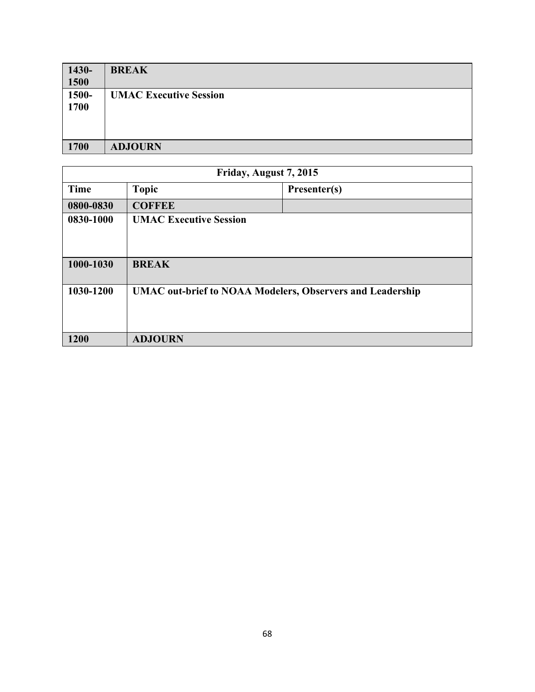| $1430-$<br>1500 | <b>BREAK</b>                  |
|-----------------|-------------------------------|
| 1500-<br>1700   | <b>UMAC Executive Session</b> |
| 1700            | <b>ADJOURN</b>                |

| Friday, August 7, 2015 |                                                                  |              |
|------------------------|------------------------------------------------------------------|--------------|
| <b>Time</b>            | <b>Topic</b>                                                     | Presenter(s) |
| 0800-0830              | <b>COFFEE</b>                                                    |              |
| 0830-1000              | <b>UMAC Executive Session</b>                                    |              |
| 1000-1030              | <b>BREAK</b>                                                     |              |
| 1030-1200              | <b>UMAC</b> out-brief to NOAA Modelers, Observers and Leadership |              |
| 1200                   | <b>ADJOURN</b>                                                   |              |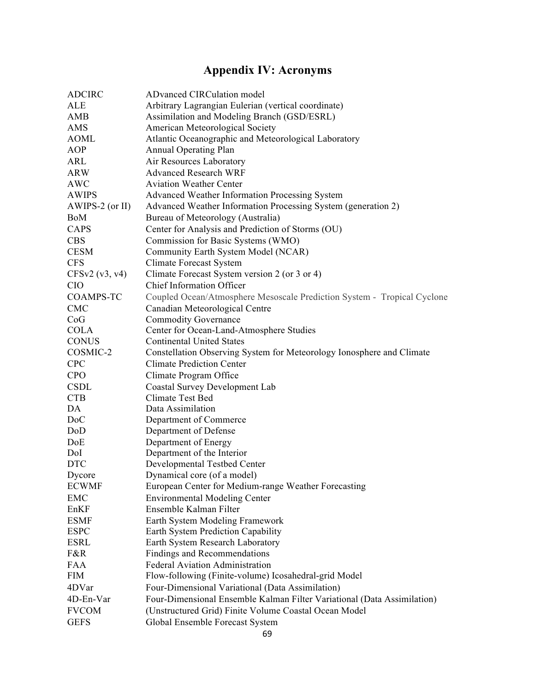# **Appendix IV: Acronyms**

| <b>ADCIRC</b>     | <b>ADvanced CIRCulation model</b>                                       |
|-------------------|-------------------------------------------------------------------------|
| ALE               | Arbitrary Lagrangian Eulerian (vertical coordinate)                     |
| AMB               | Assimilation and Modeling Branch (GSD/ESRL)                             |
| AMS               | American Meteorological Society                                         |
| <b>AOML</b>       | Atlantic Oceanographic and Meteorological Laboratory                    |
| AOP               | <b>Annual Operating Plan</b>                                            |
| ARL               | Air Resources Laboratory                                                |
| <b>ARW</b>        | <b>Advanced Research WRF</b>                                            |
| <b>AWC</b>        | <b>Aviation Weather Center</b>                                          |
| <b>AWIPS</b>      | <b>Advanced Weather Information Processing System</b>                   |
| $AWIPS-2$ (or II) | Advanced Weather Information Processing System (generation 2)           |
| BoM               | Bureau of Meteorology (Australia)                                       |
| CAPS              | Center for Analysis and Prediction of Storms (OU)                       |
| <b>CBS</b>        | Commission for Basic Systems (WMO)                                      |
| <b>CESM</b>       | Community Earth System Model (NCAR)                                     |
| <b>CFS</b>        | <b>Climate Forecast System</b>                                          |
| CFSv2(v3, v4)     | Climate Forecast System version 2 (or 3 or 4)                           |
| <b>CIO</b>        | <b>Chief Information Officer</b>                                        |
| <b>COAMPS-TC</b>  | Coupled Ocean/Atmosphere Mesoscale Prediction System - Tropical Cyclone |
| <b>CMC</b>        | Canadian Meteorological Centre                                          |
| CoG               | <b>Commodity Governance</b>                                             |
| <b>COLA</b>       | Center for Ocean-Land-Atmosphere Studies                                |
| <b>CONUS</b>      | <b>Continental United States</b>                                        |
| COSMIC-2          | Constellation Observing System for Meteorology Ionosphere and Climate   |
| <b>CPC</b>        | <b>Climate Prediction Center</b>                                        |
| <b>CPO</b>        | Climate Program Office                                                  |
| <b>CSDL</b>       | <b>Coastal Survey Development Lab</b>                                   |
| <b>CTB</b>        | Climate Test Bed                                                        |
| DA                | Data Assimilation                                                       |
| D <sub>o</sub> C  | Department of Commerce                                                  |
| DoD               | Department of Defense                                                   |
| DoE               | Department of Energy                                                    |
| DoI               | Department of the Interior                                              |
| <b>DTC</b>        | Developmental Testbed Center                                            |
| Dycore            | Dynamical core (of a model)                                             |
| <b>ECWMF</b>      | European Center for Medium-range Weather Forecasting                    |
| <b>EMC</b>        | <b>Environmental Modeling Center</b>                                    |
| EnKF              | Ensemble Kalman Filter                                                  |
| <b>ESMF</b>       | Earth System Modeling Framework                                         |
| <b>ESPC</b>       | Earth System Prediction Capability                                      |
| <b>ESRL</b>       | Earth System Research Laboratory                                        |
| F&R               | Findings and Recommendations                                            |
| <b>FAA</b>        | <b>Federal Aviation Administration</b>                                  |
| <b>FIM</b>        | Flow-following (Finite-volume) Icosahedral-grid Model                   |
| 4DVar             | Four-Dimensional Variational (Data Assimilation)                        |
| 4D-En-Var         | Four-Dimensional Ensemble Kalman Filter Variational (Data Assimilation) |
| <b>FVCOM</b>      | (Unstructured Grid) Finite Volume Coastal Ocean Model                   |
| <b>GEFS</b>       | Global Ensemble Forecast System                                         |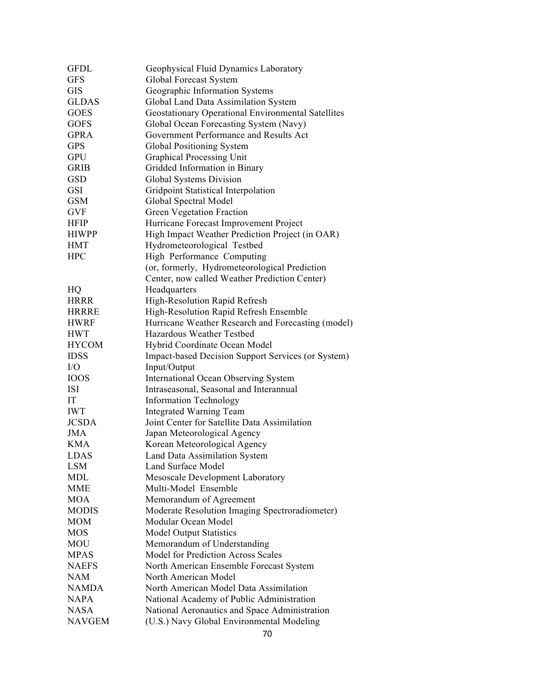| <b>GFDL</b>   | Geophysical Fluid Dynamics Laboratory                     |
|---------------|-----------------------------------------------------------|
| <b>GFS</b>    | Global Forecast System                                    |
| <b>GIS</b>    | Geographic Information Systems                            |
| <b>GLDAS</b>  | Global Land Data Assimilation System                      |
| <b>GOES</b>   | <b>Geostationary Operational Environmental Satellites</b> |
| <b>GOFS</b>   | Global Ocean Forecasting System (Navy)                    |
| <b>GPRA</b>   | Government Performance and Results Act                    |
| <b>GPS</b>    | Global Positioning System                                 |
| <b>GPU</b>    | Graphical Processing Unit                                 |
| <b>GRIB</b>   | Gridded Information in Binary                             |
| <b>GSD</b>    | Global Systems Division                                   |
| <b>GSI</b>    | Gridpoint Statistical Interpolation                       |
| <b>GSM</b>    | Global Spectral Model                                     |
| <b>GVF</b>    |                                                           |
|               | Green Vegetation Fraction                                 |
| <b>HFIP</b>   | Hurricane Forecast Improvement Project                    |
| <b>HIWPP</b>  | High Impact Weather Prediction Project (in OAR)           |
| <b>HMT</b>    | Hydrometeorological Testbed                               |
| <b>HPC</b>    | High Performance Computing                                |
|               | (or, formerly, Hydrometeorological Prediction             |
|               | Center, now called Weather Prediction Center)             |
| HQ            | Headquarters                                              |
| <b>HRRR</b>   | High-Resolution Rapid Refresh                             |
| <b>HRRRE</b>  | High-Resolution Rapid Refresh Ensemble                    |
| <b>HWRF</b>   | Hurricane Weather Research and Forecasting (model)        |
| <b>HWT</b>    | Hazardous Weather Testbed                                 |
| <b>HYCOM</b>  | Hybrid Coordinate Ocean Model                             |
| <b>IDSS</b>   | Impact-based Decision Support Services (or System)        |
| I/O           | Input/Output                                              |
| <b>IOOS</b>   | <b>International Ocean Observing System</b>               |
| <b>ISI</b>    | Intraseasonal, Seasonal and Interannual                   |
| IT            | <b>Information Technology</b>                             |
| <b>IWT</b>    | <b>Integrated Warning Team</b>                            |
| <b>JCSDA</b>  | Joint Center for Satellite Data Assimilation              |
| <b>JMA</b>    | Japan Meteorological Agency                               |
| <b>KMA</b>    | Korean Meteorological Agency                              |
| LDAS          | Land Data Assimilation System                             |
| LSM           | <b>Land Surface Model</b>                                 |
| <b>MDL</b>    | Mesoscale Development Laboratory                          |
| <b>MME</b>    | Multi-Model Ensemble                                      |
| <b>MOA</b>    | Memorandum of Agreement                                   |
| <b>MODIS</b>  |                                                           |
|               | Moderate Resolution Imaging Spectroradiometer)            |
| <b>MOM</b>    | Modular Ocean Model                                       |
| <b>MOS</b>    | <b>Model Output Statistics</b>                            |
| <b>MOU</b>    | Memorandum of Understanding                               |
| <b>MPAS</b>   | <b>Model for Prediction Across Scales</b>                 |
| <b>NAEFS</b>  | North American Ensemble Forecast System                   |
| <b>NAM</b>    | North American Model                                      |
| <b>NAMDA</b>  | North American Model Data Assimilation                    |
| <b>NAPA</b>   | National Academy of Public Administration                 |
| <b>NASA</b>   | National Aeronautics and Space Administration             |
| <b>NAVGEM</b> | (U.S.) Navy Global Environmental Modeling                 |
|               | 70                                                        |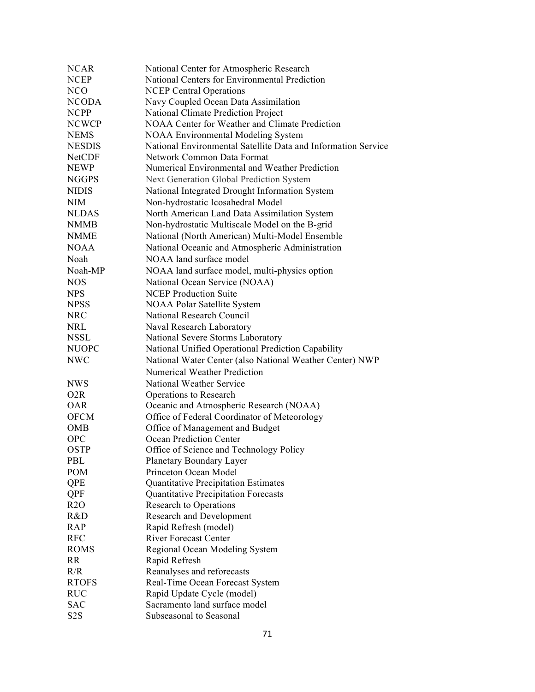| <b>NCEP</b><br>National Centers for Environmental Prediction<br>NCO<br><b>NCEP Central Operations</b><br>Navy Coupled Ocean Data Assimilation<br><b>NCODA</b><br>National Climate Prediction Project<br><b>NCPP</b><br>NOAA Center for Weather and Climate Prediction<br><b>NCWCP</b><br><b>NEMS</b><br><b>NOAA Environmental Modeling System</b><br>National Environmental Satellite Data and Information Service<br><b>NESDIS</b><br>Network Common Data Format<br><b>NetCDF</b><br>Numerical Environmental and Weather Prediction<br><b>NEWP</b><br>Next Generation Global Prediction System<br><b>NGGPS</b><br>National Integrated Drought Information System<br><b>NIDIS</b><br>Non-hydrostatic Icosahedral Model<br>NIM<br><b>NLDAS</b><br>North American Land Data Assimilation System<br><b>NMMB</b><br>Non-hydrostatic Multiscale Model on the B-grid<br><b>NMME</b><br>National (North American) Multi-Model Ensemble<br>National Oceanic and Atmospheric Administration<br><b>NOAA</b><br>NOAA land surface model<br>Noah<br>Noah-MP<br>NOAA land surface model, multi-physics option<br><b>NOS</b><br>National Ocean Service (NOAA)<br><b>NCEP Production Suite</b><br><b>NPS</b><br><b>NPSS</b><br><b>NOAA Polar Satellite System</b><br><b>NRC</b><br>National Research Council<br><b>NRL</b><br>Naval Research Laboratory<br><b>NSSL</b><br>National Severe Storms Laboratory<br>National Unified Operational Prediction Capability<br><b>NUOPC</b><br><b>NWC</b><br>National Water Center (also National Weather Center) NWP<br><b>Numerical Weather Prediction</b><br>National Weather Service<br><b>NWS</b><br>O <sub>2</sub> R<br>Operations to Research<br>Oceanic and Atmospheric Research (NOAA)<br><b>OAR</b><br>Office of Federal Coordinator of Meteorology<br><b>OFCM</b><br><b>OMB</b><br>Office of Management and Budget<br>Ocean Prediction Center<br><b>OPC</b><br><b>OSTP</b><br>Office of Science and Technology Policy<br>Planetary Boundary Layer<br>PBL<br>Princeton Ocean Model<br><b>POM</b><br>QPE<br><b>Quantitative Precipitation Estimates</b><br>Quantitative Precipitation Forecasts<br>QPF<br>R2O<br><b>Research to Operations</b><br>R&D<br><b>Research and Development</b><br>Rapid Refresh (model)<br><b>RAP</b><br><b>RFC</b><br><b>River Forecast Center</b><br><b>ROMS</b><br>Regional Ocean Modeling System<br><b>RR</b><br>Rapid Refresh<br>R/R<br>Reanalyses and reforecasts<br><b>RTOFS</b><br>Real-Time Ocean Forecast System<br><b>RUC</b><br>Rapid Update Cycle (model)<br><b>SAC</b><br>Sacramento land surface model | <b>NCAR</b>      | National Center for Atmospheric Research |
|---------------------------------------------------------------------------------------------------------------------------------------------------------------------------------------------------------------------------------------------------------------------------------------------------------------------------------------------------------------------------------------------------------------------------------------------------------------------------------------------------------------------------------------------------------------------------------------------------------------------------------------------------------------------------------------------------------------------------------------------------------------------------------------------------------------------------------------------------------------------------------------------------------------------------------------------------------------------------------------------------------------------------------------------------------------------------------------------------------------------------------------------------------------------------------------------------------------------------------------------------------------------------------------------------------------------------------------------------------------------------------------------------------------------------------------------------------------------------------------------------------------------------------------------------------------------------------------------------------------------------------------------------------------------------------------------------------------------------------------------------------------------------------------------------------------------------------------------------------------------------------------------------------------------------------------------------------------------------------------------------------------------------------------------------------------------------------------------------------------------------------------------------------------------------------------------------------------------------------------------------------------------------------------------------------------------------------------------------------------------------------------------------------------------------------------------------------------------------------------------------------------------------------------------------------------------------------|------------------|------------------------------------------|
|                                                                                                                                                                                                                                                                                                                                                                                                                                                                                                                                                                                                                                                                                                                                                                                                                                                                                                                                                                                                                                                                                                                                                                                                                                                                                                                                                                                                                                                                                                                                                                                                                                                                                                                                                                                                                                                                                                                                                                                                                                                                                                                                                                                                                                                                                                                                                                                                                                                                                                                                                                                 |                  |                                          |
|                                                                                                                                                                                                                                                                                                                                                                                                                                                                                                                                                                                                                                                                                                                                                                                                                                                                                                                                                                                                                                                                                                                                                                                                                                                                                                                                                                                                                                                                                                                                                                                                                                                                                                                                                                                                                                                                                                                                                                                                                                                                                                                                                                                                                                                                                                                                                                                                                                                                                                                                                                                 |                  |                                          |
|                                                                                                                                                                                                                                                                                                                                                                                                                                                                                                                                                                                                                                                                                                                                                                                                                                                                                                                                                                                                                                                                                                                                                                                                                                                                                                                                                                                                                                                                                                                                                                                                                                                                                                                                                                                                                                                                                                                                                                                                                                                                                                                                                                                                                                                                                                                                                                                                                                                                                                                                                                                 |                  |                                          |
|                                                                                                                                                                                                                                                                                                                                                                                                                                                                                                                                                                                                                                                                                                                                                                                                                                                                                                                                                                                                                                                                                                                                                                                                                                                                                                                                                                                                                                                                                                                                                                                                                                                                                                                                                                                                                                                                                                                                                                                                                                                                                                                                                                                                                                                                                                                                                                                                                                                                                                                                                                                 |                  |                                          |
|                                                                                                                                                                                                                                                                                                                                                                                                                                                                                                                                                                                                                                                                                                                                                                                                                                                                                                                                                                                                                                                                                                                                                                                                                                                                                                                                                                                                                                                                                                                                                                                                                                                                                                                                                                                                                                                                                                                                                                                                                                                                                                                                                                                                                                                                                                                                                                                                                                                                                                                                                                                 |                  |                                          |
|                                                                                                                                                                                                                                                                                                                                                                                                                                                                                                                                                                                                                                                                                                                                                                                                                                                                                                                                                                                                                                                                                                                                                                                                                                                                                                                                                                                                                                                                                                                                                                                                                                                                                                                                                                                                                                                                                                                                                                                                                                                                                                                                                                                                                                                                                                                                                                                                                                                                                                                                                                                 |                  |                                          |
|                                                                                                                                                                                                                                                                                                                                                                                                                                                                                                                                                                                                                                                                                                                                                                                                                                                                                                                                                                                                                                                                                                                                                                                                                                                                                                                                                                                                                                                                                                                                                                                                                                                                                                                                                                                                                                                                                                                                                                                                                                                                                                                                                                                                                                                                                                                                                                                                                                                                                                                                                                                 |                  |                                          |
|                                                                                                                                                                                                                                                                                                                                                                                                                                                                                                                                                                                                                                                                                                                                                                                                                                                                                                                                                                                                                                                                                                                                                                                                                                                                                                                                                                                                                                                                                                                                                                                                                                                                                                                                                                                                                                                                                                                                                                                                                                                                                                                                                                                                                                                                                                                                                                                                                                                                                                                                                                                 |                  |                                          |
|                                                                                                                                                                                                                                                                                                                                                                                                                                                                                                                                                                                                                                                                                                                                                                                                                                                                                                                                                                                                                                                                                                                                                                                                                                                                                                                                                                                                                                                                                                                                                                                                                                                                                                                                                                                                                                                                                                                                                                                                                                                                                                                                                                                                                                                                                                                                                                                                                                                                                                                                                                                 |                  |                                          |
|                                                                                                                                                                                                                                                                                                                                                                                                                                                                                                                                                                                                                                                                                                                                                                                                                                                                                                                                                                                                                                                                                                                                                                                                                                                                                                                                                                                                                                                                                                                                                                                                                                                                                                                                                                                                                                                                                                                                                                                                                                                                                                                                                                                                                                                                                                                                                                                                                                                                                                                                                                                 |                  |                                          |
|                                                                                                                                                                                                                                                                                                                                                                                                                                                                                                                                                                                                                                                                                                                                                                                                                                                                                                                                                                                                                                                                                                                                                                                                                                                                                                                                                                                                                                                                                                                                                                                                                                                                                                                                                                                                                                                                                                                                                                                                                                                                                                                                                                                                                                                                                                                                                                                                                                                                                                                                                                                 |                  |                                          |
|                                                                                                                                                                                                                                                                                                                                                                                                                                                                                                                                                                                                                                                                                                                                                                                                                                                                                                                                                                                                                                                                                                                                                                                                                                                                                                                                                                                                                                                                                                                                                                                                                                                                                                                                                                                                                                                                                                                                                                                                                                                                                                                                                                                                                                                                                                                                                                                                                                                                                                                                                                                 |                  |                                          |
|                                                                                                                                                                                                                                                                                                                                                                                                                                                                                                                                                                                                                                                                                                                                                                                                                                                                                                                                                                                                                                                                                                                                                                                                                                                                                                                                                                                                                                                                                                                                                                                                                                                                                                                                                                                                                                                                                                                                                                                                                                                                                                                                                                                                                                                                                                                                                                                                                                                                                                                                                                                 |                  |                                          |
|                                                                                                                                                                                                                                                                                                                                                                                                                                                                                                                                                                                                                                                                                                                                                                                                                                                                                                                                                                                                                                                                                                                                                                                                                                                                                                                                                                                                                                                                                                                                                                                                                                                                                                                                                                                                                                                                                                                                                                                                                                                                                                                                                                                                                                                                                                                                                                                                                                                                                                                                                                                 |                  |                                          |
|                                                                                                                                                                                                                                                                                                                                                                                                                                                                                                                                                                                                                                                                                                                                                                                                                                                                                                                                                                                                                                                                                                                                                                                                                                                                                                                                                                                                                                                                                                                                                                                                                                                                                                                                                                                                                                                                                                                                                                                                                                                                                                                                                                                                                                                                                                                                                                                                                                                                                                                                                                                 |                  |                                          |
|                                                                                                                                                                                                                                                                                                                                                                                                                                                                                                                                                                                                                                                                                                                                                                                                                                                                                                                                                                                                                                                                                                                                                                                                                                                                                                                                                                                                                                                                                                                                                                                                                                                                                                                                                                                                                                                                                                                                                                                                                                                                                                                                                                                                                                                                                                                                                                                                                                                                                                                                                                                 |                  |                                          |
|                                                                                                                                                                                                                                                                                                                                                                                                                                                                                                                                                                                                                                                                                                                                                                                                                                                                                                                                                                                                                                                                                                                                                                                                                                                                                                                                                                                                                                                                                                                                                                                                                                                                                                                                                                                                                                                                                                                                                                                                                                                                                                                                                                                                                                                                                                                                                                                                                                                                                                                                                                                 |                  |                                          |
|                                                                                                                                                                                                                                                                                                                                                                                                                                                                                                                                                                                                                                                                                                                                                                                                                                                                                                                                                                                                                                                                                                                                                                                                                                                                                                                                                                                                                                                                                                                                                                                                                                                                                                                                                                                                                                                                                                                                                                                                                                                                                                                                                                                                                                                                                                                                                                                                                                                                                                                                                                                 |                  |                                          |
|                                                                                                                                                                                                                                                                                                                                                                                                                                                                                                                                                                                                                                                                                                                                                                                                                                                                                                                                                                                                                                                                                                                                                                                                                                                                                                                                                                                                                                                                                                                                                                                                                                                                                                                                                                                                                                                                                                                                                                                                                                                                                                                                                                                                                                                                                                                                                                                                                                                                                                                                                                                 |                  |                                          |
|                                                                                                                                                                                                                                                                                                                                                                                                                                                                                                                                                                                                                                                                                                                                                                                                                                                                                                                                                                                                                                                                                                                                                                                                                                                                                                                                                                                                                                                                                                                                                                                                                                                                                                                                                                                                                                                                                                                                                                                                                                                                                                                                                                                                                                                                                                                                                                                                                                                                                                                                                                                 |                  |                                          |
|                                                                                                                                                                                                                                                                                                                                                                                                                                                                                                                                                                                                                                                                                                                                                                                                                                                                                                                                                                                                                                                                                                                                                                                                                                                                                                                                                                                                                                                                                                                                                                                                                                                                                                                                                                                                                                                                                                                                                                                                                                                                                                                                                                                                                                                                                                                                                                                                                                                                                                                                                                                 |                  |                                          |
|                                                                                                                                                                                                                                                                                                                                                                                                                                                                                                                                                                                                                                                                                                                                                                                                                                                                                                                                                                                                                                                                                                                                                                                                                                                                                                                                                                                                                                                                                                                                                                                                                                                                                                                                                                                                                                                                                                                                                                                                                                                                                                                                                                                                                                                                                                                                                                                                                                                                                                                                                                                 |                  |                                          |
|                                                                                                                                                                                                                                                                                                                                                                                                                                                                                                                                                                                                                                                                                                                                                                                                                                                                                                                                                                                                                                                                                                                                                                                                                                                                                                                                                                                                                                                                                                                                                                                                                                                                                                                                                                                                                                                                                                                                                                                                                                                                                                                                                                                                                                                                                                                                                                                                                                                                                                                                                                                 |                  |                                          |
|                                                                                                                                                                                                                                                                                                                                                                                                                                                                                                                                                                                                                                                                                                                                                                                                                                                                                                                                                                                                                                                                                                                                                                                                                                                                                                                                                                                                                                                                                                                                                                                                                                                                                                                                                                                                                                                                                                                                                                                                                                                                                                                                                                                                                                                                                                                                                                                                                                                                                                                                                                                 |                  |                                          |
|                                                                                                                                                                                                                                                                                                                                                                                                                                                                                                                                                                                                                                                                                                                                                                                                                                                                                                                                                                                                                                                                                                                                                                                                                                                                                                                                                                                                                                                                                                                                                                                                                                                                                                                                                                                                                                                                                                                                                                                                                                                                                                                                                                                                                                                                                                                                                                                                                                                                                                                                                                                 |                  |                                          |
|                                                                                                                                                                                                                                                                                                                                                                                                                                                                                                                                                                                                                                                                                                                                                                                                                                                                                                                                                                                                                                                                                                                                                                                                                                                                                                                                                                                                                                                                                                                                                                                                                                                                                                                                                                                                                                                                                                                                                                                                                                                                                                                                                                                                                                                                                                                                                                                                                                                                                                                                                                                 |                  |                                          |
|                                                                                                                                                                                                                                                                                                                                                                                                                                                                                                                                                                                                                                                                                                                                                                                                                                                                                                                                                                                                                                                                                                                                                                                                                                                                                                                                                                                                                                                                                                                                                                                                                                                                                                                                                                                                                                                                                                                                                                                                                                                                                                                                                                                                                                                                                                                                                                                                                                                                                                                                                                                 |                  |                                          |
|                                                                                                                                                                                                                                                                                                                                                                                                                                                                                                                                                                                                                                                                                                                                                                                                                                                                                                                                                                                                                                                                                                                                                                                                                                                                                                                                                                                                                                                                                                                                                                                                                                                                                                                                                                                                                                                                                                                                                                                                                                                                                                                                                                                                                                                                                                                                                                                                                                                                                                                                                                                 |                  |                                          |
|                                                                                                                                                                                                                                                                                                                                                                                                                                                                                                                                                                                                                                                                                                                                                                                                                                                                                                                                                                                                                                                                                                                                                                                                                                                                                                                                                                                                                                                                                                                                                                                                                                                                                                                                                                                                                                                                                                                                                                                                                                                                                                                                                                                                                                                                                                                                                                                                                                                                                                                                                                                 |                  |                                          |
|                                                                                                                                                                                                                                                                                                                                                                                                                                                                                                                                                                                                                                                                                                                                                                                                                                                                                                                                                                                                                                                                                                                                                                                                                                                                                                                                                                                                                                                                                                                                                                                                                                                                                                                                                                                                                                                                                                                                                                                                                                                                                                                                                                                                                                                                                                                                                                                                                                                                                                                                                                                 |                  |                                          |
|                                                                                                                                                                                                                                                                                                                                                                                                                                                                                                                                                                                                                                                                                                                                                                                                                                                                                                                                                                                                                                                                                                                                                                                                                                                                                                                                                                                                                                                                                                                                                                                                                                                                                                                                                                                                                                                                                                                                                                                                                                                                                                                                                                                                                                                                                                                                                                                                                                                                                                                                                                                 |                  |                                          |
|                                                                                                                                                                                                                                                                                                                                                                                                                                                                                                                                                                                                                                                                                                                                                                                                                                                                                                                                                                                                                                                                                                                                                                                                                                                                                                                                                                                                                                                                                                                                                                                                                                                                                                                                                                                                                                                                                                                                                                                                                                                                                                                                                                                                                                                                                                                                                                                                                                                                                                                                                                                 |                  |                                          |
|                                                                                                                                                                                                                                                                                                                                                                                                                                                                                                                                                                                                                                                                                                                                                                                                                                                                                                                                                                                                                                                                                                                                                                                                                                                                                                                                                                                                                                                                                                                                                                                                                                                                                                                                                                                                                                                                                                                                                                                                                                                                                                                                                                                                                                                                                                                                                                                                                                                                                                                                                                                 |                  |                                          |
|                                                                                                                                                                                                                                                                                                                                                                                                                                                                                                                                                                                                                                                                                                                                                                                                                                                                                                                                                                                                                                                                                                                                                                                                                                                                                                                                                                                                                                                                                                                                                                                                                                                                                                                                                                                                                                                                                                                                                                                                                                                                                                                                                                                                                                                                                                                                                                                                                                                                                                                                                                                 |                  |                                          |
|                                                                                                                                                                                                                                                                                                                                                                                                                                                                                                                                                                                                                                                                                                                                                                                                                                                                                                                                                                                                                                                                                                                                                                                                                                                                                                                                                                                                                                                                                                                                                                                                                                                                                                                                                                                                                                                                                                                                                                                                                                                                                                                                                                                                                                                                                                                                                                                                                                                                                                                                                                                 |                  |                                          |
|                                                                                                                                                                                                                                                                                                                                                                                                                                                                                                                                                                                                                                                                                                                                                                                                                                                                                                                                                                                                                                                                                                                                                                                                                                                                                                                                                                                                                                                                                                                                                                                                                                                                                                                                                                                                                                                                                                                                                                                                                                                                                                                                                                                                                                                                                                                                                                                                                                                                                                                                                                                 |                  |                                          |
|                                                                                                                                                                                                                                                                                                                                                                                                                                                                                                                                                                                                                                                                                                                                                                                                                                                                                                                                                                                                                                                                                                                                                                                                                                                                                                                                                                                                                                                                                                                                                                                                                                                                                                                                                                                                                                                                                                                                                                                                                                                                                                                                                                                                                                                                                                                                                                                                                                                                                                                                                                                 |                  |                                          |
|                                                                                                                                                                                                                                                                                                                                                                                                                                                                                                                                                                                                                                                                                                                                                                                                                                                                                                                                                                                                                                                                                                                                                                                                                                                                                                                                                                                                                                                                                                                                                                                                                                                                                                                                                                                                                                                                                                                                                                                                                                                                                                                                                                                                                                                                                                                                                                                                                                                                                                                                                                                 |                  |                                          |
|                                                                                                                                                                                                                                                                                                                                                                                                                                                                                                                                                                                                                                                                                                                                                                                                                                                                                                                                                                                                                                                                                                                                                                                                                                                                                                                                                                                                                                                                                                                                                                                                                                                                                                                                                                                                                                                                                                                                                                                                                                                                                                                                                                                                                                                                                                                                                                                                                                                                                                                                                                                 |                  |                                          |
|                                                                                                                                                                                                                                                                                                                                                                                                                                                                                                                                                                                                                                                                                                                                                                                                                                                                                                                                                                                                                                                                                                                                                                                                                                                                                                                                                                                                                                                                                                                                                                                                                                                                                                                                                                                                                                                                                                                                                                                                                                                                                                                                                                                                                                                                                                                                                                                                                                                                                                                                                                                 |                  |                                          |
|                                                                                                                                                                                                                                                                                                                                                                                                                                                                                                                                                                                                                                                                                                                                                                                                                                                                                                                                                                                                                                                                                                                                                                                                                                                                                                                                                                                                                                                                                                                                                                                                                                                                                                                                                                                                                                                                                                                                                                                                                                                                                                                                                                                                                                                                                                                                                                                                                                                                                                                                                                                 |                  |                                          |
|                                                                                                                                                                                                                                                                                                                                                                                                                                                                                                                                                                                                                                                                                                                                                                                                                                                                                                                                                                                                                                                                                                                                                                                                                                                                                                                                                                                                                                                                                                                                                                                                                                                                                                                                                                                                                                                                                                                                                                                                                                                                                                                                                                                                                                                                                                                                                                                                                                                                                                                                                                                 |                  |                                          |
|                                                                                                                                                                                                                                                                                                                                                                                                                                                                                                                                                                                                                                                                                                                                                                                                                                                                                                                                                                                                                                                                                                                                                                                                                                                                                                                                                                                                                                                                                                                                                                                                                                                                                                                                                                                                                                                                                                                                                                                                                                                                                                                                                                                                                                                                                                                                                                                                                                                                                                                                                                                 |                  |                                          |
|                                                                                                                                                                                                                                                                                                                                                                                                                                                                                                                                                                                                                                                                                                                                                                                                                                                                                                                                                                                                                                                                                                                                                                                                                                                                                                                                                                                                                                                                                                                                                                                                                                                                                                                                                                                                                                                                                                                                                                                                                                                                                                                                                                                                                                                                                                                                                                                                                                                                                                                                                                                 |                  |                                          |
|                                                                                                                                                                                                                                                                                                                                                                                                                                                                                                                                                                                                                                                                                                                                                                                                                                                                                                                                                                                                                                                                                                                                                                                                                                                                                                                                                                                                                                                                                                                                                                                                                                                                                                                                                                                                                                                                                                                                                                                                                                                                                                                                                                                                                                                                                                                                                                                                                                                                                                                                                                                 |                  |                                          |
|                                                                                                                                                                                                                                                                                                                                                                                                                                                                                                                                                                                                                                                                                                                                                                                                                                                                                                                                                                                                                                                                                                                                                                                                                                                                                                                                                                                                                                                                                                                                                                                                                                                                                                                                                                                                                                                                                                                                                                                                                                                                                                                                                                                                                                                                                                                                                                                                                                                                                                                                                                                 |                  |                                          |
|                                                                                                                                                                                                                                                                                                                                                                                                                                                                                                                                                                                                                                                                                                                                                                                                                                                                                                                                                                                                                                                                                                                                                                                                                                                                                                                                                                                                                                                                                                                                                                                                                                                                                                                                                                                                                                                                                                                                                                                                                                                                                                                                                                                                                                                                                                                                                                                                                                                                                                                                                                                 |                  |                                          |
|                                                                                                                                                                                                                                                                                                                                                                                                                                                                                                                                                                                                                                                                                                                                                                                                                                                                                                                                                                                                                                                                                                                                                                                                                                                                                                                                                                                                                                                                                                                                                                                                                                                                                                                                                                                                                                                                                                                                                                                                                                                                                                                                                                                                                                                                                                                                                                                                                                                                                                                                                                                 |                  |                                          |
|                                                                                                                                                                                                                                                                                                                                                                                                                                                                                                                                                                                                                                                                                                                                                                                                                                                                                                                                                                                                                                                                                                                                                                                                                                                                                                                                                                                                                                                                                                                                                                                                                                                                                                                                                                                                                                                                                                                                                                                                                                                                                                                                                                                                                                                                                                                                                                                                                                                                                                                                                                                 | S <sub>2</sub> S | Subseasonal to Seasonal                  |